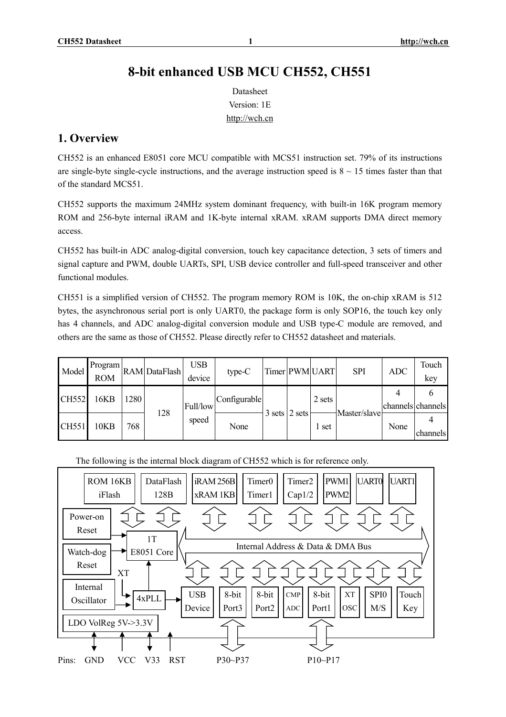Datasheet Version: 1E <http://wch.cn>

# **1. Overview**

CH552 is an enhanced E8051 core MCU compatible with MCS51 instruction set. 79% of its instructions are single-byte single-cycle instructions, and the average instruction speed is  $8 \sim 15$  times faster than that of the standard MCS51.

CH552 supports the maximum 24MHz system dominant frequency, with built-in 16K program memory ROM and 256-byte internal iRAM and 1K-byte internal xRAM. xRAM supports DMA direct memory access.

CH552 has built-in ADC analog-digital conversion, touch key capacitance detection, 3 sets of timers and signal capture and PWM, double UARTs, SPI, USB device controller and full-speed transceiver and other functional modules.

CH551 is a simplified version of CH552. The program memory ROM is 10K, the on-chip xRAM is 512 bytes, the asynchronous serial port is only UART0, the package form is only SOP16, the touch key only has 4 channels, and ADC analog-digital conversion module and USB type-C module are removed, and others are the same as those of CH552. Please directly refer to CH552 datasheet and materials.

| Model | Program<br><b>ROM</b> |      | RAM DataFlash | <b>USB</b><br>device                      | $type-C$ |        |        | Timer PWM UART | <b>SPI</b>   | ADC               | Touch<br>key |
|-------|-----------------------|------|---------------|-------------------------------------------|----------|--------|--------|----------------|--------------|-------------------|--------------|
| CH552 | 16KB                  | 1280 | 128           | Configurable<br>Full/low<br>speed<br>None |          |        | 2 sets |                |              | channels channels |              |
| CH551 | 10KB                  | 768  |               |                                           |          | 3 sets | 2 sets | 1 set          | Master/slave | None              | channels     |

#### The following is the internal block diagram of CH552 which is for reference only.

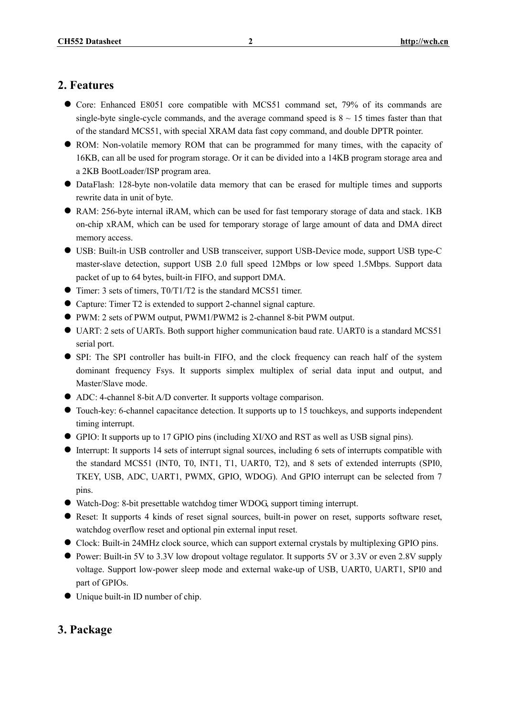# **2. Features**

- Core: Enhanced E8051 core compatible with MCS51 command set, 79% of its commands are single-byte single-cycle commands, and the average command speed is  $8 \sim 15$  times faster than that of the standard MCS51, with special XRAM data fast copy command, and double DPTR pointer.
- ROM: Non-volatile memory ROM that can be programmed for many times, with the capacity of 16KB, can all be used for program storage. Or it can be divided into a 14KB program storage area and a 2KB BootLoader/ISP program area.
- l DataFlash: 128-byte non-volatile data memory that can be erased for multiple times and supports rewrite data in unit of byte.
- RAM: 256-byte internal iRAM, which can be used for fast temporary storage of data and stack. 1KB on-chip xRAM, which can be used for temporary storage of large amount of data and DMA direct memory access.
- l USB: Built-in USB controller and USB transceiver, support USB-Device mode, support USB type-C master-slave detection, support USB 2.0 full speed 12Mbps or low speed 1.5Mbps. Support data packet of up to 64 bytes, built-in FIFO, and support DMA.
- l Timer: 3 sets of timers, T0/T1/T2 is the standard MCS51 timer.
- Capture: Timer T2 is extended to support 2-channel signal capture.
- l PWM: 2 sets of PWM output, PWM1/PWM2 is 2-channel 8-bit PWM output.
- UART: 2 sets of UARTs. Both support higher communication baud rate. UART0 is a standard MCS51 serial port.
- l SPI: The SPI controller has built-in FIFO, and the clock frequency can reach half of the system dominant frequency Fsys. It supports simplex multiplex of serial data input and output, and Master/Slave mode.
- l ADC: 4-channel 8-bit A/D converter. It supports voltage comparison.
- l Touch-key: 6-channel capacitance detection. It supports up to 15 touchkeys, and supports independent timing interrupt.
- l GPIO: It supports up to 17 GPIO pins (including XI/XO and RST as well as USB signal pins).
- l Interrupt: It supports 14 sets of interrupt signal sources, including 6 sets of interrupts compatible with the standard MCS51 (INT0, T0, INT1, T1, UART0, T2), and 8 sets of extended interrupts (SPI0, TKEY, USB, ADC, UART1, PWMX, GPIO, WDOG). And GPIO interrupt can be selected from 7 pins.
- Watch-Dog: 8-bit presettable watchdog timer WDOG, support timing interrupt.
- l Reset: It supports 4 kinds of reset signal sources, built-in power on reset, supports software reset, watchdog overflow reset and optional pin external input reset.
- l Clock: Built-in 24MHz clock source, which can support external crystals by multiplexing GPIO pins.
- l Power: Built-in 5V to 3.3V low dropout voltage regulator. It supports 5V or 3.3V or even 2.8V supply voltage. Support low-power sleep mode and external wake-up of USB, UART0, UART1, SPI0 and part of GPIOs.
- $\bullet$  Unique built-in ID number of chip.

# **3. Package**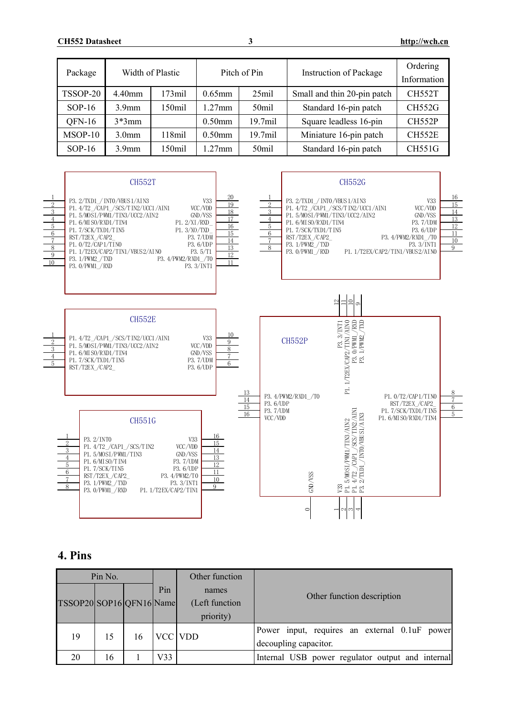| Package   | Width of Plastic  |           | Pitch of Pin |                     | <b>Instruction of Package</b> | Ordering<br>Information |
|-----------|-------------------|-----------|--------------|---------------------|-------------------------------|-------------------------|
| TSSOP-20  | 4.40mm            | $173$ mil | $0.65$ mm    | $25$ mil            | Small and thin 20-pin patch   | <b>CH552T</b>           |
| $SOP-16$  | 3.9 <sub>mm</sub> | $150$ mil | $1.27$ mm    | 50 <sub>mil</sub>   | Standard 16-pin patch         | <b>CH552G</b>           |
| $QFN-16$  | $3*3mm$           |           | $0.50$ mm    | 19.7 <sub>mil</sub> | Square leadless 16-pin        | <b>CH552P</b>           |
| $MSOP-10$ | 3.0 <sub>mm</sub> | $118$ mil | $0.50$ mm    | $19.7$ mil          | Miniature 16-pin patch        | <b>CH552E</b>           |
| $SOP-16$  | 3.9 <sub>mm</sub> | $150$ mil | $1.27$ mm    | 50 <sub>mil</sub>   | Standard 16-pin patch         | <b>CH551G</b>           |



# **4. Pins**

| Pin No.<br>Other function |    |    |     |                                      |                                                                        |
|---------------------------|----|----|-----|--------------------------------------|------------------------------------------------------------------------|
| TSSOP20 SOP16 QFN16 Name  |    |    | Pin | names<br>(Left function<br>priority) | Other function description                                             |
| 19                        | 15 | 16 |     | VCC VDD                              | Power input, requires an external 0.1uF power<br>decoupling capacitor. |
| 20                        | 16 |    | V33 |                                      | Internal USB power regulator output and internal                       |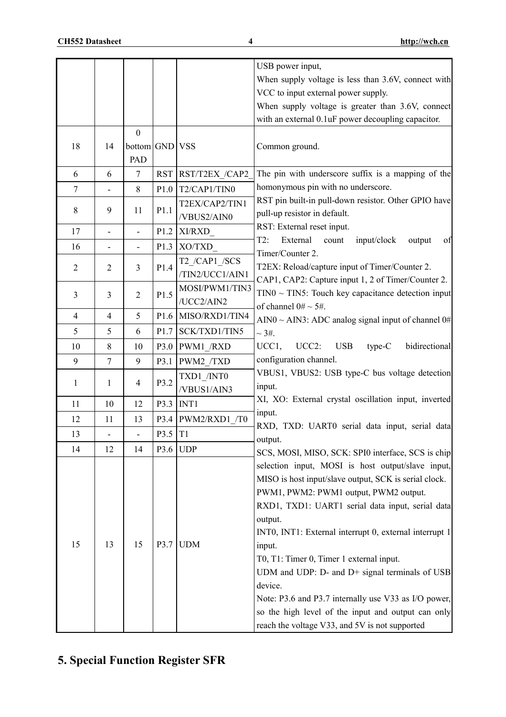|                |                          |                          |                  |                      | USB power input,                                         |
|----------------|--------------------------|--------------------------|------------------|----------------------|----------------------------------------------------------|
|                |                          |                          |                  |                      | When supply voltage is less than 3.6V, connect with      |
|                |                          |                          |                  |                      | VCC to input external power supply.                      |
|                |                          |                          |                  |                      | When supply voltage is greater than 3.6V, connect        |
|                |                          |                          |                  |                      | with an external 0.1uF power decoupling capacitor.       |
|                |                          | $\mathbf{0}$             |                  |                      |                                                          |
| 18             | 14                       | bottom GND VSS           |                  |                      | Common ground.                                           |
|                |                          | PAD                      |                  |                      |                                                          |
| 6              | 6                        | $\tau$                   | <b>RST</b>       | RST/T2EX /CAP2       | The pin with underscore suffix is a mapping of the       |
| $\tau$         |                          | 8                        | P1.0             | T2/CAP1/TIN0         | homonymous pin with no underscore.                       |
|                |                          |                          |                  | T2EX/CAP2/TIN1       | RST pin built-in pull-down resistor. Other GPIO have     |
| 8              | 9                        | 11                       | P1.1             | /VBUS2/AIN0          | pull-up resistor in default.                             |
| 17             | $\overline{\phantom{0}}$ | $\overline{\phantom{a}}$ | P1.2             | XI/RXD               | RST: External reset input.                               |
| 16             |                          |                          | P1.3             | XO/TXD               | T2:<br>External<br>input/clock<br>count<br>output<br>of  |
|                |                          |                          |                  | T2 /CAP1 /SCS        | Timer/Counter 2.                                         |
| $\overline{2}$ | $\overline{2}$           | 3                        | P1.4             | /TIN2/UCC1/AIN1      | T2EX: Reload/capture input of Timer/Counter 2.           |
|                |                          |                          |                  | MOSI/PWM1/TIN3       | CAP1, CAP2: Capture input 1, 2 of Timer/Counter 2.       |
| 3              | 3                        | $\overline{2}$           | P1.5             | /UCC2/AIN2           | $TINO \sim TIN5$ : Touch key capacitance detection input |
| $\overline{4}$ | $\overline{4}$           | 5                        |                  | P1.6 MISO/RXD1/TIN4  | of channel $0# \sim 5#$ .                                |
| 5              | 5                        | 6                        | P <sub>1.7</sub> | SCK/TXD1/TIN5        | AIN0 ~ AIN3: ADC analog signal input of channel $0#$     |
|                |                          |                          |                  |                      | $\sim$ 3#.                                               |
| 10             | 8                        | 10                       |                  | P3.0 PWM1 /RXD       | UCC2:<br>bidirectional<br>UCC1,<br><b>USB</b><br>type-C  |
| 9              | $\tau$                   | 9                        | P3.1             | PWM2 /TXD            | configuration channel.                                   |
| 1              | 1                        | $\overline{4}$           | P3.2             | TXD1 /INT0           | VBUS1, VBUS2: USB type-C bus voltage detection           |
|                |                          |                          |                  | /VBUS1/AIN3          | input.                                                   |
| 11             | 10                       | 12                       |                  | P3.3 INT1            | XI, XO: External crystal oscillation input, inverted     |
| 12             | 11                       | 13                       |                  | $P3.4$ PWM2/RXD1 /T0 | input.<br>RXD, TXD: UART0 serial data input, serial data |
| 13             |                          |                          | P3.5 T1          |                      | output.                                                  |
| 14             | 12                       | 14                       | P3.6             | <b>UDP</b>           | SCS, MOSI, MISO, SCK: SPI0 interface, SCS is chip        |
|                |                          |                          |                  |                      | selection input, MOSI is host output/slave input,        |
|                |                          |                          |                  |                      | MISO is host input/slave output, SCK is serial clock.    |
|                |                          |                          |                  |                      | PWM1, PWM2: PWM1 output, PWM2 output.                    |
|                |                          |                          |                  |                      | RXD1, TXD1: UART1 serial data input, serial data         |
|                |                          |                          |                  |                      | output.                                                  |
|                |                          |                          |                  |                      | INT0, INT1: External interrupt 0, external interrupt 1   |
| 15             | 13                       | 15                       | P3.7             | <b>UDM</b>           |                                                          |
|                |                          |                          |                  |                      | input.<br>T0, T1: Timer 0, Timer 1 external input.       |
|                |                          |                          |                  |                      |                                                          |
|                |                          |                          |                  |                      | UDM and UDP: D- and D+ signal terminals of USB           |
|                |                          |                          |                  |                      | device.                                                  |
|                |                          |                          |                  |                      | Note: P3.6 and P3.7 internally use V33 as I/O power,     |
|                |                          |                          |                  |                      | so the high level of the input and output can only       |
|                |                          |                          |                  |                      | reach the voltage V33, and 5V is not supported           |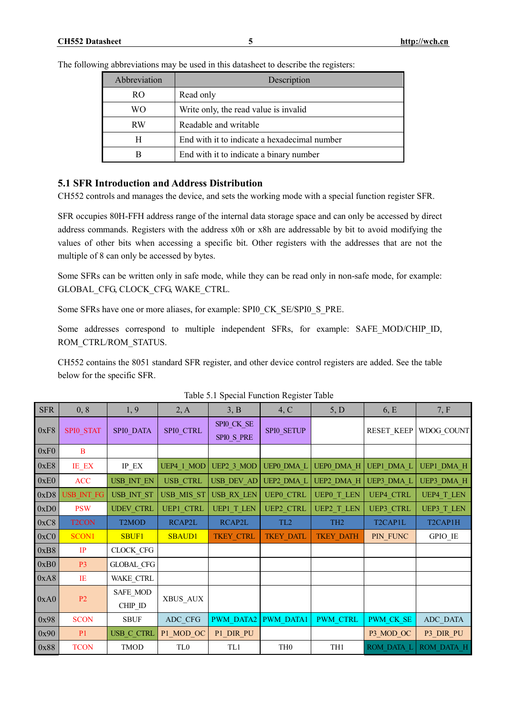The following abbreviations may be used in this datasheet to describe the registers:

| Abbreviation | Description                                  |
|--------------|----------------------------------------------|
| RO.          | Read only                                    |
| WΟ           | Write only, the read value is invalid        |
| <b>RW</b>    | Readable and writable                        |
| H            | End with it to indicate a hexadecimal number |
| R            | End with it to indicate a binary number      |

### **5.1 SFR Introduction and Address Distribution**

CH552 controls and manages the device, and sets the working mode with a special function register SFR.

SFR occupies 80H-FFH address range of the internal data storage space and can only be accessed by direct address commands. Registers with the address x0h or x8h are addressable by bit to avoid modifying the values of other bits when accessing a specific bit. Other registers with the addresses that are not the multiple of 8 can only be accessed by bytes.

Some SFRs can be written only in safe mode, while they can be read only in non-safe mode, for example: GLOBAL\_CFG, CLOCK\_CFG, WAKE\_CTRL.

Some SFRs have one or more aliases, for example: SPI0\_CK\_SE/SPI0\_S\_PRE.

Some addresses correspond to multiple independent SFRs, for example: SAFE\_MOD/CHIP\_ID, ROM\_CTRL/ROM\_STATUS.

CH552 contains the 8051 standard SFR register, and other device control registers are added. See the table below for the specific SFR.

| <b>SFR</b> | 0, 8               | 1,9                              | 2, A             | 3, B                     | 4, C              | 5, D              | 6, E                             | 7, F                              |
|------------|--------------------|----------------------------------|------------------|--------------------------|-------------------|-------------------|----------------------------------|-----------------------------------|
| 0xF8       | SPI0 STAT          | SPI0 DATA                        | SPIO CTRL        | SPIO_CK_SE<br>SPIO S PRE | SPIO SETUP        |                   | <b>RESET KEEP</b>                | WDOG COUNT                        |
| 0xF0       | B                  |                                  |                  |                          |                   |                   |                                  |                                   |
| 0xE8       | IE_EX              | $IP$ $EX$                        | UEP4 1 MOD       | UEP2 3 MOD               | <b>UEPO DMA L</b> | <b>UEPO DMA H</b> | <b>UEP1 DMA L</b>                | UEP1_DMA_H                        |
| 0xE0       | <b>ACC</b>         | USB INT EN                       | <b>USB CTRL</b>  | USB_DEV_AD               | UEP2 DMA L        | UEP2 DMA H        | <b>UEP3 DMA L</b>                | UEP3 DMA H                        |
| 0xD8       | <b>USB INT FG</b>  | USB INT ST                       | USB MIS ST       | <b>USB RX LEN</b>        | <b>UEPO CTRL</b>  | <b>UEPO T LEN</b> | <b>UEP4 CTRL</b>                 | <b>UEP4 T LEN</b>                 |
| 0xD0       | <b>PSW</b>         | <b>UDEV CTRL</b>                 | <b>UEP1 CTRL</b> | <b>UEP1 T LEN</b>        | <b>UEP2 CTRL</b>  | <b>UEP2 T LEN</b> | <b>UEP3 CTRL</b>                 | <b>UEP3 T LEN</b>                 |
| 0xC8       | T <sub>2</sub> CON | T <sub>2</sub> MOD               | RCAP2L           | RCAP2L                   | TL <sub>2</sub>   | TH <sub>2</sub>   | T <sub>2</sub> CAP <sub>1L</sub> | T <sub>2</sub> CAP <sub>1</sub> H |
| 0xC0       | SCON1              | <b>SBUF1</b>                     | <b>SBAUD1</b>    | TKEY_CTRL                | <b>TKEY DATL</b>  | <b>TKEY_DATH</b>  | PIN FUNC                         | GPIO_IE                           |
| 0xB8       | IP                 | CLOCK_CFG                        |                  |                          |                   |                   |                                  |                                   |
| 0xB0       | P <sub>3</sub>     | <b>GLOBAL_CFG</b>                |                  |                          |                   |                   |                                  |                                   |
| 0xA8       | IE                 | WAKE_CTRL                        |                  |                          |                   |                   |                                  |                                   |
| 0xA0       | P2                 | SAFE MOD<br>$CHIP$ <sub>ID</sub> | XBUS AUX         |                          |                   |                   |                                  |                                   |
| 0x98       | <b>SCON</b>        | <b>SBUF</b>                      | ADC CFG          | <b>PWM DATA2</b>         | <b>PWM DATA1</b>  | <b>PWM CTRL</b>   | PWM CK SE                        | ADC DATA                          |
| 0x90       | P <sub>1</sub>     | USB_C_CTRL                       | P1_MOD_OC        | P1_DIR_PU                |                   |                   | P3 MOD OC                        | P3 DIR PU                         |
| 0x88       | <b>TCON</b>        | TMOD                             | TL <sub>0</sub>  | TL1                      | TH <sub>0</sub>   | TH1               | <b>ROM DATA L</b>                | ROM DATA H                        |

| Table 5.1 Special Function Register Table |  |  |  |  |
|-------------------------------------------|--|--|--|--|
|-------------------------------------------|--|--|--|--|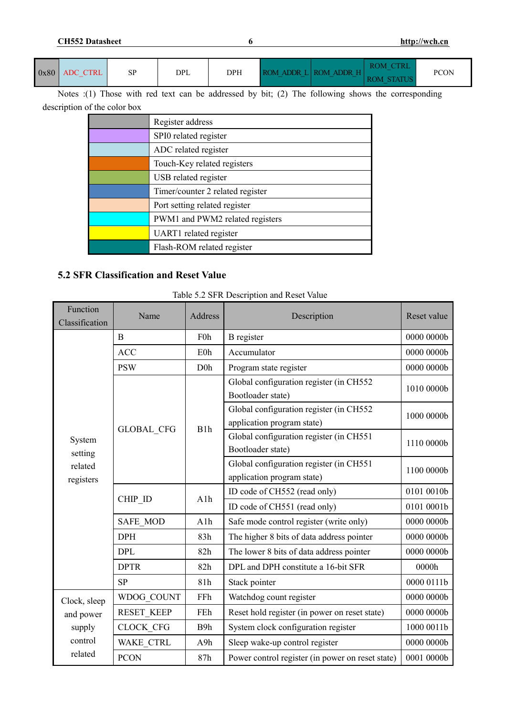**CH552 Datasheet 6 <http://wch.cn>**

| 0x80 | ADC CTRL | SP | DPL | <b>DPH</b> | __<br>__ | ROM ADDR LIROM ADDR H<br>$-$<br>__ | <b>ROM</b><br><b>STATUS</b><br>ЭM | <b>PCON</b> |
|------|----------|----|-----|------------|----------|------------------------------------|-----------------------------------|-------------|
|------|----------|----|-----|------------|----------|------------------------------------|-----------------------------------|-------------|

Notes :(1) Those with red text can be addressed by bit; (2) The following shows the corresponding description of the color box

| Register address                 |
|----------------------------------|
| SPI0 related register            |
| ADC related register             |
| Touch-Key related registers      |
| USB related register             |
| Timer/counter 2 related register |
| Port setting related register    |
| PWM1 and PWM2 related registers  |
| UART1 related register           |
| Flash-ROM related register       |

# **5.2 SFR Classification and Reset Value**

### Table 5.2 SFR Description and Reset Value

| Function<br>Classification | Name              | Address          | Description                                                           | Reset value |
|----------------------------|-------------------|------------------|-----------------------------------------------------------------------|-------------|
|                            | B                 | F <sub>0</sub> h | <b>B</b> register                                                     | 0000 0000b  |
|                            | <b>ACC</b>        | E0h              | Accumulator                                                           | 0000 0000b  |
|                            | <b>PSW</b>        | D <sub>0</sub>   | Program state register                                                | 0000 0000b  |
|                            |                   |                  | Global configuration register (in CH552<br>Bootloader state)          | 1010 0000b  |
|                            |                   | B1h              | Global configuration register (in CH552<br>application program state) | 1000 0000b  |
| System<br>setting          | <b>GLOBAL CFG</b> |                  | Global configuration register (in CH551<br>Bootloader state)          | 1110 0000b  |
| related<br>registers       |                   |                  | Global configuration register (in CH551<br>application program state) | 1100 0000b  |
|                            |                   | A1h              | ID code of CH552 (read only)                                          | 0101 0010b  |
|                            | CHIP ID           |                  | ID code of CH551 (read only)                                          | 0101 0001b  |
|                            | <b>SAFE MOD</b>   | A1h              | Safe mode control register (write only)                               | 0000 0000b  |
|                            | <b>DPH</b>        | 83h              | The higher 8 bits of data address pointer                             | 0000 0000b  |
|                            | <b>DPL</b>        | 82h              | The lower 8 bits of data address pointer                              | 0000 0000b  |
|                            | <b>DPTR</b>       | 82h              | DPL and DPH constitute a 16-bit SFR                                   | 0000h       |
|                            | <b>SP</b>         | 81h              | Stack pointer                                                         | 0000 0111b  |
| Clock, sleep               | WDOG COUNT        | FFh              | Watchdog count register                                               | 0000 0000b  |
| and power                  | <b>RESET KEEP</b> | FEh              | Reset hold register (in power on reset state)                         | 0000 0000b  |
| supply                     | <b>CLOCK CFG</b>  | B9h              | System clock configuration register                                   | 1000 0011b  |
| control                    | WAKE CTRL         | A9h              | Sleep wake-up control register                                        | 0000 0000b  |
| related                    | <b>PCON</b>       | 87h              | Power control register (in power on reset state)                      | 0001 0000b  |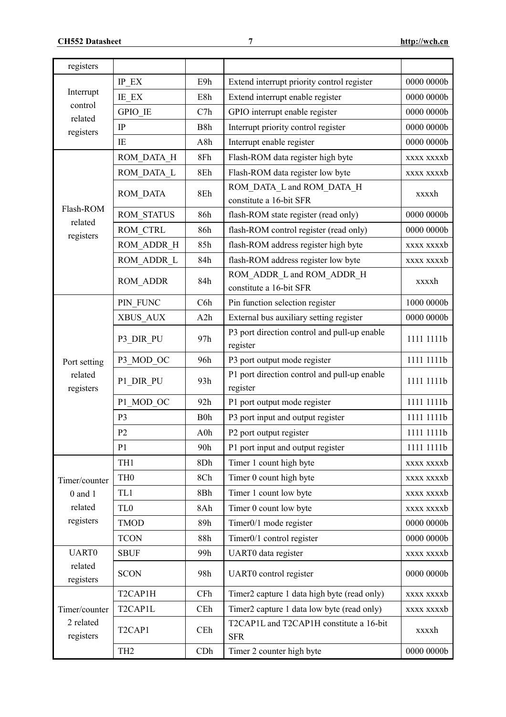| registers              |                                  |                  |                                                          |               |
|------------------------|----------------------------------|------------------|----------------------------------------------------------|---------------|
|                        | IP EX                            | E9h              | Extend interrupt priority control register               | 0000 0000b    |
| Interrupt              | IE EX                            | E8h              | Extend interrupt enable register                         | 0000 0000b    |
| control                | GPIO IE                          | C7h              | GPIO interrupt enable register                           | 0000 0000b    |
| related<br>registers   | IP                               | B8h              | Interrupt priority control register                      | 0000 0000b    |
|                        | IE                               | A8h              | Interrupt enable register                                | 0000 0000b    |
|                        | ROM DATA H                       | 8Fh              | Flash-ROM data register high byte                        | xxxx xxxxb    |
|                        | ROM DATA L                       | 8Eh              | Flash-ROM data register low byte                         | xxxx xxxxb    |
|                        | ROM DATA                         | 8Eh              | ROM DATA L and ROM DATA H<br>constitute a 16-bit SFR     | xxxxh         |
| Flash-ROM              | <b>ROM STATUS</b>                | 86h              | flash-ROM state register (read only)                     | 0000 0000b    |
| related<br>registers   | ROM CTRL                         | 86h              | flash-ROM control register (read only)                   | 0000 0000b    |
|                        | ROM ADDR H                       | 85h              | flash-ROM address register high byte                     | xxxx xxxxb    |
|                        | ROM ADDR L                       | 84h              | flash-ROM address register low byte                      | xxxx xxxxb    |
|                        | ROM ADDR                         | 84h              | ROM ADDR L and ROM ADDR H<br>constitute a 16-bit SFR     | xxxxh         |
|                        | PIN FUNC                         | C6h              | Pin function selection register                          | 1000 0000b    |
|                        | XBUS AUX                         | A2h              | External bus auxiliary setting register                  | 0000 0000b    |
|                        | P3 DIR PU                        | 97h              | P3 port direction control and pull-up enable<br>register | 1111 1111b    |
| Port setting           | P3 MOD OC                        | 96h              | P3 port output mode register                             | 1111 1111b    |
| related<br>registers   | P1 DIR PU                        | 93h              | P1 port direction control and pull-up enable<br>register | 1111 1111b    |
|                        | P1 MOD OC                        | 92h              | P1 port output mode register                             | 1111 1111b    |
|                        | P <sub>3</sub>                   | B <sub>0</sub> h | P3 port input and output register                        | 1111 1111b    |
|                        | P <sub>2</sub>                   | A0h              | P2 port output register                                  | 1111 1111b    |
|                        | P <sub>1</sub>                   | 90h              | P1 port input and output register                        | 1111 1111b    |
|                        | TH1                              | 8Dh              | Timer 1 count high byte                                  | xxxx xxxxb    |
| Timer/counter          | TH <sub>0</sub>                  | 8Ch              | Timer 0 count high byte                                  | xxxx xxxxb    |
| $0$ and $1$            | TL1                              | 8Bh              | Timer 1 count low byte                                   | xxxx xxxxb    |
| related                | TL <sub>0</sub>                  | 8Ah              | Timer 0 count low byte                                   | xxxx xxxxb    |
| registers              | <b>TMOD</b>                      | 89h              | Timer0/1 mode register                                   | $0000\ 0000b$ |
|                        | <b>TCON</b>                      | 88h              | Timer0/1 control register                                | 0000 0000b    |
| <b>UART0</b>           | <b>SBUF</b>                      | 99h              | UART0 data register                                      | xxxx xxxxb    |
| related<br>registers   | <b>SCON</b>                      | 98h              | UART0 control register                                   | 0000 0000b    |
|                        | T2CAP1H                          | CFh              | Timer2 capture 1 data high byte (read only)              | xxxx xxxxb    |
| Timer/counter          | T <sub>2</sub> CAP <sub>1L</sub> | CEh              | Timer2 capture 1 data low byte (read only)               | xxxx xxxxb    |
| 2 related<br>registers | T <sub>2</sub> CAP <sub>1</sub>  | CEh              | T2CAP1L and T2CAP1H constitute a 16-bit<br><b>SFR</b>    | xxxxh         |
|                        | TH <sub>2</sub>                  | CDh              | Timer 2 counter high byte                                | 0000 0000b    |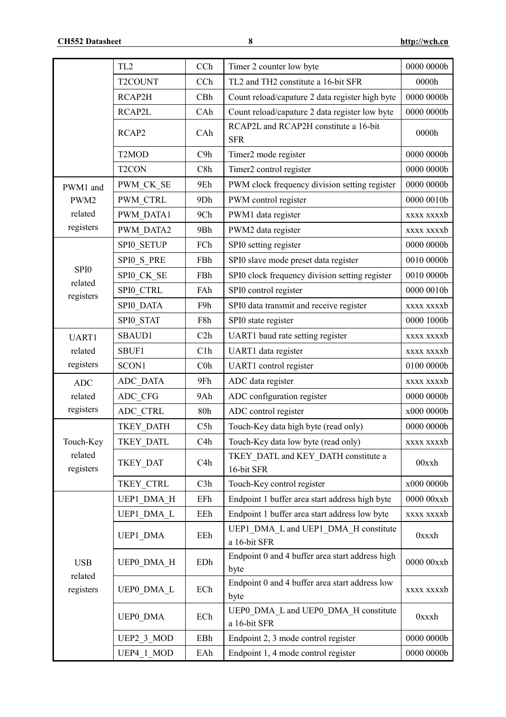|                             | TL <sub>2</sub>    | CCh              | Timer 2 counter low byte                                | 0000 0000b   |
|-----------------------------|--------------------|------------------|---------------------------------------------------------|--------------|
|                             | T2COUNT            | CCh              | TL2 and TH2 constitute a 16-bit SFR                     | 0000h        |
|                             | RCAP2H             | CBh              | Count reload/capature 2 data register high byte         | 0000 0000b   |
|                             | RCAP2L             | CAh              | Count reload/capature 2 data register low byte          | 0000 0000b   |
|                             | RCAP2              | CAh              | RCAP2L and RCAP2H constitute a 16-bit<br><b>SFR</b>     | 0000h        |
|                             | T <sub>2</sub> MOD | C9h              | Timer2 mode register                                    | 0000 0000b   |
|                             | T <sub>2</sub> CON | C8h              | Timer2 control register                                 | 0000 0000b   |
| PWM1 and                    | PWM CK SE          | 9Eh              | PWM clock frequency division setting register           | 0000 0000b   |
| PWM2                        | <b>PWM CTRL</b>    | 9Dh              | PWM control register                                    | 0000 0010b   |
| related                     | PWM DATA1          | 9Ch              | PWM1 data register                                      | xxxx xxxxb   |
| registers                   | PWM DATA2          | 9Bh              | PWM2 data register                                      | xxxx xxxxb   |
|                             | SPIO SETUP         | FCh              | SPI0 setting register                                   | 0000 0000b   |
|                             | SPIO S PRE         | FBh              | SPI0 slave mode preset data register                    | 0010 0000b   |
| SPI <sub>0</sub><br>related | SPIO CK SE         | FBh              | SPI0 clock frequency division setting register          | 0010 0000b   |
| registers                   | SPI0_CTRL          | FAh              | SPI0 control register                                   | 0000 0010b   |
|                             | SPI0 DATA          | F9h              | SPI0 data transmit and receive register                 | xxxx xxxxb   |
|                             | SPIO STAT          | F8h              | SPI0 state register                                     | 0000 1000b   |
| UART1                       | SBAUD1             | C2h              | UART1 baud rate setting register                        | xxxx xxxxb   |
| related                     | SBUF1              | C1h              | UART1 data register                                     | xxxx xxxxb   |
| registers                   | SCON1              | C <sub>0</sub> h | UART1 control register                                  | 0100 0000b   |
| <b>ADC</b>                  | ADC DATA           | 9Fh              | ADC data register                                       | xxxx xxxxb   |
| related                     | ADC CFG            | 9Ah              | ADC configuration register                              | 0000 0000b   |
| registers                   | ADC CTRL           | 80h              | ADC control register                                    | x000 0000b   |
|                             | TKEY DATH          | C5h              | Touch-Key data high byte (read only)                    | 0000 0000b   |
| Touch-Key                   | <b>TKEY DATL</b>   | C <sub>4</sub> h | Touch-Key data low byte (read only)                     | xxxx xxxxb   |
| related<br>registers        | TKEY DAT           | C <sub>4</sub> h | TKEY DATL and KEY DATH constitute a<br>16-bit SFR       | 00xxh        |
|                             | TKEY CTRL          | C3h              | Touch-Key control register                              | x000 0000b   |
|                             | UEP1 DMA H         | EFh              | Endpoint 1 buffer area start address high byte          | $000000$ xxb |
|                             | UEP1 DMA L         | EEh              | Endpoint 1 buffer area start address low byte           | xxxx xxxxb   |
|                             | UEP1 DMA           | EEh              | UEP1 DMA L and UEP1 DMA H constitute<br>a 16-bit SFR    | 0xxxh        |
| <b>USB</b>                  | UEP0 DMA H         | EDh              | Endpoint 0 and 4 buffer area start address high<br>byte | 0000 00xxb   |
| related<br>registers        | UEP0 DMA L         | ECh              | Endpoint 0 and 4 buffer area start address low<br>byte  | xxxx xxxxb   |
|                             | <b>UEPO DMA</b>    | ECh              | UEP0 DMA L and UEP0 DMA H constitute<br>a 16-bit SFR    | 0xxxh        |
|                             | UEP2 3 MOD         | EBh              | Endpoint 2, 3 mode control register                     | 0000 0000b   |
|                             | UEP4 1 MOD         | EAh              | Endpoint 1, 4 mode control register                     | 0000 0000b   |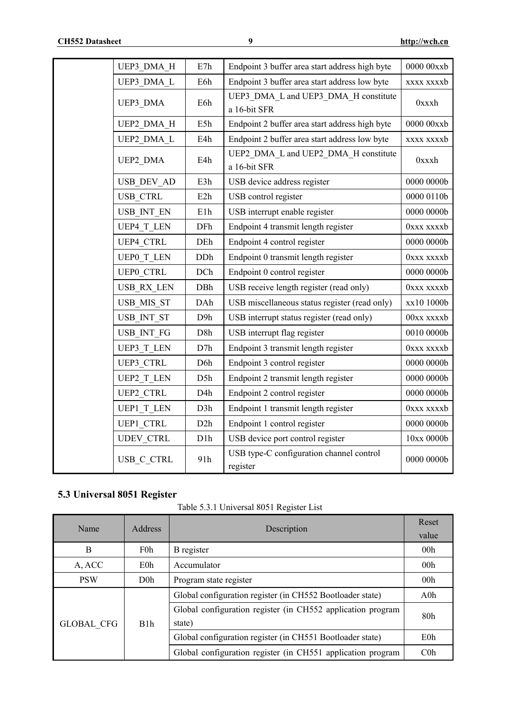| UEP3 DMA H        | E7h              | Endpoint 3 buffer area start address high byte       | $0000\;00$ xb          |
|-------------------|------------------|------------------------------------------------------|------------------------|
| UEP3 DMA L        | E6h              | Endpoint 3 buffer area start address low byte        | xxxx xxxxb             |
| UEP3 DMA          | E6h              | UEP3 DMA L and UEP3 DMA H constitute<br>a 16-bit SFR | 0xxxh                  |
| UEP2 DMA H        | E5h              | Endpoint 2 buffer area start address high byte       | $0000\;00\mathrm{xxb}$ |
| UEP2 DMA L        | E4h              | Endpoint 2 buffer area start address low byte        | xxxx xxxxb             |
| UEP2 DMA          | E4h              | UEP2 DMA L and UEP2 DMA H constitute<br>a 16-bit SFR | 0xxxh                  |
| USB DEV AD        | E3h              | USB device address register                          | 0000 0000b             |
| USB CTRL          | E2h              | USB control register                                 | 0000 0110b             |
| USB INT EN        | E1h              | USB interrupt enable register                        | 0000 0000b             |
| UEP4 T LEN        | DFh              | Endpoint 4 transmit length register                  | 0xxx xxxxb             |
| <b>UEP4 CTRL</b>  | DEh              | Endpoint 4 control register                          | $0000\ 0000b$          |
| <b>UEPO T LEN</b> | DDh              | Endpoint 0 transmit length register                  | 0xxx xxxxb             |
| <b>UEPO CTRL</b>  | DCh              | Endpoint 0 control register                          | 0000 0000b             |
| USB RX LEN        | DBh              | USB receive length register (read only)              | 0xxx xxxxb             |
| USB MIS ST        | DAh              | USB miscellaneous status register (read only)        | xx10 1000b             |
| USB INT ST        | D <sub>9</sub> h | USB interrupt status register (read only)            | 00xx xxxxb             |
| USB INT FG        | D8h              | USB interrupt flag register                          | 0010 0000b             |
| UEP3 T LEN        | D7h              | Endpoint 3 transmit length register                  | 0xxx xxxxb             |
| <b>UEP3 CTRL</b>  | D <sub>6</sub> h | Endpoint 3 control register                          | $0000\ 0000b$          |
| <b>UEP2 T LEN</b> | D5h              | Endpoint 2 transmit length register                  | 0000 0000b             |
| <b>UEP2 CTRL</b>  | D <sub>4</sub> h | Endpoint 2 control register                          | 0000 0000b             |
| UEP1_T LEN        | D3h              | Endpoint 1 transmit length register                  | 0xxx xxxxb             |
| <b>UEP1 CTRL</b>  | D2h              | Endpoint 1 control register                          | 0000 0000b             |
| <b>UDEV CTRL</b>  | D <sub>1</sub> h | USB device port control register                     | 10xx 0000b             |
| USB C CTRL        | 91h              | USB type-C configuration channel control<br>register | $0000\ 0000b$          |

# **5.3 Universal 8051 Register**

Table 5.3.1 Universal 8051 Register List

| Name              | <b>Address</b> | Description                                                 | Reset           |  |
|-------------------|----------------|-------------------------------------------------------------|-----------------|--|
|                   |                |                                                             | value           |  |
| B                 | F0h            | B register                                                  | 00 <sub>h</sub> |  |
| A, ACC            | E0h            | Accumulator                                                 | 00 <sub>h</sub> |  |
| <b>PSW</b>        | D <sub>0</sub> | Program state register                                      | 00 <sub>h</sub> |  |
|                   | B1h            | Global configuration register (in CH552 Bootloader state)   | $A0$ h          |  |
|                   |                | Global configuration register (in CH552 application program | 80 <sub>h</sub> |  |
| <b>GLOBAL CFG</b> |                | state)                                                      |                 |  |
|                   |                | Global configuration register (in CH551 Bootloader state)   | E0h             |  |
|                   |                | Global configuration register (in CH551 application program | $C0$ h          |  |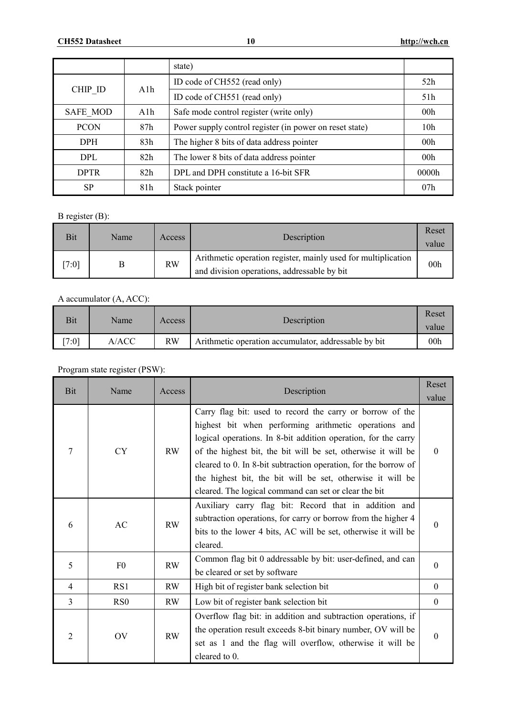|                 |     | state)                                                  |                 |
|-----------------|-----|---------------------------------------------------------|-----------------|
|                 | A1h | ID code of CH552 (read only)                            | 52h             |
| CHIP ID         |     | ID code of CH551 (read only)                            | 51h             |
| <b>SAFE MOD</b> | A1h | Safe mode control register (write only)                 | 00 <sub>h</sub> |
| <b>PCON</b>     | 87h | Power supply control register (in power on reset state) | 10 <sub>h</sub> |
| <b>DPH</b>      | 83h | The higher 8 bits of data address pointer               | 00 <sub>h</sub> |
| DPL.            | 82h | The lower 8 bits of data address pointer                | 00 <sub>h</sub> |
| <b>DPTR</b>     | 82h | DPL and DPH constitute a 16-bit SFR                     | 0000h           |
| <b>SP</b>       | 81h | Stack pointer                                           | 07 <sub>h</sub> |

B register (B):

| Bit  | Name | Access    | Description                                                                                                  | Reset<br>value  |
|------|------|-----------|--------------------------------------------------------------------------------------------------------------|-----------------|
| 7:01 |      | <b>RW</b> | Arithmetic operation register, mainly used for multiplication<br>and division operations, addressable by bit | 00 <sub>h</sub> |

### A accumulator (A, ACC):

| Bit  | Name  | Access    | Description                                          | Reset<br>value  |
|------|-------|-----------|------------------------------------------------------|-----------------|
| 7:01 | A/ACC | <b>RW</b> | Arithmetic operation accumulator, addressable by bit | 00 <sub>h</sub> |

# Program state register (PSW):

| Bit            | Name            | Access    | Description                                                                                                                                                                                                                                                                                                                                                                                                                                     |          |
|----------------|-----------------|-----------|-------------------------------------------------------------------------------------------------------------------------------------------------------------------------------------------------------------------------------------------------------------------------------------------------------------------------------------------------------------------------------------------------------------------------------------------------|----------|
| 7              | <b>CY</b>       | RW        | Carry flag bit: used to record the carry or borrow of the<br>highest bit when performing arithmetic operations and<br>logical operations. In 8-bit addition operation, for the carry<br>of the highest bit, the bit will be set, otherwise it will be<br>cleared to 0. In 8-bit subtraction operation, for the borrow of<br>the highest bit, the bit will be set, otherwise it will be<br>cleared. The logical command can set or clear the bit | $\theta$ |
| 6              | AC              | <b>RW</b> | Auxiliary carry flag bit: Record that in addition and<br>subtraction operations, for carry or borrow from the higher 4<br>bits to the lower 4 bits, AC will be set, otherwise it will be<br>cleared.                                                                                                                                                                                                                                            | $\theta$ |
| 5              | F <sub>0</sub>  | <b>RW</b> | Common flag bit 0 addressable by bit: user-defined, and can<br>be cleared or set by software                                                                                                                                                                                                                                                                                                                                                    | $\theta$ |
| $\overline{4}$ | RS1             | RW        | High bit of register bank selection bit                                                                                                                                                                                                                                                                                                                                                                                                         | $\Omega$ |
| $\overline{3}$ | R <sub>S0</sub> | RW        | Low bit of register bank selection bit                                                                                                                                                                                                                                                                                                                                                                                                          | $\theta$ |
| $\overline{2}$ | <b>OV</b>       | <b>RW</b> | Overflow flag bit: in addition and subtraction operations, if<br>the operation result exceeds 8-bit binary number, OV will be<br>set as 1 and the flag will overflow, otherwise it will be<br>cleared to 0.                                                                                                                                                                                                                                     | $\theta$ |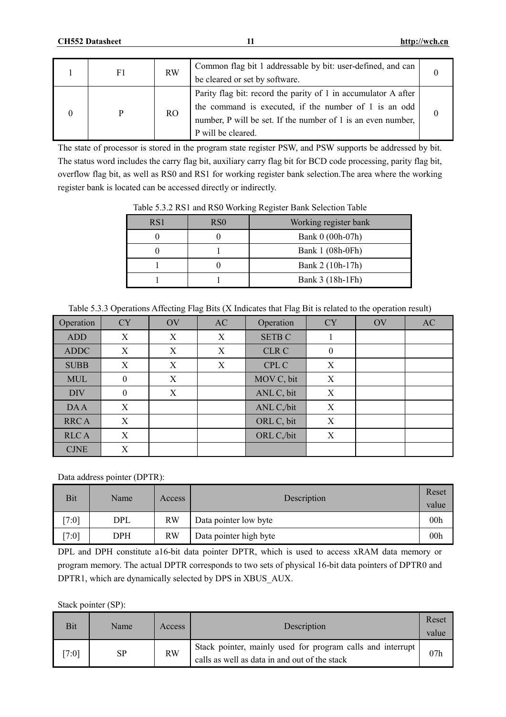| F1 | <b>RW</b> | Common flag bit 1 addressable by bit: user-defined, and can<br>be cleared or set by software.                                                                                                                 |  |
|----|-----------|---------------------------------------------------------------------------------------------------------------------------------------------------------------------------------------------------------------|--|
|    | RO.       | Parity flag bit: record the parity of 1 in accumulator A after<br>the command is executed, if the number of 1 is an odd<br>number, P will be set. If the number of 1 is an even number,<br>P will be cleared. |  |

The state of processor is stored in the program state register PSW, and PSW supports be addressed by bit. The status word includes the carry flag bit, auxiliary carry flag bit for BCD code processing, parity flag bit, overflow flag bit, as well as RS0 and RS1 for working register bank selection.The area where the working register bank is located can be accessed directly or indirectly.

| RS1 | R <sub>S0</sub> | Working register bank |
|-----|-----------------|-----------------------|
|     |                 | Bank 0 (00h-07h)      |
|     |                 | Bank 1 (08h-0Fh)      |
|     |                 | Bank 2 (10h-17h)      |
|     |                 | Bank 3 (18h-1Fh)      |

Table 5.3.2 RS1 and RS0 Working Register Bank Selection Table

|  |  | Table 5.3.3 Operations Affecting Flag Bits (X Indicates that Flag Bit is related to the operation result) |
|--|--|-----------------------------------------------------------------------------------------------------------|
|  |  |                                                                                                           |

| Operation                    | <b>CY</b> | <b>OV</b> | AC | Operation     | <b>CY</b>    | <b>OV</b> | AC |
|------------------------------|-----------|-----------|----|---------------|--------------|-----------|----|
| <b>ADD</b>                   | X         | X         | X  | <b>SETB C</b> | 1            |           |    |
| <b>ADDC</b>                  | X         | X         | X  | <b>CLR C</b>  | $\mathbf{0}$ |           |    |
| <b>SUBB</b>                  | Χ         | Χ         | Χ  | CPL C         | X            |           |    |
| <b>MUL</b>                   | $\theta$  | X         |    | MOV C, bit    | X            |           |    |
| <b>DIV</b>                   | $\theta$  | X         |    | ANL C, bit    | X            |           |    |
| <b>DAA</b>                   | X         |           |    | ANL C,/bit    | X            |           |    |
| <b>RRCA</b>                  | X         |           |    | ORL C, bit    | X            |           |    |
| <b>RLCA</b>                  | X         |           |    | ORL C,/bit    | X            |           |    |
| $\ensuremath{\mathrm{CJNE}}$ | Χ         |           |    |               |              |           |    |

Data address pointer (DPTR):

| Bit  | Name | Access    | Description            | Reset<br>value  |
|------|------|-----------|------------------------|-----------------|
| 7:01 | DPL  | <b>RW</b> | Data pointer low byte  | 00 <sub>h</sub> |
| 7:01 | DPH  | <b>RW</b> | Data pointer high byte | 00 <sub>h</sub> |

DPL and DPH constitute a16-bit data pointer DPTR, which is used to access xRAM data memory or program memory. The actual DPTR corresponds to two sets of physical 16-bit data pointers of DPTR0 and DPTR1, which are dynamically selected by DPS in XBUS\_AUX.

Stack pointer (SP):

| Bit  | Name | Access    | Description                                                                                                   |     |
|------|------|-----------|---------------------------------------------------------------------------------------------------------------|-----|
| 7:01 | SP   | <b>RW</b> | Stack pointer, mainly used for program calls and interrupt  <br>calls as well as data in and out of the stack | 07h |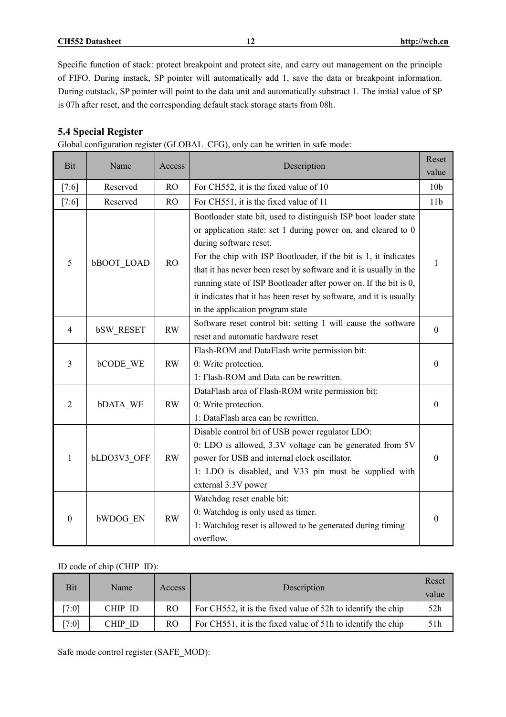**CH552 Datasheet 12 <http://wch.cn>**

Specific function of stack: protect breakpoint and protect site, and carry out management on the principle of FIFO. During instack, SP pointer will automatically add 1, save the data or breakpoint information. During outstack, SP pointer will point to the data unit and automatically substract 1. The initial value of SP is 07h after reset, and the corresponding default stack storage starts from 08h.

# **5.4 Special Register**

|  |  |  | Global configuration register (GLOBAL CFG), only can be written in safe mode: |
|--|--|--|-------------------------------------------------------------------------------|
|  |  |  |                                                                               |

| <b>Bit</b>     | Name              | Access    | Description                                                                                                                                                                                                                                                                                                                                                                                                                                                                      | Reset<br>value   |
|----------------|-------------------|-----------|----------------------------------------------------------------------------------------------------------------------------------------------------------------------------------------------------------------------------------------------------------------------------------------------------------------------------------------------------------------------------------------------------------------------------------------------------------------------------------|------------------|
| $[7:6]$        | Reserved          | <b>RO</b> | For CH552, it is the fixed value of 10                                                                                                                                                                                                                                                                                                                                                                                                                                           | 10 <sub>b</sub>  |
| $[7:6]$        | Reserved          | <b>RO</b> | For CH551, it is the fixed value of 11                                                                                                                                                                                                                                                                                                                                                                                                                                           | 11 <sub>b</sub>  |
| 5              | <b>bBOOT LOAD</b> | <b>RO</b> | Bootloader state bit, used to distinguish ISP boot loader state<br>or application state: set 1 during power on, and cleared to 0<br>during software reset.<br>For the chip with ISP Bootloader, if the bit is 1, it indicates<br>that it has never been reset by software and it is usually in the<br>running state of ISP Bootloader after power on. If the bit is 0,<br>it indicates that it has been reset by software, and it is usually<br>in the application program state | 1                |
| $\overline{4}$ | <b>bSW RESET</b>  | <b>RW</b> | Software reset control bit: setting 1 will cause the software<br>reset and automatic hardware reset                                                                                                                                                                                                                                                                                                                                                                              | $\theta$         |
| 3              | <b>bCODE WE</b>   | <b>RW</b> | Flash-ROM and DataFlash write permission bit:<br>0: Write protection.<br>1: Flash-ROM and Data can be rewritten.                                                                                                                                                                                                                                                                                                                                                                 | $\mathbf{0}$     |
| 2              | bDATA WE          | <b>RW</b> | DataFlash area of Flash-ROM write permission bit:<br>0: Write protection.<br>1: DataFlash area can be rewritten.                                                                                                                                                                                                                                                                                                                                                                 | $\Omega$         |
| 1              | bLDO3V3 OFF       | <b>RW</b> | Disable control bit of USB power regulator LDO:<br>0: LDO is allowed, 3.3V voltage can be generated from 5V<br>power for USB and internal clock oscillator.<br>1: LDO is disabled, and V33 pin must be supplied with<br>external 3.3V power                                                                                                                                                                                                                                      | $\boldsymbol{0}$ |
| $\theta$       | <b>bWDOG EN</b>   | <b>RW</b> | Watchdog reset enable bit:<br>0: Watchdog is only used as timer.<br>1: Watchdog reset is allowed to be generated during timing<br>overflow.                                                                                                                                                                                                                                                                                                                                      | $\mathbf{0}$     |

### ID code of chip (CHIP\_ID):

| <b>Bit</b> | Name    | Access | Description                                                  | Reset<br>value |
|------------|---------|--------|--------------------------------------------------------------|----------------|
| [7:0]      | CHIP ID | RO.    | For CH552, it is the fixed value of 52h to identify the chip | 52h            |
| [7:0]      | CHIP ID | RO.    | For CH551, it is the fixed value of 51h to identify the chip | 51h            |

Safe mode control register (SAFE\_MOD):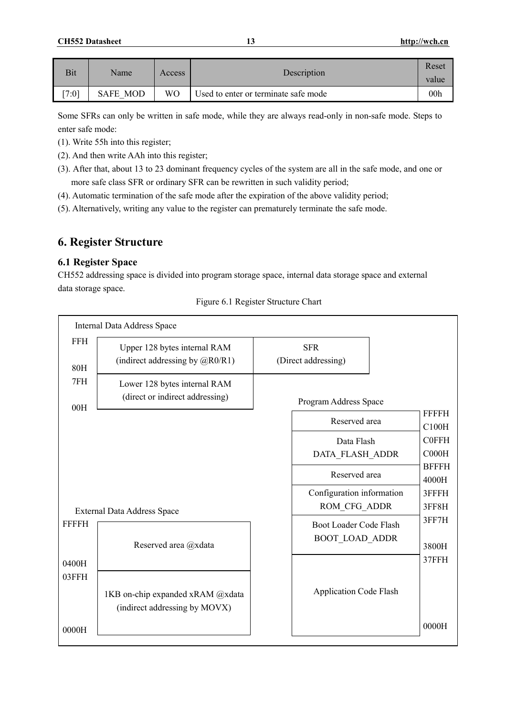| Bit   | Name            | Access    | Description                          | Reset<br>value  |
|-------|-----------------|-----------|--------------------------------------|-----------------|
| [7:0] | <b>SAFE MOD</b> | <b>WO</b> | Used to enter or terminate safe mode | 00 <sub>h</sub> |

Some SFRs can only be written in safe mode, while they are always read-only in non-safe mode. Steps to enter safe mode:

- (1). Write 55h into this register;
- (2). And then write AAh into this register;
- (3). After that, about 13 to 23 dominant frequency cycles of the system are all in the safe mode, and one or more safe class SFR or ordinary SFR can be rewritten in such validity period;
- (4). Automatic termination of the safe mode after the expiration of the above validity period;
- (5). Alternatively, writing any value to the register can prematurely terminate the safe mode.

# **6. Register Structure**

### **6.1 Register Space**

r

CH552 addressing space is divided into program storage space, internal data storage space and external data storage space.

|                   | Internal Data Address Space                                                    |                                                 |                       |
|-------------------|--------------------------------------------------------------------------------|-------------------------------------------------|-----------------------|
| <b>FFH</b><br>80H | Upper 128 bytes internal RAM<br>(indirect addressing by $(\partial_R R0/R1)$ ) | <b>SFR</b><br>(Direct addressing)               |                       |
| 7FH<br>00H        | Lower 128 bytes internal RAM<br>(direct or indirect addressing)                | Program Address Space                           |                       |
|                   |                                                                                | Reserved area                                   | FFFFH<br>C100H        |
|                   |                                                                                | Data Flash<br>DATA_FLASH_ADDR                   | <b>C0FFH</b><br>COOOH |
|                   |                                                                                | Reserved area                                   | <b>BFFFH</b><br>4000H |
|                   | <b>External Data Address Space</b>                                             | Configuration information<br>ROM_CFG_ADDR       | 3FFFH<br>3FF8H        |
| FFFFH             | Reserved area @xdata                                                           | Boot Loader Code Flash<br><b>BOOT LOAD ADDR</b> | 3FF7H<br>3800H        |
| 0400H<br>03FFH    |                                                                                |                                                 | 37FFH                 |
|                   | 1KB on-chip expanded xRAM @xdata<br>(indirect addressing by MOVX)              | <b>Application Code Flash</b>                   |                       |
| 0000H             |                                                                                |                                                 | 0000H                 |

Figure 6.1 Register Structure Chart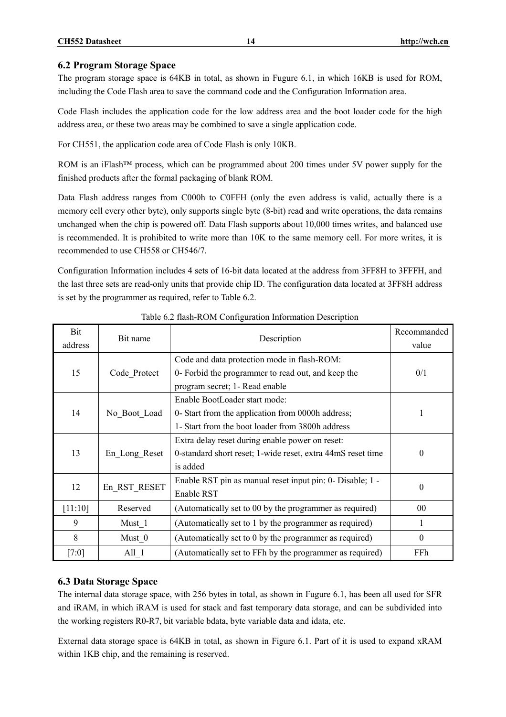#### **6.2 Program Storage Space**

The program storage space is 64KB in total, as shown in Fugure 6.1, in which 16KB is used for ROM, including the Code Flash area to save the command code and the Configuration Information area.

Code Flash includes the application code for the low address area and the boot loader code for the high address area, or these two areas may be combined to save a single application code.

For CH551, the application code area of Code Flash is only 10KB.

ROM is an iFlash<sup>™</sup> process, which can be programmed about 200 times under 5V power supply for the finished products after the formal packaging of blank ROM.

Data Flash address ranges from C000h to C0FFH (only the even address is valid, actually there is a memory cell every other byte), only supports single byte (8-bit) read and write operations, the data remains unchanged when the chip is powered off. Data Flash supports about 10,000 times writes, and balanced use is recommended. It is prohibited to write more than 10K to the same memory cell. For more writes, it is recommended to use CH558 or CH546/7.

Configuration Information includes 4 sets of 16-bit data located at the address from 3FF8H to 3FFFH, and the last three sets are read-only units that provide chip ID. The configuration data located at 3FF8H address is set by the programmer as required, refer to Table 6.2.

| Bit<br>address | Bit name      | Description                                                                                                                                                              | Recommanded<br>value |
|----------------|---------------|--------------------------------------------------------------------------------------------------------------------------------------------------------------------------|----------------------|
| 15             | Code Protect  | Code and data protection mode in flash-ROM:<br>0- Forbid the programmer to read out, and keep the                                                                        | 0/1                  |
| 14             | No Boot Load  | program secret; 1- Read enable<br>Enable BootLoader start mode:<br>0- Start from the application from 0000h address;<br>1- Start from the boot loader from 3800h address | 1                    |
| 13             | En Long Reset | Extra delay reset during enable power on reset:<br>0-standard short reset; 1-wide reset, extra 44mS reset time<br>is added                                               | $\theta$             |
| 12             | En RST RESET  | Enable RST pin as manual reset input pin: 0- Disable; 1 -<br>Enable RST                                                                                                  | $\theta$             |
| [11:10]        | Reserved      | (Automatically set to 00 by the programmer as required)                                                                                                                  | $00\,$               |
| 9              | Must 1        | (Automatically set to 1 by the programmer as required)                                                                                                                   | 1                    |
| 8              | Must 0        | (Automatically set to 0 by the programmer as required)                                                                                                                   | $\boldsymbol{0}$     |
| [7:0]          | All 1         | (Automatically set to FFh by the programmer as required)                                                                                                                 | FFh.                 |

#### Table 6.2 flash-ROM Configuration Information Description

#### **6.3 Data Storage Space**

The internal data storage space, with 256 bytes in total, as shown in Fugure 6.1, has been all used for SFR and iRAM, in which iRAM is used for stack and fast temporary data storage, and can be subdivided into the working registers R0-R7, bit variable bdata, byte variable data and idata, etc.

External data storage space is 64KB in total, as shown in Figure 6.1. Part of it is used to expand xRAM within 1KB chip, and the remaining is reserved.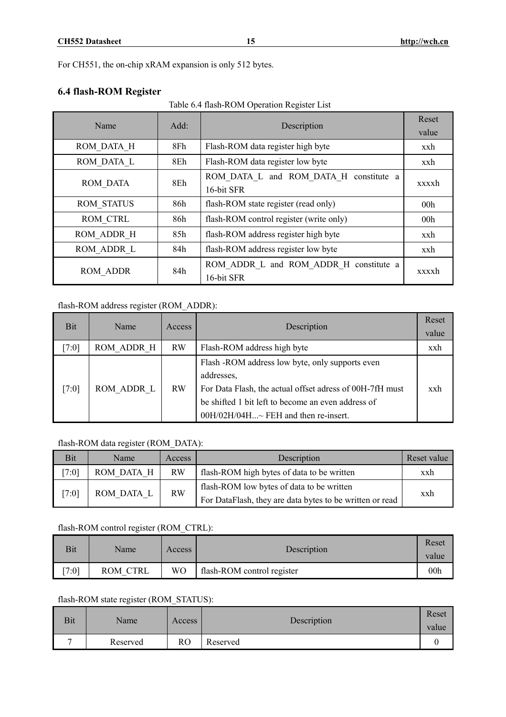For CH551, the on-chip xRAM expansion is only 512 bytes.

# **6.4 flash-ROM Register**

Table 6.4 flash-ROM Operation Register List

| Name              | Add: | Description                             | Reset           |
|-------------------|------|-----------------------------------------|-----------------|
|                   |      |                                         | value           |
| ROM DATA H        | 8Fh  | Flash-ROM data register high byte       | xxh             |
| ROM DATA L        | 8Eh  | Flash-ROM data register low byte        | xxh             |
| <b>ROM DATA</b>   | 8Eh  | ROM DATA L and ROM DATA H constitute a  | xxxxh           |
|                   |      | 16-bit SFR                              |                 |
| <b>ROM STATUS</b> | 86h  | flash-ROM state register (read only)    | 00 <sub>h</sub> |
| ROM CTRL          | 86h  | flash-ROM control register (write only) | 00 <sub>h</sub> |
| ROM ADDR H        | 85h  | flash-ROM address register high byte    | xxh             |
| ROM ADDR L        | 84h  | flash-ROM address register low byte     | xxh             |
| <b>ROM ADDR</b>   | 84h  | ROM ADDR L and ROM ADDR H constitute a  | xxxxh           |
|                   |      | 16-bit SFR                              |                 |

### flash-ROM address register (ROM\_ADDR):

| Bit   | Name       | Access    | Description                                                                                                                                                                                                             | Reset<br>value |
|-------|------------|-----------|-------------------------------------------------------------------------------------------------------------------------------------------------------------------------------------------------------------------------|----------------|
| [7:0] | ROM ADDR H | <b>RW</b> | Flash-ROM address high byte                                                                                                                                                                                             | xxh            |
| [7:0] | ROM ADDR L | <b>RW</b> | Flash -ROM address low byte, only supports even<br>addresses,<br>For Data Flash, the actual offset adress of 00H-7fH must<br>be shifted 1 bit left to become an even address of<br>00H/02H/04H~ FEH and then re-insert. | xxh            |

# flash-ROM data register (ROM\_DATA):

| Bit   | Name                    | Access    | Description                                              | Reset value |
|-------|-------------------------|-----------|----------------------------------------------------------|-------------|
| [7:0] | ROM DATA H              | <b>RW</b> | flash-ROM high bytes of data to be written               | xxh         |
| [7:0] |                         |           | flash-ROM low bytes of data to be written                |             |
|       | <b>RW</b><br>ROM DATA L |           | For DataFlash, they are data bytes to be written or read | xxh         |

### flash-ROM control register (ROM\_CTRL):

| Bit  | Name     | Access | Description                | Reset<br>value  |
|------|----------|--------|----------------------------|-----------------|
| 7:01 | ROM CTRL | WO     | flash-ROM control register | 00 <sub>h</sub> |

#### flash-ROM state register (ROM\_STATUS):

| Bit | Name     | Access | Description | Reset<br>value |
|-----|----------|--------|-------------|----------------|
| -   | Reserved | RO     | Reserved    |                |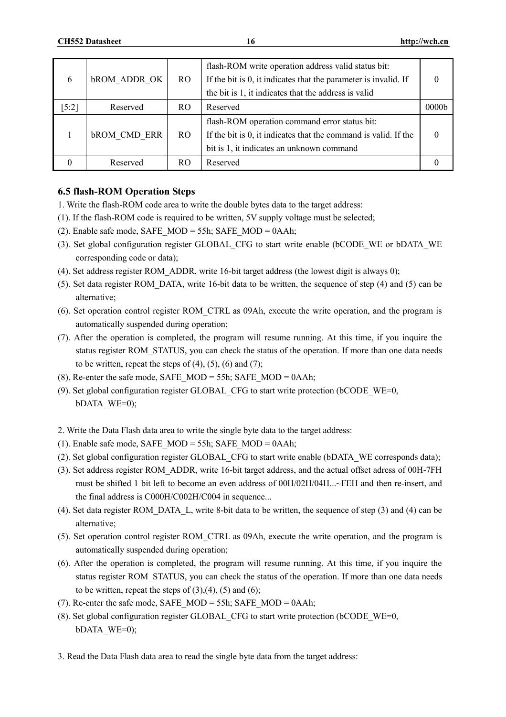| 6                  | <b>bROM ADDR OK</b> | R <sub>O</sub> | flash-ROM write operation address valid status bit:<br>If the bit is 0, it indicates that the parameter is invalid. If<br>the bit is 1, it indicates that the address is valid |                   |
|--------------------|---------------------|----------------|--------------------------------------------------------------------------------------------------------------------------------------------------------------------------------|-------------------|
| $\left[5:2\right]$ | Reserved            | RO.            | Reserved                                                                                                                                                                       | 0000 <sub>b</sub> |
|                    | <b>bROM CMD ERR</b> | RO.            | flash-ROM operation command error status bit:<br>If the bit is 0, it indicates that the command is valid. If the<br>bit is 1, it indicates an unknown command                  |                   |
|                    | Reserved            | RO             | Reserved                                                                                                                                                                       |                   |

### **6.5 flash-ROM Operation Steps**

- 1. Write the flash-ROM code area to write the double bytes data to the target address:
- (1). If the flash-ROM code is required to be written, 5V supply voltage must be selected;
- (2). Enable safe mode, SAFE\_MOD = 55h; SAFE\_MOD = 0AAh;
- (3). Set global configuration register GLOBAL\_CFG to start write enable (bCODE\_WE or bDATA\_WE corresponding code or data);
- (4). Set address register ROM\_ADDR, write 16-bit target address (the lowest digit is always 0);
- (5). Set data register ROM\_DATA, write 16-bit data to be written, the sequence of step (4) and (5) can be alternative;
- (6). Set operation control register ROM\_CTRL as 09Ah, execute the write operation, and the program is automatically suspended during operation;
- (7). After the operation is completed, the program will resume running. At this time, if you inquire the status register ROM\_STATUS, you can check the status of the operation. If more than one data needs to be written, repeat the steps of  $(4)$ ,  $(5)$ ,  $(6)$  and  $(7)$ ;
- (8). Re-enter the safe mode, SAFE\_MOD = 55h; SAFE\_MOD = 0AAh;
- (9). Set global configuration register GLOBAL\_CFG to start write protection (bCODE\_WE=0, bDATA\_WE=0);
- 2. Write the Data Flash data area to write the single byte data to the target address:
- (1). Enable safe mode, SAFE\_MOD = 55h; SAFE\_MOD = 0AAh;
- (2). Set global configuration register GLOBAL\_CFG to start write enable (bDATA\_WE corresponds data);
- (3). Set address register ROM\_ADDR, write 16-bit target address, and the actual offset adress of 00H-7FH must be shifted 1 bit left to become an even address of 00H/02H/04H...~FEH and then re-insert, and the final address is C000H/C002H/C004 in sequence...
- (4). Set data register ROM\_DATA\_L, write 8-bit data to be written, the sequence of step (3) and (4) can be alternative;
- (5). Set operation control register ROM\_CTRL as 09Ah, execute the write operation, and the program is automatically suspended during operation;
- (6). After the operation is completed, the program will resume running. At this time, if you inquire the status register ROM\_STATUS, you can check the status of the operation. If more than one data needs to be written, repeat the steps of  $(3)$ , $(4)$ ,  $(5)$  and  $(6)$ ;
- (7). Re-enter the safe mode, SAFE\_MOD = 55h; SAFE\_MOD = 0AAh;
- (8). Set global configuration register GLOBAL\_CFG to start write protection (bCODE\_WE=0, bDATA\_WE=0);
- 3. Read the Data Flash data area to read the single byte data from the target address: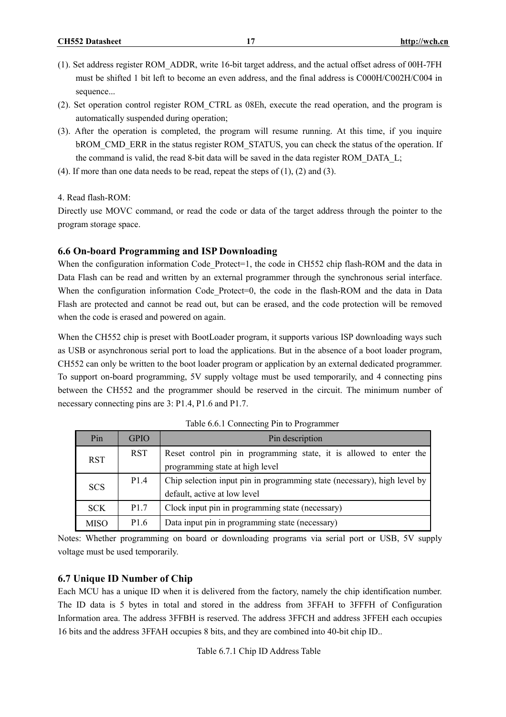- (1). Set address register ROM\_ADDR, write 16-bit target address, and the actual offset adress of 00H-7FH must be shifted 1 bit left to become an even address, and the final address is C000H/C002H/C004 in sequence...
- (2). Set operation control register ROM\_CTRL as 08Eh, execute the read operation, and the program is automatically suspended during operation;
- (3). After the operation is completed, the program will resume running. At this time, if you inquire bROM\_CMD\_ERR in the status register ROM\_STATUS, you can check the status of the operation. If the command is valid, the read 8-bit data will be saved in the data register ROM\_DATA\_L;
- (4). If more than one data needs to be read, repeat the steps of  $(1)$ ,  $(2)$  and  $(3)$ .

4. Read flash-ROM:

Directly use MOVC command, or read the code or data of the target address through the pointer to the program storage space.

#### **6.6 On-board Programming and ISP Downloading**

When the configuration information Code Protect=1, the code in CH552 chip flash-ROM and the data in Data Flash can be read and written by an external programmer through the synchronous serial interface. When the configuration information Code Protect=0, the code in the flash-ROM and the data in Data Flash are protected and cannot be read out, but can be erased, and the code protection will be removed when the code is erased and powered on again.

When the CH552 chip is preset with BootLoader program, it supports various ISP downloading ways such as USB or asynchronous serial port to load the applications. But in the absence of a boot loader program, CH552 can only be written to the boot loader program or application by an external dedicated programmer. To support on-board programming, 5V supply voltage must be used temporarily, and 4 connecting pins between the CH552 and the programmer should be reserved in the circuit. The minimum number of necessary connecting pins are 3: P1.4, P1.6 and P1.7.

| Pin         | <b>GPIO</b>      | Pin description                                                          |  |  |  |
|-------------|------------------|--------------------------------------------------------------------------|--|--|--|
| <b>RST</b>  | <b>RST</b>       | Reset control pin in programming state, it is allowed to enter the       |  |  |  |
|             |                  | programming state at high level                                          |  |  |  |
|             | P1.4             | Chip selection input pin in programming state (necessary), high level by |  |  |  |
| <b>SCS</b>  |                  | default, active at low level                                             |  |  |  |
| <b>SCK</b>  | P <sub>1.7</sub> | Clock input pin in programming state (necessary)                         |  |  |  |
| <b>MISO</b> | P <sub>1.6</sub> | Data input pin in programming state (necessary)                          |  |  |  |

Table 6.6.1 Connecting Pin to Programmer

Notes: Whether programming on board or downloading programs via serial port or USB, 5V supply voltage must be used temporarily.

#### **6.7 Unique ID Number of Chip**

Each MCU has a unique ID when it is delivered from the factory, namely the chip identification number. The ID data is 5 bytes in total and stored in the address from 3FFAH to 3FFFH of Configuration Information area. The address 3FFBH is reserved. The address 3FFCH and address 3FFEH each occupies 16 bits and the address 3FFAH occupies 8 bits, and they are combined into 40-bit chip ID..

Table 6.7.1 Chip ID Address Table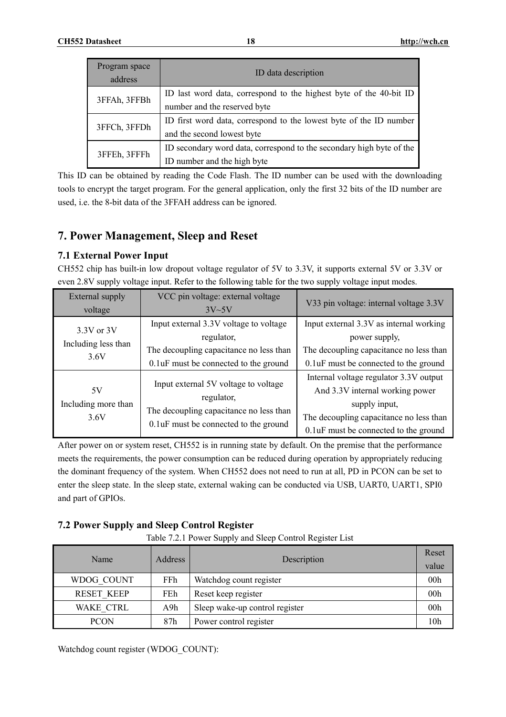| Program space<br>address | ID data description                                                  |
|--------------------------|----------------------------------------------------------------------|
| 3FFAh, 3FFBh             | ID last word data, correspond to the highest byte of the 40-bit ID   |
|                          | number and the reserved byte                                         |
|                          | ID first word data, correspond to the lowest byte of the ID number   |
| 3FFCh, 3FFDh             | and the second lowest byte                                           |
|                          | ID secondary word data, correspond to the secondary high byte of the |
| 3FFEh, 3FFFh             | ID number and the high byte                                          |

This ID can be obtained by reading the Code Flash. The ID number can be used with the downloading tools to encrypt the target program. For the general application, only the first 32 bits of the ID number are used, i.e. the 8-bit data of the 3FFAH address can be ignored.

# **7. Power Management, Sleep and Reset**

# **7.1 External Power Input**

CH552 chip has built-in low dropout voltage regulator of 5V to 3.3V, it supports external 5V or 3.3V or even 2.8V supply voltage input. Refer to the following table for the two supply voltage input modes.

| External supply<br>voltage                | VCC pin voltage: external voltage<br>$3V\sim5V$                                                                                           | V33 pin voltage: internal voltage 3.3V                                                                                                                                          |
|-------------------------------------------|-------------------------------------------------------------------------------------------------------------------------------------------|---------------------------------------------------------------------------------------------------------------------------------------------------------------------------------|
| 3.3V or 3V<br>Including less than<br>3.6V | Input external 3.3V voltage to voltage<br>regulator,<br>The decoupling capacitance no less than<br>0.1 uF must be connected to the ground | Input external 3.3V as internal working<br>power supply,<br>The decoupling capacitance no less than<br>0.1 uF must be connected to the ground                                   |
| 5V<br>Including more than<br>3.6V         | Input external 5V voltage to voltage<br>regulator,<br>The decoupling capacitance no less than<br>0.1 uF must be connected to the ground   | Internal voltage regulator 3.3V output<br>And 3.3V internal working power<br>supply input,<br>The decoupling capacitance no less than<br>0.1 uF must be connected to the ground |

After power on or system reset, CH552 is in running state by default. On the premise that the performance meets the requirements, the power consumption can be reduced during operation by appropriately reducing the dominant frequency of the system. When CH552 does not need to run at all, PD in PCON can be set to enter the sleep state. In the sleep state, external waking can be conducted via USB, UART0, UART1, SPI0 and part of GPIOs.

# **7.2 Power Supply and Sleep Control Register**

|  |  | Table 7.2.1 Power Supply and Sleep Control Register List |
|--|--|----------------------------------------------------------|
|  |  |                                                          |

| Name              | <b>Address</b> | Description                    | Reset<br>value  |
|-------------------|----------------|--------------------------------|-----------------|
| WDOG COUNT        | FFh.           | Watchdog count register        | 00 <sub>h</sub> |
| <b>RESET KEEP</b> | FEh            | Reset keep register            | 00 <sub>h</sub> |
| WAKE CTRL         | A9h            | Sleep wake-up control register | 00 <sub>h</sub> |
| <b>PCON</b>       | 87h            | Power control register         | 10 <sub>h</sub> |

Watchdog count register (WDOG\_COUNT):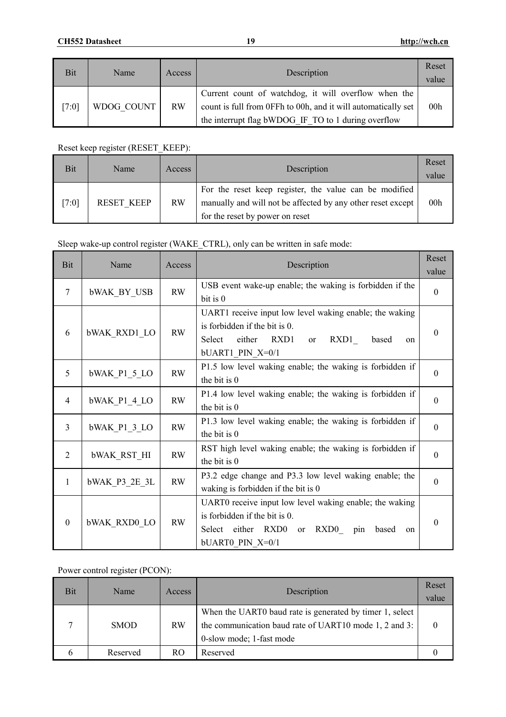| <b>Bit</b> | Name       | Access    | Description                                                                                                                                                                  | Reset<br>value  |
|------------|------------|-----------|------------------------------------------------------------------------------------------------------------------------------------------------------------------------------|-----------------|
| [7:0]      | WDOG COUNT | <b>RW</b> | Current count of watchdog, it will overflow when the<br>count is full from 0FFh to 00h, and it will automatically set<br>the interrupt flag bWDOG IF TO to 1 during overflow | 00 <sub>h</sub> |

Reset keep register (RESET\_KEEP):

| <b>Bit</b> | Name       | Access    | Description                                                                                                                                              | Reset<br>value  |
|------------|------------|-----------|----------------------------------------------------------------------------------------------------------------------------------------------------------|-----------------|
| [7:0]      | RESET KEEP | <b>RW</b> | For the reset keep register, the value can be modified<br>manually and will not be affected by any other reset except<br>for the reset by power on reset | 00 <sub>h</sub> |

# Sleep wake-up control register (WAKE\_CTRL), only can be written in safe mode:

| Bit              | Name                | Access    | Description                                                   | Reset            |
|------------------|---------------------|-----------|---------------------------------------------------------------|------------------|
|                  |                     |           |                                                               | value            |
| 7                | <b>bWAK BY USB</b>  | <b>RW</b> | USB event wake-up enable; the waking is forbidden if the      | $\mathbf{0}$     |
|                  |                     |           | bit is 0                                                      |                  |
|                  |                     |           | UART1 receive input low level waking enable; the waking       |                  |
|                  |                     | <b>RW</b> | is forbidden if the bit is 0.                                 | $\theta$         |
| 6                | <b>bWAK RXD1_LO</b> |           | RXD1<br>Select<br>either<br>RXD1<br><b>or</b><br>based<br>on  |                  |
|                  |                     |           | bUART1 PIN X=0/1                                              |                  |
|                  |                     |           | P1.5 low level waking enable; the waking is forbidden if      |                  |
| 5                | bWAK P1 5 LO        | <b>RW</b> | the bit is 0                                                  | $\theta$         |
|                  |                     | <b>RW</b> | P1.4 low level waking enable; the waking is forbidden if      |                  |
| 4                | bWAK P1 4 LO        |           | the bit is 0                                                  | $\theta$         |
| 3                |                     | <b>RW</b> | P1.3 low level waking enable; the waking is forbidden if      | $\mathbf{0}$     |
|                  | bWAK P1 3 LO        |           | the bit is 0                                                  |                  |
|                  |                     |           | RST high level waking enable; the waking is forbidden if      |                  |
| 2                | <b>bWAK RST HI</b>  | <b>RW</b> | the bit is 0                                                  | $\boldsymbol{0}$ |
|                  |                     |           | P3.2 edge change and P3.3 low level waking enable; the        |                  |
| 1                | bWAK P3 2E 3L       | <b>RW</b> | waking is forbidden if the bit is 0                           | $\theta$         |
|                  |                     |           | UART0 receive input low level waking enable; the waking       |                  |
| $\boldsymbol{0}$ | <b>bWAK RXD0 LO</b> | RW        | is forbidden if the bit is 0.                                 | $\theta$         |
|                  |                     |           | Select either RXD0<br>RXD0<br>pin<br>based<br><b>or</b><br>on |                  |
|                  |                     |           | bUART0 PIN X=0/1                                              |                  |

# Power control register (PCON):

| Bit | Name        | Access    | Description                                                                                                                                    | Reset<br>value |
|-----|-------------|-----------|------------------------------------------------------------------------------------------------------------------------------------------------|----------------|
|     | <b>SMOD</b> | <b>RW</b> | When the UART0 baud rate is generated by timer 1, select<br>the communication baud rate of UART10 mode 1, 2 and 3:<br>0-slow mode; 1-fast mode |                |
|     | Reserved    | RO.       | Reserved                                                                                                                                       |                |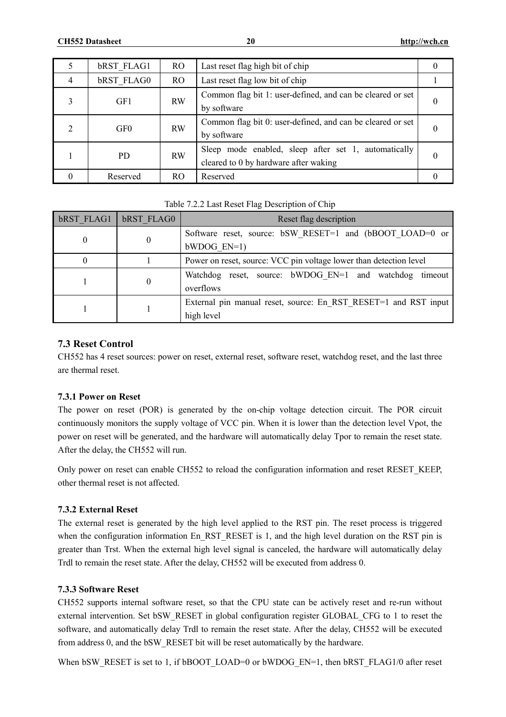|   | <b>bRST FLAG1</b> | RO.       | Last reset flag high bit of chip                                                              | 0        |
|---|-------------------|-----------|-----------------------------------------------------------------------------------------------|----------|
| 4 | <b>bRST FLAG0</b> | RO.       | Last reset flag low bit of chip                                                               |          |
|   | GF1               | <b>RW</b> | Common flag bit 1: user-defined, and can be cleared or set<br>by software                     |          |
|   | GF <sub>0</sub>   | <b>RW</b> | Common flag bit 0: user-defined, and can be cleared or set<br>by software                     | $\theta$ |
|   | PD.               | <b>RW</b> | Sleep mode enabled, sleep after set 1, automatically<br>cleared to 0 by hardware after waking | $\theta$ |
| 0 | Reserved          | RO.       | Reserved                                                                                      |          |

Table 7.2.2 Last Reset Flag Description of Chip

| <b>bRST FLAG1</b> | <b>bRST FLAG0</b> | Reset flag description                                                        |
|-------------------|-------------------|-------------------------------------------------------------------------------|
| $\theta$          | $\theta$          | Software reset, source: bSW RESET=1 and (bBOOT LOAD=0 or<br>$bWDOG EN=1)$     |
|                   |                   | Power on reset, source: VCC pin voltage lower than detection level            |
|                   |                   | Watchdog reset, source: bWDOG EN=1 and watchdog timeout<br>overflows          |
|                   |                   | External pin manual reset, source: En RST RESET=1 and RST input<br>high level |

### **7.3 Reset Control**

CH552 has 4 reset sources: power on reset, external reset, software reset, watchdog reset, and the last three are thermal reset.

#### **7.3.1 Power on Reset**

The power on reset (POR) is generated by the on-chip voltage detection circuit. The POR circuit continuously monitors the supply voltage of VCC pin. When it is lower than the detection level Vpot, the power on reset will be generated, and the hardware will automatically delay Tpor to remain the reset state. After the delay, the CH552 will run.

Only power on reset can enable CH552 to reload the configuration information and reset RESET\_KEEP, other thermal reset is not affected.

# **7.3.2 External Reset**

The external reset is generated by the high level applied to the RST pin. The reset process is triggered when the configuration information En RST\_RESET is 1, and the high level duration on the RST pin is greater than Trst. When the external high level signal is canceled, the hardware will automatically delay Trdl to remain the reset state. After the delay, CH552 will be executed from address 0.

#### **7.3.3 Software Reset**

CH552 supports internal software reset, so that the CPU state can be actively reset and re-run without external intervention. Set bSW\_RESET in global configuration register GLOBAL\_CFG to 1 to reset the software, and automatically delay Trdl to remain the reset state. After the delay, CH552 will be executed from address 0, and the bSW\_RESET bit will be reset automatically by the hardware.

When bSW\_RESET is set to 1, if bBOOT\_LOAD=0 or bWDOG\_EN=1, then bRST\_FLAG1/0 after reset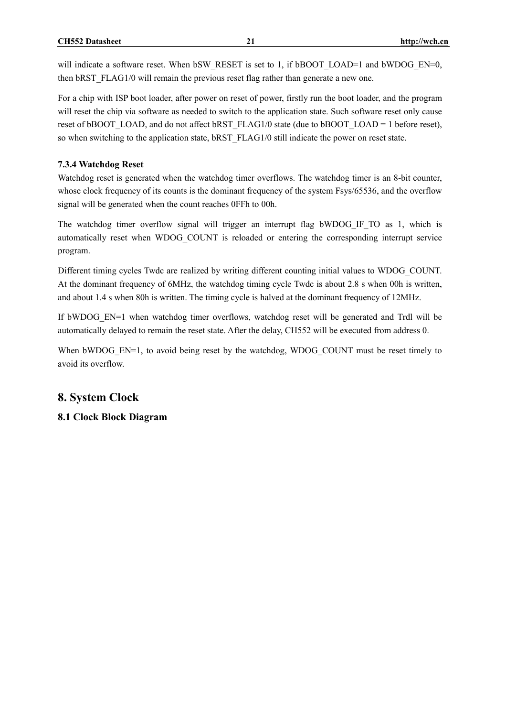will indicate a software reset. When bSW\_RESET is set to 1, if bBOOT\_LOAD=1 and bWDOG\_EN=0, then bRST\_FLAG1/0 will remain the previous reset flag rather than generate a new one.

For a chip with ISP boot loader, after power on reset of power, firstly run the boot loader, and the program will reset the chip via software as needed to switch to the application state. Such software reset only cause reset of bBOOT\_LOAD, and do not affect bRST\_FLAG1/0 state (due to bBOOT\_LOAD = 1 before reset), so when switching to the application state, bRST\_FLAG1/0 still indicate the power on reset state.

#### **7.3.4 Watchdog Reset**

Watchdog reset is generated when the watchdog timer overflows. The watchdog timer is an 8-bit counter, whose clock frequency of its counts is the dominant frequency of the system Fsys/65536, and the overflow signal will be generated when the count reaches 0FFh to 00h.

The watchdog timer overflow signal will trigger an interrupt flag bWDOG IF TO as 1, which is automatically reset when WDOG\_COUNT is reloaded or entering the corresponding interrupt service program.

Different timing cycles Twdc are realized by writing different counting initial values to WDOG\_COUNT. At the dominant frequency of 6MHz, the watchdog timing cycle Twdc is about 2.8 s when 00h is written, and about 1.4 s when 80h is written. The timing cycle is halved at the dominant frequency of 12MHz.

If bWDOG EN=1 when watchdog timer overflows, watchdog reset will be generated and Trdl will be automatically delayed to remain the reset state. After the delay, CH552 will be executed from address 0.

When bWDOG\_EN=1, to avoid being reset by the watchdog, WDOG\_COUNT must be reset timely to avoid its overflow.

# **8. System Clock**

**8.1 Clock Block Diagram**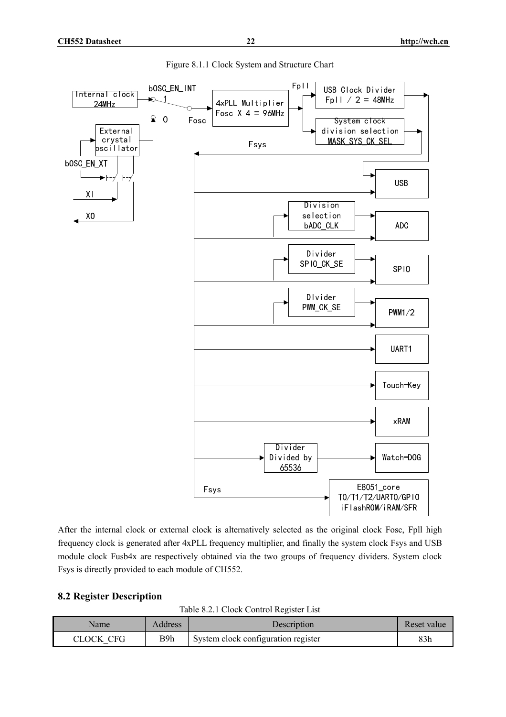

Figure 8.1.1 Clock System and Structure Chart

After the internal clock or external clock is alternatively selected as the original clock Fosc, Fpll high frequency clock is generated after 4xPLL frequency multiplier, and finally the system clock Fsys and USB module clock Fusb4x are respectively obtained via the two groups of frequency dividers. System clock Fsys is directly provided to each module of CH552.

#### **8.2 Register Description**

Table 8.2.1 Clock Control Register List

| Name      | Address | Description                         | Reset value |
|-----------|---------|-------------------------------------|-------------|
| CLOCK CEG | B9h     | System clock configuration register | 83h         |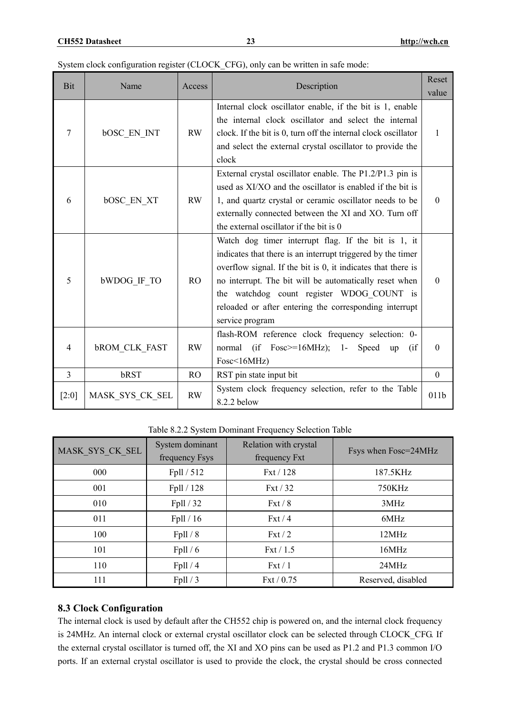|  |  |  | System clock configuration register (CLOCK CFG), only can be written in safe mode: |
|--|--|--|------------------------------------------------------------------------------------|
|--|--|--|------------------------------------------------------------------------------------|

| Bit            | Name                 | Access         | Description                                                                                                                                                                                                                                                                                                                                                            | Reset<br>value   |
|----------------|----------------------|----------------|------------------------------------------------------------------------------------------------------------------------------------------------------------------------------------------------------------------------------------------------------------------------------------------------------------------------------------------------------------------------|------------------|
| $\tau$         | <b>bOSC EN INT</b>   | <b>RW</b>      | Internal clock oscillator enable, if the bit is 1, enable<br>the internal clock oscillator and select the internal<br>clock. If the bit is 0, turn off the internal clock oscillator<br>and select the external crystal oscillator to provide the<br>clock                                                                                                             | 1                |
| 6              | <b>bOSC EN XT</b>    | <b>RW</b>      | External crystal oscillator enable. The P1.2/P1.3 pin is<br>used as XI/XO and the oscillator is enabled if the bit is<br>1, and quartz crystal or ceramic oscillator needs to be<br>externally connected between the XI and XO. Turn off<br>the external oscillator if the bit is 0                                                                                    | $\theta$         |
| 5              | <b>bWDOG IF TO</b>   | R <sub>O</sub> | Watch dog timer interrupt flag. If the bit is 1, it<br>indicates that there is an interrupt triggered by the timer<br>overflow signal. If the bit is 0, it indicates that there is<br>no interrupt. The bit will be automatically reset when<br>the watchdog count register WDOG COUNT is<br>reloaded or after entering the corresponding interrupt<br>service program | $\theta$         |
| $\overline{4}$ | <b>bROM CLK FAST</b> | <b>RW</b>      | flash-ROM reference clock frequency selection: 0-<br>normal (if Fosc>=16MHz); 1-<br>Speed<br>$\int$<br>up<br>Fosc<16MHz                                                                                                                                                                                                                                                | $\boldsymbol{0}$ |
| $\overline{3}$ | bRST                 | RO             | RST pin state input bit                                                                                                                                                                                                                                                                                                                                                | $\mathbf{0}$     |
| $[2:0]$        | MASK SYS CK SEL      | <b>RW</b>      | System clock frequency selection, refer to the Table<br>8.2.2 below                                                                                                                                                                                                                                                                                                    | 011b             |

Table 8.2.2 System Dominant Frequency Selection Table

| MASK SYS CK SEL | System dominant<br>frequency Fsys | Relation with crystal<br>frequency Fxt | Fsys when Fosc=24MHz |
|-----------------|-----------------------------------|----------------------------------------|----------------------|
| 000             | Fpll / 512                        | Fxt / 128                              | 187.5KHz             |
| 001             | Fpll / 128                        | ext/32                                 | 750KHz               |
| 010             | Fpll / 32                         | ext/8                                  | 3MHz                 |
| 011             | Fpll/16                           | Fxt/4                                  | 6MHz                 |
| 100             | Fpll/8                            | ext/2                                  | 12MHz                |
| 101             | Fpll/6                            | ext/1.5                                | 16MHz                |
| 110             | Fpll/4                            | $Fx$ t / 1                             | 24MHz                |
| 111             | Fpll/3                            | $\text{Fxt}$ / 0.75                    | Reserved, disabled   |

# **8.3 Clock Configuration**

The internal clock is used by default after the CH552 chip is powered on, and the internal clock frequency is 24MHz. An internal clock or external crystal oscillator clock can be selected through CLOCK\_CFG. If the external crystal oscillator is turned off, the XI and XO pins can be used as P1.2 and P1.3 common I/O ports. If an external crystal oscillator is used to provide the clock, the crystal should be cross connected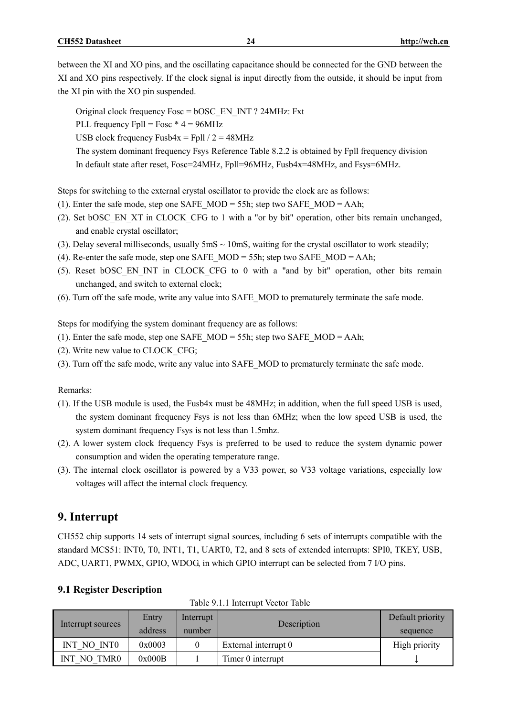between the XI and XO pins, and the oscillating capacitance should be connected for the GND between the XI and XO pins respectively. If the clock signal is input directly from the outside, it should be input from the XI pin with the XO pin suspended.

Original clock frequency Fosc = bOSC\_EN\_INT ? 24MHz: Fxt PLL frequency Fpll = Fosc  $*$  4 = 96MHz USB clock frequency Fusb $4x = Fp11 / 2 = 48MHz$ The system dominant frequency Fsys Reference Table 8.2.2 is obtained by Fpll frequency division In default state after reset, Fosc=24MHz, Fpll=96MHz, Fusb4x=48MHz, and Fsys=6MHz.

Steps for switching to the external crystal oscillator to provide the clock are as follows:

- (1). Enter the safe mode, step one SAFE\_MOD = 55h; step two SAFE\_MOD = AAh;
- (2). Set bOSC\_EN\_XT in CLOCK\_CFG to 1 with a "or by bit" operation, other bits remain unchanged, and enable crystal oscillator;
- (3). Delay several milliseconds, usually  $5 \text{mS} \sim 10 \text{mS}$ , waiting for the crystal oscillator to work steadily;
- (4). Re-enter the safe mode, step one SAFE\_MOD = 55h; step two SAFE\_MOD = AAh;
- (5). Reset bOSC\_EN\_INT in CLOCK\_CFG to 0 with a "and by bit" operation, other bits remain unchanged, and switch to external clock;
- (6). Turn off the safe mode, write any value into SAFE\_MOD to prematurely terminate the safe mode.

Steps for modifying the system dominant frequency are as follows:

- (1). Enter the safe mode, step one SAFE\_MOD = 55h; step two SAFE\_MOD = AAh;
- (2). Write new value to CLOCK\_CFG;
- (3). Turn off the safe mode, write any value into SAFE\_MOD to prematurely terminate the safe mode.

#### Remarks:

- (1). If the USB module is used, the Fusb4x must be 48MHz; in addition, when the full speed USB is used, the system dominant frequency Fsys is not less than 6MHz; when the low speed USB is used, the system dominant frequency Fsys is not less than 1.5mhz.
- (2). A lower system clock frequency Fsys is preferred to be used to reduce the system dynamic power consumption and widen the operating temperature range.
- (3). The internal clock oscillator is powered by a V33 power, so V33 voltage variations, especially low voltages will affect the internal clock frequency.

# **9. Interrupt**

CH552 chip supports 14 sets of interrupt signal sources, including 6 sets of interrupts compatible with the standard MCS51: INT0, T0, INT1, T1, UART0, T2, and 8 sets of extended interrupts: SPI0, TKEY, USB, ADC, UART1, PWMX, GPIO, WDOG, in which GPIO interrupt can be selected from 7 I/O pins.

| Interrupt sources                 | Entry   | Interrupt | Description          | Default priority |
|-----------------------------------|---------|-----------|----------------------|------------------|
|                                   | address | number    |                      | sequence         |
| INT NO INTO                       | 0x0003  |           | External interrupt 0 | High priority    |
| NO TMR <sub>0</sub><br><b>INT</b> | 0x000B  |           | Timer 0 interrupt    | ◡                |

**9.1 Register Description**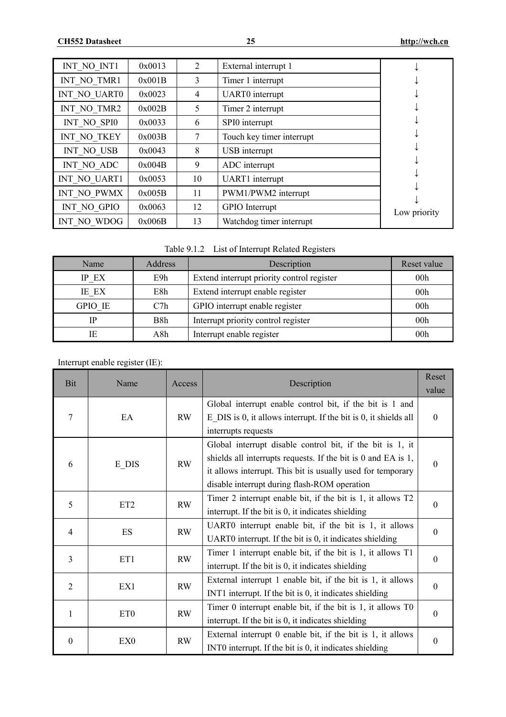| INT NO INT1  | 0x0013 | 2  | External interrupt 1      |              |
|--------------|--------|----|---------------------------|--------------|
| INT NO TMR1  | 0x001B | 3  | Timer 1 interrupt         |              |
| INT NO UARTO | 0x0023 | 4  | UART0 interrupt           |              |
| INT NO TMR2  | 0x002B | 5  | Timer 2 interrupt         |              |
| INT NO SPIO  | 0x0033 | 6  | SPI0 interrupt            |              |
| INT NO TKEY  | 0x003B |    | Touch key timer interrupt |              |
| INT NO USB   | 0x0043 | 8  | USB interrupt             |              |
| INT NO ADC   | 0x004B | 9  | ADC interrupt             |              |
| INT NO UART1 | 0x0053 | 10 | UART1 interrupt           |              |
| INT NO PWMX  | 0x005B | 11 | PWM1/PWM2 interrupt       |              |
| INT NO GPIO  | 0x0063 | 12 | GPIO Interrupt            | Low priority |
| INT NO WDOG  | 0x006B | 13 | Watchdog timer interrupt  |              |

| Table 9.1.2 List of Interrupt Related Registers |
|-------------------------------------------------|
|                                                 |

| Name    | Address | Description                                | Reset value     |
|---------|---------|--------------------------------------------|-----------------|
| IP EX   | E9h     | Extend interrupt priority control register | 00 <sub>h</sub> |
| IE EX   | E8h     | Extend interrupt enable register           | 00 <sub>h</sub> |
| GPIO IE | C7h     | GPIO interrupt enable register             | 00 <sub>h</sub> |
| IP      | B8h     | Interrupt priority control register        | 00 <sub>h</sub> |
| IE      | A8h     | Interrupt enable register                  | 00 <sub>h</sub> |

Interrupt enable register (IE):

| Bit              | Name               | Access    | Description                                                                                                                                                                                                                                    | Reset<br>value   |
|------------------|--------------------|-----------|------------------------------------------------------------------------------------------------------------------------------------------------------------------------------------------------------------------------------------------------|------------------|
| 7                | EA                 | <b>RW</b> | Global interrupt enable control bit, if the bit is 1 and<br>$E$ DIS is 0, it allows interrupt. If the bit is 0, it shields all<br>interrupts requests                                                                                          | $\theta$         |
| 6                | $E$ <sub>DIS</sub> | <b>RW</b> | Global interrupt disable control bit, if the bit is 1, it<br>shields all interrupts requests. If the bit is $0$ and EA is $1$ ,<br>it allows interrupt. This bit is usually used for temporary<br>disable interrupt during flash-ROM operation | $\theta$         |
| 5                | ET <sub>2</sub>    | <b>RW</b> | Timer 2 interrupt enable bit, if the bit is 1, it allows T2<br>interrupt. If the bit is 0, it indicates shielding                                                                                                                              | $\theta$         |
| 4                | ES                 | <b>RW</b> | UART0 interrupt enable bit, if the bit is 1, it allows<br>UART0 interrupt. If the bit is 0, it indicates shielding                                                                                                                             | $\theta$         |
| 3                | ET1                | RW        | Timer 1 interrupt enable bit, if the bit is 1, it allows T1<br>interrupt. If the bit is 0, it indicates shielding                                                                                                                              | $\boldsymbol{0}$ |
| $\overline{2}$   | EX1                | <b>RW</b> | External interrupt 1 enable bit, if the bit is 1, it allows<br>INT1 interrupt. If the bit is 0, it indicates shielding                                                                                                                         | $\boldsymbol{0}$ |
| $\mathbf{1}$     | ET <sub>0</sub>    | <b>RW</b> | Timer $0$ interrupt enable bit, if the bit is 1, it allows $T0$<br>interrupt. If the bit is 0, it indicates shielding                                                                                                                          | $\theta$         |
| $\boldsymbol{0}$ | EX <sub>0</sub>    | <b>RW</b> | External interrupt 0 enable bit, if the bit is 1, it allows<br>INT0 interrupt. If the bit is 0, it indicates shielding                                                                                                                         | $\boldsymbol{0}$ |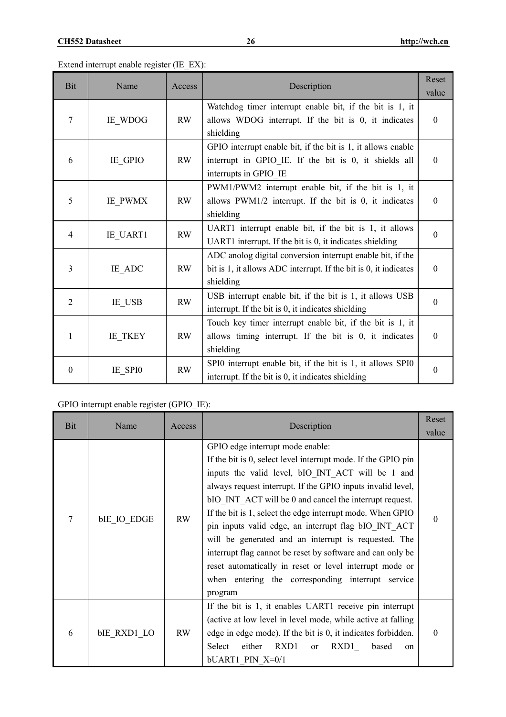Extend interrupt enable register (IE\_EX):

| <b>Bit</b>       | Name            | Access    | Description                                                                                                                                       | Reset<br>value   |
|------------------|-----------------|-----------|---------------------------------------------------------------------------------------------------------------------------------------------------|------------------|
| 7                | IE WDOG         | <b>RW</b> | Watchdog timer interrupt enable bit, if the bit is 1, it<br>allows WDOG interrupt. If the bit is 0, it indicates<br>shielding                     | $\mathbf{0}$     |
| 6                | IE GPIO         | <b>RW</b> | GPIO interrupt enable bit, if the bit is 1, it allows enable<br>interrupt in GPIO_IE. If the bit is 0, it shields all<br>interrupts in GPIO IE    | $\mathbf{0}$     |
| 5                | IE PWMX         | RW        | PWM1/PWM2 interrupt enable bit, if the bit is 1, it<br>allows PWM1/2 interrupt. If the bit is 0, it indicates<br>shielding                        | $\mathbf{0}$     |
| 4                | <b>IE UART1</b> | <b>RW</b> | UART1 interrupt enable bit, if the bit is 1, it allows<br>UART1 interrupt. If the bit is 0, it indicates shielding                                | $\theta$         |
| $\overline{3}$   | IE ADC          | <b>RW</b> | ADC anolog digital conversion interrupt enable bit, if the<br>bit is $1$ , it allows ADC interrupt. If the bit is $0$ , it indicates<br>shielding | $\mathbf{0}$     |
| $\overline{2}$   | IE USB          | <b>RW</b> | USB interrupt enable bit, if the bit is 1, it allows USB<br>interrupt. If the bit is 0, it indicates shielding                                    | $\theta$         |
| 1                | IE_TKEY         | <b>RW</b> | Touch key timer interrupt enable bit, if the bit is 1, it<br>allows timing interrupt. If the bit is 0, it indicates<br>shielding                  | $\mathbf{0}$     |
| $\boldsymbol{0}$ | IE_SPI0         | <b>RW</b> | SPI0 interrupt enable bit, if the bit is 1, it allows SPI0<br>interrupt. If the bit is 0, it indicates shielding                                  | $\boldsymbol{0}$ |

GPIO interrupt enable register (GPIO\_IE):

| Bit | Name               | Access    | Description                                                                                                                                                                                                                                                                                                                                                                                                                                                                                                                                                                                                                                             | Reset<br>value |
|-----|--------------------|-----------|---------------------------------------------------------------------------------------------------------------------------------------------------------------------------------------------------------------------------------------------------------------------------------------------------------------------------------------------------------------------------------------------------------------------------------------------------------------------------------------------------------------------------------------------------------------------------------------------------------------------------------------------------------|----------------|
| 7   | <b>bIE IO EDGE</b> | <b>RW</b> | GPIO edge interrupt mode enable:<br>If the bit is 0, select level interrupt mode. If the GPIO pin<br>inputs the valid level, bIO INT ACT will be 1 and<br>always request interrupt. If the GPIO inputs invalid level,<br>bIO INT ACT will be 0 and cancel the interrupt request.<br>If the bit is 1, select the edge interrupt mode. When GPIO<br>pin inputs valid edge, an interrupt flag bIO INT ACT<br>will be generated and an interrupt is requested. The<br>interrupt flag cannot be reset by software and can only be<br>reset automatically in reset or level interrupt mode or<br>when entering the corresponding interrupt service<br>program | $\theta$       |
| 6   | <b>bIE RXD1 LO</b> | RW        | If the bit is 1, it enables UART1 receive pin interrupt<br>(active at low level in level mode, while active at falling<br>edge in edge mode). If the bit is 0, it indicates forbidden.<br>Select<br>either<br>RXD1<br>RXD1<br>based<br><b>or</b><br>on<br>bUART1 PIN X=0/1                                                                                                                                                                                                                                                                                                                                                                              | $\Omega$       |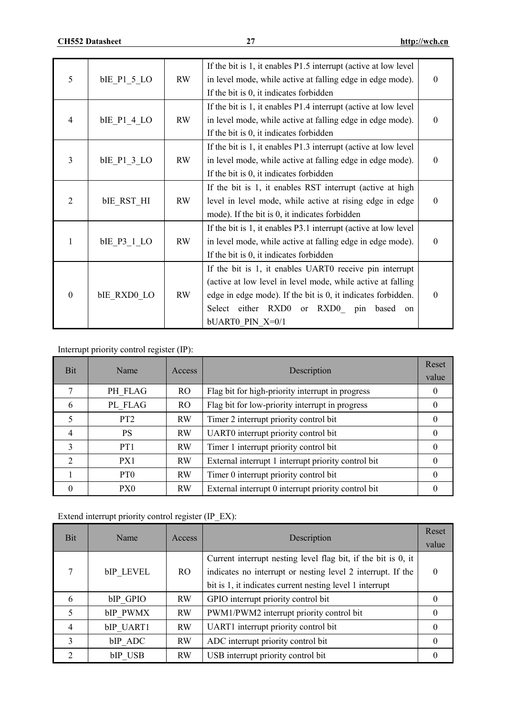| 5                | blE P1 5 LO        | <b>RW</b> | If the bit is 1, it enables P1.5 interrupt (active at low level)<br>in level mode, while active at falling edge in edge mode).<br>If the bit is 0, it indicates forbidden                                                                                   | $\theta$     |
|------------------|--------------------|-----------|-------------------------------------------------------------------------------------------------------------------------------------------------------------------------------------------------------------------------------------------------------------|--------------|
| 4                | bIE P1 4 LO        | <b>RW</b> | If the bit is 1, it enables P1.4 interrupt (active at low level)<br>in level mode, while active at falling edge in edge mode).<br>If the bit is 0, it indicates forbidden                                                                                   | $\mathbf{0}$ |
| 3                | bIE P1 3 LO        | RW        | If the bit is 1, it enables P1.3 interrupt (active at low level)<br>in level mode, while active at falling edge in edge mode).<br>If the bit is 0, it indicates forbidden                                                                                   | $\theta$     |
| $\overline{2}$   | <b>bIE RST HI</b>  | <b>RW</b> | If the bit is 1, it enables RST interrupt (active at high<br>level in level mode, while active at rising edge in edge<br>mode). If the bit is 0, it indicates forbidden                                                                                     | $\Omega$     |
| 1                | bIE P3 1 LO        | RW        | If the bit is 1, it enables P3.1 interrupt (active at low level)<br>in level mode, while active at falling edge in edge mode).<br>If the bit is 0, it indicates forbidden                                                                                   | $\theta$     |
| $\boldsymbol{0}$ | <b>bIE RXD0 LO</b> | <b>RW</b> | If the bit is 1, it enables UART0 receive pin interrupt<br>(active at low level in level mode, while active at falling<br>edge in edge mode). If the bit is 0, it indicates forbidden.<br>Select either RXD0 or RXD0<br>pin based<br>on<br>bUART0 PIN X=0/1 | $\theta$     |

Interrupt priority control register (IP):

| <b>Bit</b>                  | Name            | Access         | Description                                         | Reset<br>value |
|-----------------------------|-----------------|----------------|-----------------------------------------------------|----------------|
| 7                           | PH FLAG         | R <sub>O</sub> | Flag bit for high-priority interrupt in progress    | $\theta$       |
| 6                           | PL FLAG         | R <sub>O</sub> | Flag bit for low-priority interrupt in progress     | $\theta$       |
| 5                           | PT <sub>2</sub> | <b>RW</b>      | Timer 2 interrupt priority control bit              | $\theta$       |
| 4                           | <b>PS</b>       | <b>RW</b>      | UART0 interrupt priority control bit                | $\Omega$       |
| 3                           | PT <sub>1</sub> | <b>RW</b>      | Timer 1 interrupt priority control bit              | $\theta$       |
| $\mathcal{D}_{\mathcal{L}}$ | PX1             | <b>RW</b>      | External interrupt 1 interrupt priority control bit | $\theta$       |
|                             | PT <sub>0</sub> | <b>RW</b>      | Timer 0 interrupt priority control bit              | $\theta$       |
|                             | PX0             | <b>RW</b>      | External interrupt 0 interrupt priority control bit |                |

Extend interrupt priority control register (IP\_EX):

| <b>Bit</b> | Name                | Access    | Description                                                   | Reset<br>value |
|------------|---------------------|-----------|---------------------------------------------------------------|----------------|
|            |                     |           | Current interrupt nesting level flag bit, if the bit is 0, it |                |
|            | bIP LEVEL           | RO.       | indicates no interrupt or nesting level 2 interrupt. If the   | $\theta$       |
|            |                     |           | bit is 1, it indicates current nesting level 1 interrupt      |                |
| 6          | bIP GPIO            | <b>RW</b> | GPIO interrupt priority control bit                           | $\theta$       |
| 5          | bIP PWMX            | <b>RW</b> | PWM1/PWM2 interrupt priority control bit                      | $\theta$       |
| 4          | bIP UART1           | <b>RW</b> | UART1 interrupt priority control bit                          | 0              |
| 3          | bIP ADC             | <b>RW</b> | ADC interrupt priority control bit                            | $\Omega$       |
| 2          | b <sub>IP</sub> USB | <b>RW</b> | USB interrupt priority control bit                            | $\Omega$       |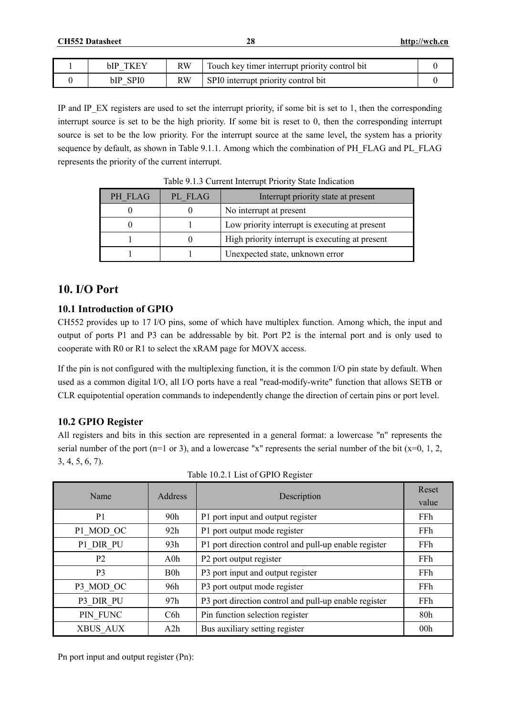| bIP<br>_                | RW | Touch key timer interrupt priority control bit |  |
|-------------------------|----|------------------------------------------------|--|
| SPI <sub>0</sub><br>bIP |    | SPI0 interrupt priority control bit            |  |

IP and IP  $EX$  registers are used to set the interrupt priority, if some bit is set to 1, then the corresponding interrupt source is set to be the high priority. If some bit is reset to 0, then the corresponding interrupt source is set to be the low priority. For the interrupt source at the same level, the system has a priority sequence by default, as shown in Table 9.1.1. Among which the combination of PH\_FLAG and PL\_FLAG represents the priority of the current interrupt.

| PH FLAG | PL FLAG | Interrupt priority state at present             |
|---------|---------|-------------------------------------------------|
|         |         | No interrupt at present                         |
|         |         | Low priority interrupt is executing at present  |
|         |         | High priority interrupt is executing at present |
|         |         | Unexpected state, unknown error                 |

Table 9.1.3 Current Interrupt Priority State Indication

# **10. I/O Port**

### **10.1 Introduction of GPIO**

CH552 provides up to 17 I/O pins, some of which have multiplex function. Among which, the input and output of ports P1 and P3 can be addressable by bit. Port P2 is the internal port and is only used to cooperate with R0 or R1 to select the xRAM page for MOVX access.

If the pin is not configured with the multiplexing function, it is the common I/O pin state by default. When used as a common digital I/O, all I/O ports have a real "read-modify-write" function that allows SETB or CLR equipotential operation commands to independently change the direction of certain pins or port level.

# **10.2 GPIO Register**

All registers and bits in this section are represented in a general format: a lowercase "n" represents the serial number of the port (n=1 or 3), and a lowercase "x" represents the serial number of the bit  $(x=0, 1, 2, ...)$ 3, 4, 5, 6, 7).

| Name           | Address          | Description                                           | Reset           |
|----------------|------------------|-------------------------------------------------------|-----------------|
|                |                  |                                                       | value           |
| P <sub>1</sub> | 90 <sub>h</sub>  | P1 port input and output register                     | FFh             |
| P1 MOD OC      | 92h              | P1 port output mode register                          | FFh             |
| P1 DIR PU      | 93h              | P1 port direction control and pull-up enable register | FFh             |
| P <sub>2</sub> | $A0$ h           | P2 port output register                               | FFh             |
| P <sub>3</sub> | B <sub>0</sub> h | P3 port input and output register                     | FFh             |
| P3 MOD OC      | 96h              | P3 port output mode register                          | FFh             |
| P3 DIR PU      | 97h              | P3 port direction control and pull-up enable register | FFh             |
| PIN FUNC       | C <sub>6</sub> h | Pin function selection register                       | 80h             |
| XBUS AUX       | A2h              | Bus auxiliary setting register                        | 00 <sub>h</sub> |

|  |  |  |  | Table 10.2.1 List of GPIO Register |
|--|--|--|--|------------------------------------|
|--|--|--|--|------------------------------------|

Pn port input and output register (Pn):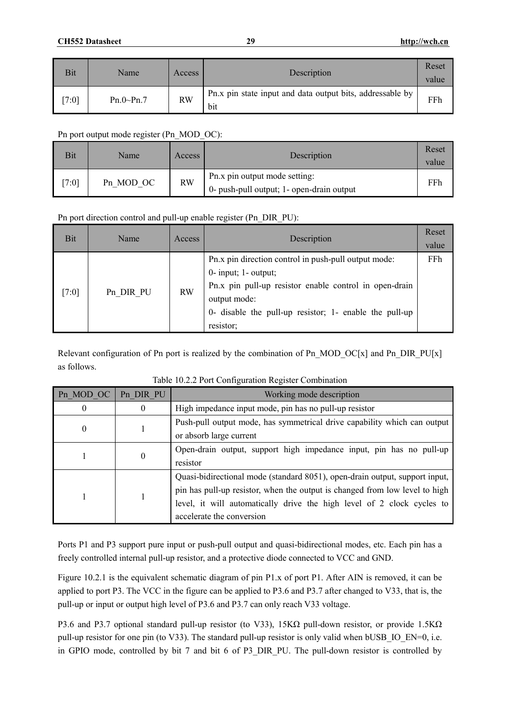| Bit  | Name        | Access    | Description                                                      | Reset<br>value |
|------|-------------|-----------|------------------------------------------------------------------|----------------|
| 7:01 | $Pn.0-Pn.7$ | <b>RW</b> | Pn.x pin state input and data output bits, addressable by<br>bit | FFh            |

#### Pn port output mode register (Pn\_MOD\_OC):

| Bit     | Name <sup>®</sup> | Access    | Description                                                                | Reset<br>value |
|---------|-------------------|-----------|----------------------------------------------------------------------------|----------------|
| $7:0$ ] | Pn MOD OC         | <b>RW</b> | Pn.x pin output mode setting:<br>0- push-pull output; 1- open-drain output | FFh            |

### Pn port direction control and pull-up enable register (Pn\_DIR\_PU):

| Bit   | Name      | Access    | Description                                                                                                                                                                                                                       | Reset<br>value |
|-------|-----------|-----------|-----------------------------------------------------------------------------------------------------------------------------------------------------------------------------------------------------------------------------------|----------------|
| [7:0] | Pn DIR PU | <b>RW</b> | Pn.x pin direction control in push-pull output mode:<br>$0$ - input; 1 - output;<br>Pn.x pin pull-up resistor enable control in open-drain<br>output mode:<br>0- disable the pull-up resistor; 1- enable the pull-up<br>resistor; | FFh            |

Relevant configuration of Pn port is realized by the combination of Pn\_MOD\_OC[x] and Pn\_DIR\_PU[x] as follows.

| Pn MOD OC | Pn DIR PU        | Working mode description                                                    |
|-----------|------------------|-----------------------------------------------------------------------------|
| $\theta$  | $\bf{0}$         | High impedance input mode, pin has no pull-up resistor                      |
| 0         |                  | Push-pull output mode, has symmetrical drive capability which can output    |
|           |                  | or absorb large current                                                     |
|           | $\boldsymbol{0}$ | Open-drain output, support high impedance input, pin has no pull-up         |
|           |                  | resistor                                                                    |
|           |                  | Quasi-bidirectional mode (standard 8051), open-drain output, support input, |
|           |                  | pin has pull-up resistor, when the output is changed from low level to high |
|           |                  | level, it will automatically drive the high level of 2 clock cycles to      |
|           |                  | accelerate the conversion                                                   |

|  |  |  | Table 10.2.2 Port Configuration Register Combination |
|--|--|--|------------------------------------------------------|
|  |  |  |                                                      |
|  |  |  |                                                      |

Ports P1 and P3 support pure input or push-pull output and quasi-bidirectional modes, etc. Each pin has a freely controlled internal pull-up resistor, and a protective diode connected to VCC and GND.

Figure 10.2.1 is the equivalent schematic diagram of pin P1.x of port P1. After AIN is removed, it can be applied to port P3. The VCC in the figure can be applied to P3.6 and P3.7 after changed to V33, that is, the pull-up or input or output high level of P3.6 and P3.7 can only reach V33 voltage.

P3.6 and P3.7 optional standard pull-up resistor (to V33), 15KΩ pull-down resistor, or provide 1.5KΩ pull-up resistor for one pin (to V33). The standard pull-up resistor is only valid when bUSB\_IO\_EN=0, i.e. in GPIO mode, controlled by bit 7 and bit 6 of P3\_DIR\_PU. The pull-down resistor is controlled by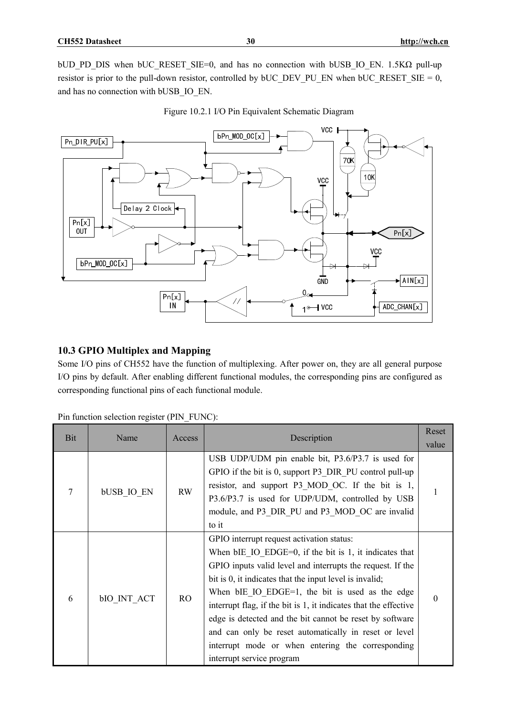bUD\_PD\_DIS when bUC\_RESET\_SIE=0, and has no connection with bUSB\_IO\_EN. 1.5KΩ pull-up resistor is prior to the pull-down resistor, controlled by  $bUC$  DEV\_PU\_EN when  $bUC$ <sub>RESET</sub>\_SIE = 0, and has no connection with bUSB\_IO\_EN.



Figure 10.2.1 I/O Pin Equivalent Schematic Diagram

# **10.3 GPIO Multiplex and Mapping**

Some I/O pins of CH552 have the function of multiplexing. After power on, they are all general purpose I/O pins by default. After enabling different functional modules, the corresponding pins are configured as corresponding functional pins of each functional module.

| Bit | Name              | Access | Description                                                                                                                                                                                                                                                                                                                                                                                                                                                                                                                                                          | Reset<br>value |
|-----|-------------------|--------|----------------------------------------------------------------------------------------------------------------------------------------------------------------------------------------------------------------------------------------------------------------------------------------------------------------------------------------------------------------------------------------------------------------------------------------------------------------------------------------------------------------------------------------------------------------------|----------------|
| 7   | <b>bUSB IO EN</b> | RW     | USB UDP/UDM pin enable bit, P3.6/P3.7 is used for<br>GPIO if the bit is 0, support P3 DIR PU control pull-up<br>resistor, and support P3 MOD OC. If the bit is 1,<br>P3.6/P3.7 is used for UDP/UDM, controlled by USB<br>module, and P3 DIR PU and P3 MOD OC are invalid<br>to it                                                                                                                                                                                                                                                                                    | 1              |
| 6   | bIO INT ACT       | RO     | GPIO interrupt request activation status:<br>When $bIE$ IO $EDGE=0$ , if the bit is 1, it indicates that<br>GPIO inputs valid level and interrupts the request. If the<br>bit is 0, it indicates that the input level is invalid;<br>When $bIE$ IO $EDGE=1$ , the bit is used as the edge<br>interrupt flag, if the bit is 1, it indicates that the effective<br>edge is detected and the bit cannot be reset by software<br>and can only be reset automatically in reset or level<br>interrupt mode or when entering the corresponding<br>interrupt service program | $\Omega$       |

Pin function selection register (PIN\_FUNC):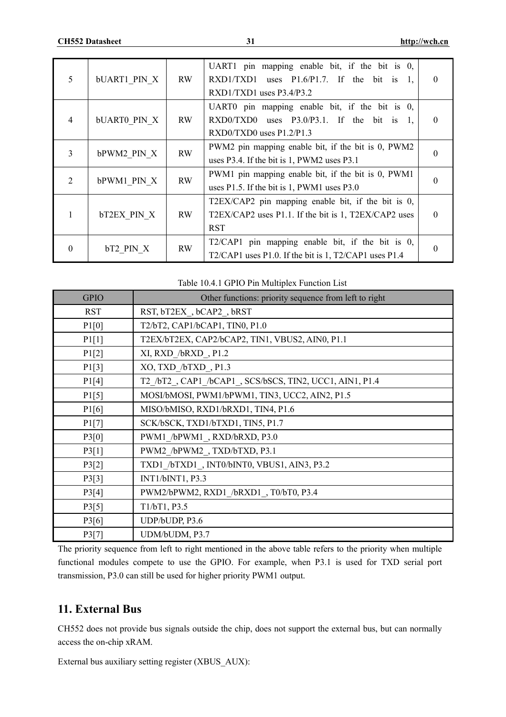| 5              | <b>bUART1 PIN X</b> | RW        | UART1 pin mapping enable bit, if the bit is 0,<br>RXD1/TXD1 uses $P1.6/P1.7$ . If the bit is 1,<br>$RXD1/TXD1$ uses $P3.4/P3.2$            | $\Omega$ |
|----------------|---------------------|-----------|--------------------------------------------------------------------------------------------------------------------------------------------|----------|
| $\overline{4}$ | <b>bUARTO PIN X</b> | RW        | UART0 pin mapping enable bit, if the bit is 0,<br>$\text{RXD0/TXD0}$ uses P3.0/P3.1. If the bit is 1,<br>$\text{RXD0/TXD0}$ uses P1.2/P1.3 | $\Omega$ |
| 3              | bPWM2 PIN X         | <b>RW</b> | PWM2 pin mapping enable bit, if the bit is 0, PWM2<br>uses P3.4. If the bit is 1, PWM2 uses P3.1                                           |          |
| $\overline{2}$ | bPWM1 PIN X         | <b>RW</b> | PWM1 pin mapping enable bit, if the bit is 0, PWM1<br>uses $P1.5$ . If the bit is 1, PWM1 uses $P3.0$                                      |          |
| 1              | <b>bT2EX PIN X</b>  | RW        | T2EX/CAP2 pin mapping enable bit, if the bit is 0,<br>T2EX/CAP2 uses P1.1. If the bit is 1, T2EX/CAP2 uses<br>RST                          | $\Omega$ |
| $\theta$       | bT2 PIN X           | <b>RW</b> | T2/CAP1 pin mapping enable bit, if the bit is 0,<br>T2/CAP1 uses P1.0. If the bit is 1, T2/CAP1 uses P1.4                                  | $\Omega$ |

| <b>GPIO</b> | Other functions: priority sequence from left to right    |
|-------------|----------------------------------------------------------|
| <b>RST</b>  | RST, bT2EX, bCAP2, bRST                                  |
| P1[0]       | T2/bT2, CAP1/bCAP1, TIN0, P1.0                           |
| P1[1]       | T2EX/bT2EX, CAP2/bCAP2, TIN1, VBUS2, AIN0, P1.1          |
| P1[2]       | XI, RXD /bRXD, P1.2                                      |
| P1[3]       | XO, TXD /bTXD, P1.3                                      |
| P1[4]       | T2_/bT2_, CAP1_/bCAP1_, SCS/bSCS, TIN2, UCC1, AIN1, P1.4 |
| P1[5]       | MOSI/bMOSI, PWM1/bPWM1, TIN3, UCC2, AIN2, P1.5           |
| P1[6]       | MISO/bMISO, RXD1/bRXD1, TIN4, P1.6                       |
| P1[7]       | SCK/bSCK, TXD1/bTXD1, TIN5, P1.7                         |
| P3[0]       | PWM1 /bPWM1, RXD/bRXD, P3.0                              |
| P3[1]       | PWM2 /bPWM2, TXD/bTXD, P3.1                              |
| P3[2]       | TXD1 /bTXD1, INT0/bINT0, VBUS1, AIN3, P3.2               |
| P3[3]       | INT1/bINT1, P3.3                                         |
| P3[4]       | PWM2/bPWM2, RXD1 /bRXD1, T0/bT0, P3.4                    |
| P3[5]       | T1/bT1, P3.5                                             |
| P3[6]       | UDP/bUDP, P3.6                                           |
| P3[7]       | UDM/bUDM, P3.7                                           |

The priority sequence from left to right mentioned in the above table refers to the priority when multiple functional modules compete to use the GPIO. For example, when P3.1 is used for TXD serial port transmission, P3.0 can still be used for higher priority PWM1 output.

# **11. External Bus**

CH552 does not provide bus signals outside the chip, does not support the external bus, but can normally access the on-chip xRAM.

External bus auxiliary setting register (XBUS\_AUX):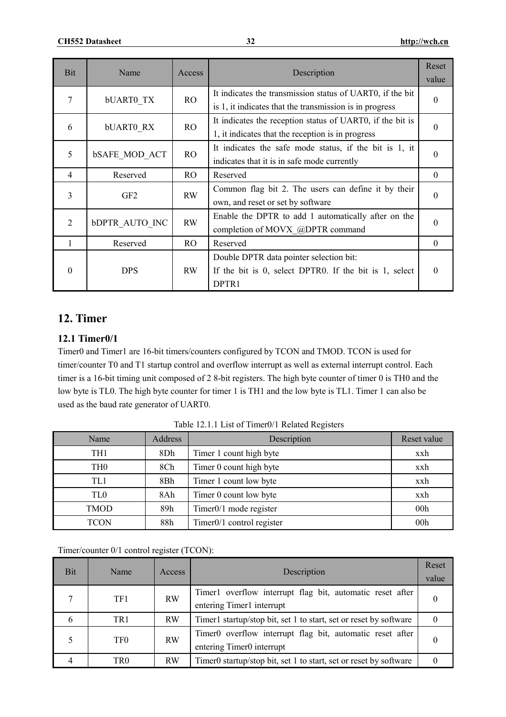| <b>Bit</b>     | Name                  | Access         | Description                                                                                                          | Reset<br>value |
|----------------|-----------------------|----------------|----------------------------------------------------------------------------------------------------------------------|----------------|
| 7              | <b>bUARTO TX</b>      | R <sub>O</sub> | It indicates the transmission status of UART0, if the bit<br>is 1, it indicates that the transmission is in progress | $\theta$       |
| 6              | <b>bUARTO RX</b>      | RO.            | It indicates the reception status of UART0, if the bit is<br>1, it indicates that the reception is in progress       | $\Omega$       |
| 5              | <b>bSAFE MOD ACT</b>  | RO             | It indicates the safe mode status, if the bit is 1, it<br>indicates that it is in safe mode currently                | $\Omega$       |
| $\overline{4}$ | Reserved              | RO.            | Reserved                                                                                                             | $\theta$       |
| 3              | GF <sub>2</sub>       | RW             | Common flag bit 2. The users can define it by their<br>own, and reset or set by software                             | $\Omega$       |
| 2              | <b>bDPTR AUTO INC</b> | <b>RW</b>      | Enable the DPTR to add 1 automatically after on the<br>completion of MOVX @DPTR command                              | $\theta$       |
|                | Reserved              | RO.            | Reserved                                                                                                             | $\theta$       |
| $\Omega$       | <b>DPS</b>            | RW             | Double DPTR data pointer selection bit:<br>If the bit is 0, select DPTR0. If the bit is 1, select<br>DPTR1           | $\Omega$       |

# **12. Timer**

# **12.1 Timer0/1**

Timer0 and Timer1 are 16-bit timers/counters configured by TCON and TMOD. TCON is used for timer/counter T0 and T1 startup control and overflow interrupt as well as external interrupt control. Each timer is a 16-bit timing unit composed of 2 8-bit registers. The high byte counter of timer 0 is TH0 and the low byte is TL0. The high byte counter for timer 1 is TH1 and the low byte is TL1. Timer 1 can also be used as the baud rate generator of UART0.

| Name            | <b>Address</b> | Description                  | Reset value     |
|-----------------|----------------|------------------------------|-----------------|
| TH1             | 8Dh            | Timer 1 count high byte      | xxh             |
| TH <sub>0</sub> | 8Ch            | Timer 0 count high byte      | xxh             |
| TL1             | 8Bh            | Timer 1 count low byte       | xxh             |
| TL0             | 8Ah            | Timer 0 count low byte       | xxh             |
| <b>TMOD</b>     | 89h            | Timer0/1 mode register       | 00 <sub>h</sub> |
| <b>TCON</b>     | 88h            | Timer $0/1$ control register | 00 <sub>h</sub> |

Table 12.1.1 List of Timer0/1 Related Registers

Timer/counter 0/1 control register (TCON):

| Bit | <b>Name</b>     | Access    | Description                                                                            | Reset<br>value |
|-----|-----------------|-----------|----------------------------------------------------------------------------------------|----------------|
|     | TF1             | <b>RW</b> | Timer1 overflow interrupt flag bit, automatic reset after<br>entering Timer1 interrupt |                |
| 6   | TR <sub>1</sub> | <b>RW</b> | Timer1 startup/stop bit, set 1 to start, set or reset by software                      |                |
|     | TF <sub>0</sub> | <b>RW</b> | Timer0 overflow interrupt flag bit, automatic reset after<br>entering Timer0 interrupt |                |
|     | TR0             | <b>RW</b> | Timer0 startup/stop bit, set 1 to start, set or reset by software                      |                |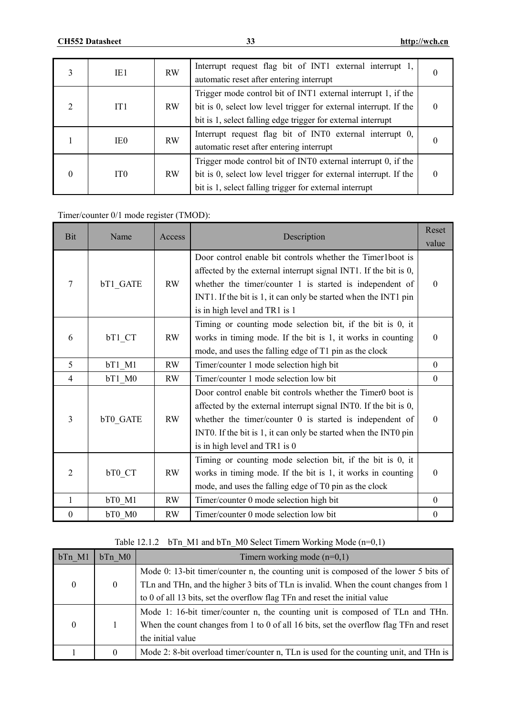|          | IE1             | <b>RW</b> | Interrupt request flag bit of INT1 external interrupt 1,<br>automatic reset after entering interrupt                                                                                               | $\theta$ |
|----------|-----------------|-----------|----------------------------------------------------------------------------------------------------------------------------------------------------------------------------------------------------|----------|
| 2        | IT1             | <b>RW</b> | Trigger mode control bit of INT1 external interrupt 1, if the<br>bit is 0, select low level trigger for external interrupt. If the<br>bit is 1, select falling edge trigger for external interrupt | 0        |
|          | IE <sub>0</sub> | <b>RW</b> | Interrupt request flag bit of INT0 external interrupt 0,<br>automatic reset after entering interrupt                                                                                               | 0        |
| $\theta$ | IT <sub>0</sub> | <b>RW</b> | Trigger mode control bit of INT0 external interrupt 0, if the<br>bit is 0, select low level trigger for external interrupt. If the<br>bit is 1, select falling trigger for external interrupt      | $\theta$ |

# Timer/counter 0/1 mode register (TMOD):

| <b>Bit</b>       | Name     | Access    | Description                                                                                                                                                                                                                                                                                       | Reset<br>value   |
|------------------|----------|-----------|---------------------------------------------------------------------------------------------------------------------------------------------------------------------------------------------------------------------------------------------------------------------------------------------------|------------------|
| 7                | bT1 GATE | RW        | Door control enable bit controls whether the Timer1boot is<br>affected by the external interrupt signal INT1. If the bit is 0,<br>whether the timer/counter $1$ is started is independent of<br>INT1. If the bit is 1, it can only be started when the INT1 pin<br>is in high level and TR1 is 1  | $\Omega$         |
| 6                | bT1 CT   | <b>RW</b> | Timing or counting mode selection bit, if the bit is 0, it<br>works in timing mode. If the bit is 1, it works in counting<br>mode, and uses the falling edge of T1 pin as the clock                                                                                                               | $\Omega$         |
| 5                | bT1 M1   | RW        | Timer/counter 1 mode selection high bit                                                                                                                                                                                                                                                           | $\Omega$         |
| $\overline{4}$   | bT1 M0   | RW        | Timer/counter 1 mode selection low bit                                                                                                                                                                                                                                                            | $\Omega$         |
| $\overline{3}$   | bT0 GATE | RW        | Door control enable bit controls whether the Timer0 boot is<br>affected by the external interrupt signal INT0. If the bit is 0,<br>whether the timer/counter $0$ is started is independent of<br>INTO. If the bit is 1, it can only be started when the INTO pin<br>is in high level and TR1 is 0 | $\Omega$         |
| 2                | bT0 CT   | <b>RW</b> | Timing or counting mode selection bit, if the bit is 0, it<br>works in timing mode. If the bit is 1, it works in counting<br>mode, and uses the falling edge of T0 pin as the clock                                                                                                               | $\Omega$         |
| 1                | bT0 M1   | RW        | Timer/counter 0 mode selection high bit                                                                                                                                                                                                                                                           | $\Omega$         |
| $\boldsymbol{0}$ | bT0 M0   | <b>RW</b> | Timer/counter 0 mode selection low bit                                                                                                                                                                                                                                                            | $\boldsymbol{0}$ |

# Table 12.1.2 bTn\_M1 and bTn\_M0 Select Timern Working Mode (n=0,1)

| bTn M1   | bTn M0   | Timern working mode $(n=0,1)$                                                          |
|----------|----------|----------------------------------------------------------------------------------------|
|          |          | Mode 0: 13-bit timer/counter n, the counting unit is composed of the lower 5 bits of   |
| $\theta$ | $\theta$ | TLn and THn, and the higher 3 bits of TLn is invalid. When the count changes from 1    |
|          |          | to 0 of all 13 bits, set the overflow flag TFn and reset the initial value             |
|          |          | Mode 1: 16-bit timer/counter n, the counting unit is composed of TLn and THn.          |
| $\theta$ |          | When the count changes from 1 to 0 of all 16 bits, set the overflow flag TFn and reset |
|          |          | the initial value                                                                      |
|          | 0        | Mode 2: 8-bit overload timer/counter n, TLn is used for the counting unit, and THn is  |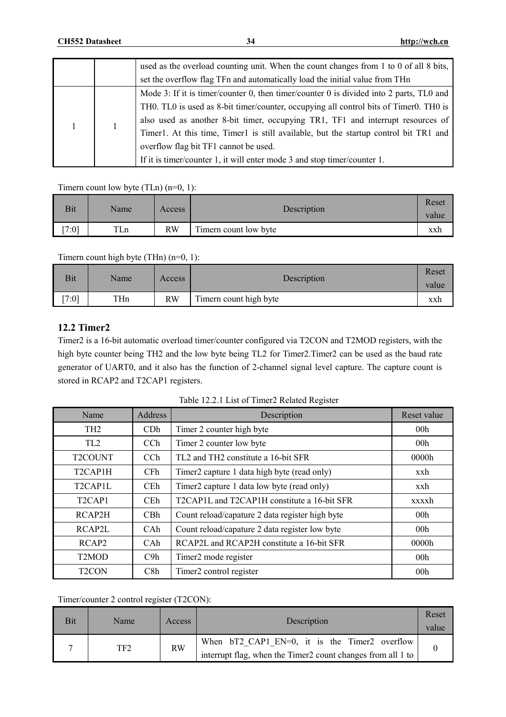|  | used as the overload counting unit. When the count changes from 1 to 0 of all 8 bits,   |
|--|-----------------------------------------------------------------------------------------|
|  | set the overflow flag TFn and automatically load the initial value from THn             |
|  | Mode 3: If it is timer/counter 0, then timer/counter 0 is divided into 2 parts, TLO and |
|  | THO. TLO is used as 8-bit timer/counter, occupying all control bits of TimerO. THO is   |
|  | also used as another 8-bit timer, occupying TR1, TF1 and interrupt resources of         |
|  | Timer1. At this time, Timer1 is still available, but the startup control bit TR1 and    |
|  | overflow flag bit TF1 cannot be used.                                                   |
|  | If it is timer/counter 1, it will enter mode 3 and stop timer/counter 1.                |

Timern count low byte  $(TLn)$   $(n=0, 1)$ :

| <b>Bit</b> | Name | Access    | Description           | Reset<br>value |
|------------|------|-----------|-----------------------|----------------|
| [7:0]      | TLn  | <b>RW</b> | Timern count low byte | xxh            |

Timern count high byte (THn) (n=0, 1):

| <b>Bit</b> | Name | Access    | Description            | Reset<br>value |
|------------|------|-----------|------------------------|----------------|
| [7:0]      | THn  | <b>RW</b> | Timern count high byte | xxh            |

### **12.2 Timer2**

Timer2 is a 16-bit automatic overload timer/counter configured via T2CON and T2MOD registers, with the high byte counter being TH2 and the low byte being TL2 for Timer2.Timer2 can be used as the baud rate generator of UART0, and it also has the function of 2-channel signal level capture. The capture count is stored in RCAP2 and T2CAP1 registers.

| Name                              | Address         | Description                                                 | Reset value     |
|-----------------------------------|-----------------|-------------------------------------------------------------|-----------------|
| TH <sub>2</sub>                   | CD <sub>h</sub> | Timer 2 counter high byte                                   | 00 <sub>h</sub> |
| TL <sub>2</sub>                   | CC <sub>h</sub> | Timer 2 counter low byte                                    | 00 <sub>h</sub> |
| T <sub>2</sub> COUNT              | CCh             | TL <sub>2</sub> and TH <sub>2</sub> constitute a 16-bit SFR | 0000h           |
| T <sub>2</sub> CAP <sub>1</sub> H | CF <sub>h</sub> | Timer2 capture 1 data high byte (read only)                 | xxh             |
| T2CAP1L                           | <b>CEh</b>      | Timer2 capture 1 data low byte (read only)                  | xxh             |
| T <sub>2</sub> CAP <sub>1</sub>   | <b>CEh</b>      | T2CAP1L and T2CAP1H constitute a 16-bit SFR                 | xxxxh           |
| RCAP2H                            | CBh             | Count reload/capature 2 data register high byte             | 00 <sub>h</sub> |
| RCAP2L                            | CAh             | Count reload/capature 2 data register low byte              | 00 <sub>h</sub> |
| RCAP <sub>2</sub>                 | CAh             | RCAP2L and RCAP2H constitute a 16-bit SFR                   | 0000h           |
| T <sub>2</sub> MO <sub>D</sub>    | C9h             | Timer2 mode register                                        | 00 <sub>h</sub> |
| T <sub>2</sub> CON                | C8h             | Timer <sub>2</sub> control register                         | 00 <sub>h</sub> |

| Table 12.2.1 List of Timer2 Related Register |  |  |  |  |
|----------------------------------------------|--|--|--|--|
|----------------------------------------------|--|--|--|--|

Timer/counter 2 control register (T2CON):

| Bit | Name | Access    | Description                                                                                                  | Reset<br>value |
|-----|------|-----------|--------------------------------------------------------------------------------------------------------------|----------------|
|     | TF2  | <b>RW</b> | When bT2 CAP1 EN=0, it is the Timer2 overflow<br>interrupt flag, when the Timer2 count changes from all 1 to |                |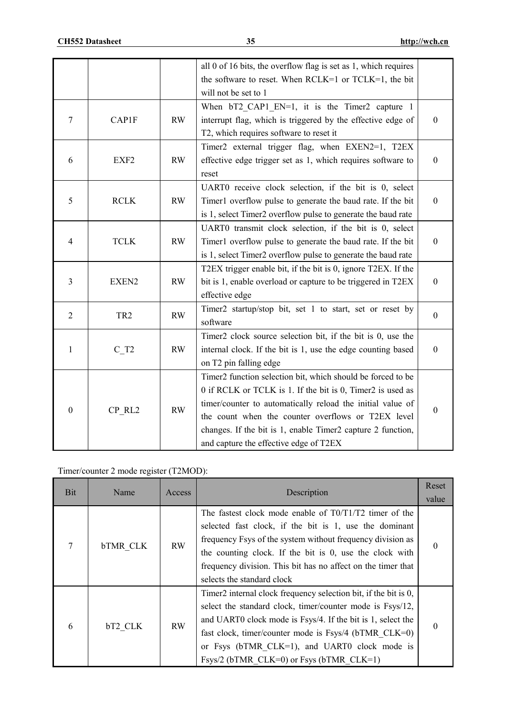|                  |                    |    | all $0$ of 16 bits, the overflow flag is set as 1, which requires |                  |
|------------------|--------------------|----|-------------------------------------------------------------------|------------------|
|                  |                    |    | the software to reset. When RCLK=1 or TCLK=1, the bit             |                  |
|                  |                    |    | will not be set to 1                                              |                  |
|                  |                    |    | When bT2 CAP1 EN=1, it is the Timer2 capture 1                    |                  |
| 7                | CAP1F              | RW | interrupt flag, which is triggered by the effective edge of       | $\boldsymbol{0}$ |
|                  |                    |    | T2, which requires software to reset it                           |                  |
|                  |                    |    | Timer2 external trigger flag, when EXEN2=1, T2EX                  |                  |
| 6                | EXF <sub>2</sub>   | RW | effective edge trigger set as 1, which requires software to       | $\boldsymbol{0}$ |
|                  |                    |    | reset                                                             |                  |
|                  |                    |    | UART0 receive clock selection, if the bit is 0, select            |                  |
| 5                | <b>RCLK</b>        | RW | Timer1 overflow pulse to generate the baud rate. If the bit       | $\boldsymbol{0}$ |
|                  |                    |    | is 1, select Timer2 overflow pulse to generate the baud rate      |                  |
|                  |                    |    | UART0 transmit clock selection, if the bit is 0, select           |                  |
| $\overline{4}$   | <b>TCLK</b>        | RW | Timer1 overflow pulse to generate the baud rate. If the bit       | $\boldsymbol{0}$ |
|                  |                    |    | is 1, select Timer2 overflow pulse to generate the baud rate      |                  |
|                  |                    |    | T2EX trigger enable bit, if the bit is 0, ignore T2EX. If the     |                  |
| 3                | EXEN2              | RW | bit is 1, enable overload or capture to be triggered in T2EX      | $\mathbf{0}$     |
|                  |                    |    | effective edge                                                    |                  |
|                  |                    |    | Timer2 startup/stop bit, set 1 to start, set or reset by          |                  |
| $\sqrt{2}$       | TR <sub>2</sub>    | RW | software                                                          | $\boldsymbol{0}$ |
|                  |                    |    | Timer2 clock source selection bit, if the bit is 0, use the       |                  |
| $\mathbf{1}$     | $C$ T <sub>2</sub> | RW | internal clock. If the bit is 1, use the edge counting based      | $\boldsymbol{0}$ |
|                  |                    |    | on T2 pin falling edge                                            |                  |
|                  |                    |    | Timer2 function selection bit, which should be forced to be       |                  |
|                  |                    |    | 0 if RCLK or TCLK is 1. If the bit is 0, Timer2 is used as        |                  |
|                  |                    |    | timer/counter to automatically reload the initial value of        |                  |
| $\boldsymbol{0}$ | CP RL2             | RW | the count when the counter overflows or T2EX level                | $\boldsymbol{0}$ |
|                  |                    |    | changes. If the bit is 1, enable Timer2 capture 2 function,       |                  |
|                  |                    |    | and capture the effective edge of T2EX                            |                  |

Timer/counter 2 mode register (T2MOD):

| Bit | Name            | Access    | Description                                                                                                                                                                                                                                                                                                                                               | Reset<br>value |
|-----|-----------------|-----------|-----------------------------------------------------------------------------------------------------------------------------------------------------------------------------------------------------------------------------------------------------------------------------------------------------------------------------------------------------------|----------------|
| 7   | <b>bTMR CLK</b> | <b>RW</b> | The fastest clock mode enable of T0/T1/T2 timer of the<br>selected fast clock, if the bit is 1, use the dominant<br>frequency Fsys of the system without frequency division as<br>the counting clock. If the bit is 0, use the clock with<br>frequency division. This bit has no affect on the timer that<br>selects the standard clock                   | 0              |
| 6   | bT2 CLK         | <b>RW</b> | Timer2 internal clock frequency selection bit, if the bit is 0,<br>select the standard clock, timer/counter mode is Fsys/12,<br>and UART0 clock mode is Fsys/4. If the bit is 1, select the<br>fast clock, timer/counter mode is $Fsys/4$ (bTMR CLK=0)<br>or Fsys (bTMR CLK=1), and UART0 clock mode is<br>Fsys/2 (bTMR $CLK=0$ ) or Fsys (bTMR $CLK=1$ ) | $\Omega$       |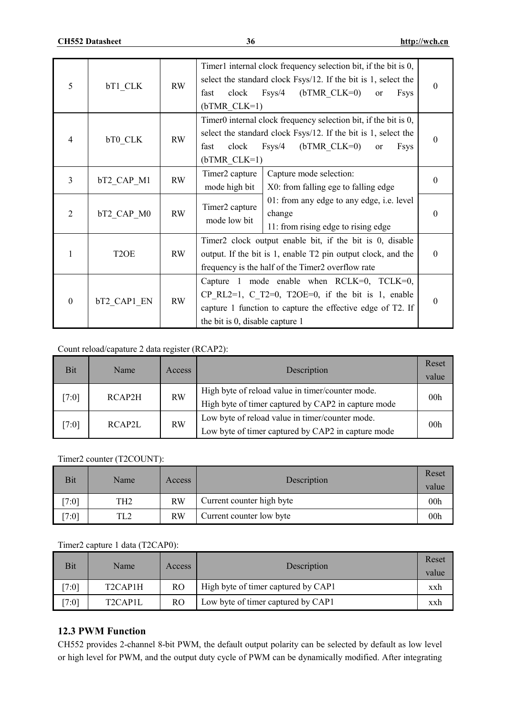| 5              | bT1 CLK           | <b>RW</b> | Timer1 internal clock frequency selection bit, if the bit is 0,<br>select the standard clock Fsys/12. If the bit is 1, select the<br>$F$ sys/4<br>$(bTMR CLK=0)$<br>clock<br><sub>or</sub><br><b>Fsys</b><br>fast<br>$(bTMR CLK=1)$ | $\theta$ |
|----------------|-------------------|-----------|-------------------------------------------------------------------------------------------------------------------------------------------------------------------------------------------------------------------------------------|----------|
| $\overline{4}$ | bT0 CLK           | <b>RW</b> | Timer0 internal clock frequency selection bit, if the bit is 0,<br>select the standard clock Fsys/12. If the bit is 1, select the<br>$F$ sys/4<br>$(bTMR CLK=0)$<br>clock<br>fast<br><b>Fsys</b><br><sub>or</sub><br>$(bTMR CLK=1)$ | $\Omega$ |
| 3              | bT2 CAP M1        | <b>RW</b> | Timer2 capture<br>Capture mode selection:<br>mode high bit<br>X0: from falling ege to falling edge                                                                                                                                  | $\theta$ |
| $\overline{2}$ | bT2 CAP M0        | <b>RW</b> | 01: from any edge to any edge, i.e. level<br>Timer2 capture<br>change<br>mode low bit<br>11: from rising edge to rising edge                                                                                                        | $\Omega$ |
| 1              | T <sub>2</sub> OE | RW        | Timer2 clock output enable bit, if the bit is 0, disable<br>output. If the bit is 1, enable T2 pin output clock, and the<br>frequency is the half of the Timer2 overflow rate                                                       | $\Omega$ |
| $\mathbf{0}$   | bT2 CAP1 EN       | <b>RW</b> | Capture 1 mode enable when $RCLK=0$ , $TCLK=0$ ,<br>CP RL2=1, C T2=0, T2OE=0, if the bit is 1, enable<br>capture 1 function to capture the effective edge of T2. If<br>the bit is 0, disable capture 1                              | $\theta$ |

#### Count reload/capature 2 data register (RCAP2):

| <b>Bit</b> | Name   | Access    | Description                                                                                             | Reset<br>value  |
|------------|--------|-----------|---------------------------------------------------------------------------------------------------------|-----------------|
| [7:0]      | RCAP2H | <b>RW</b> | High byte of reload value in timer/counter mode.<br>High byte of timer captured by CAP2 in capture mode | 00 <sub>h</sub> |
| [7:0]      | RCAP2L | <b>RW</b> | Low byte of reload value in timer/counter mode.<br>Low byte of timer captured by CAP2 in capture mode   | 00 <sub>h</sub> |

#### Timer2 counter (T2COUNT):

| Bit           | Name            | Access | Description               | Reset<br>value  |
|---------------|-----------------|--------|---------------------------|-----------------|
| $\sqrt{7:01}$ | TH <sub>2</sub> | RW     | Current counter high byte | 00 <sub>h</sub> |
| 7:01          | TL2             | RW     | Current counter low byte  | 00 <sub>h</sub> |

# Timer2 capture 1 data (T2CAP0):

| Bit     | Name                              | Access         | Description                         | Reset<br>value |
|---------|-----------------------------------|----------------|-------------------------------------|----------------|
| $7:0$ ] | T <sub>2</sub> CAP <sub>1</sub> H | R <sub>O</sub> | High byte of timer captured by CAP1 | xxh            |
| 7:01    | T <sub>2</sub> CAP <sub>1</sub> L | RO.            | Low byte of timer captured by CAP1  | xxh            |

# **12.3 PWM Function**

CH552 provides 2-channel 8-bit PWM, the default output polarity can be selected by default as low level or high level for PWM, and the output duty cycle of PWM can be dynamically modified. After integrating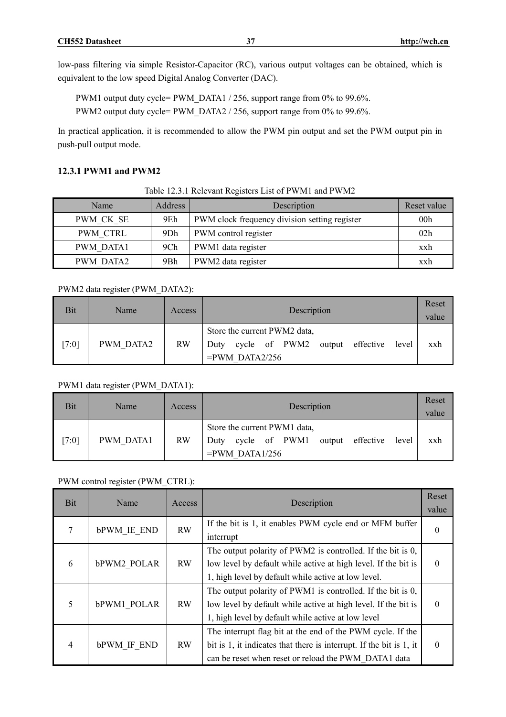low-pass filtering via simple Resistor-Capacitor (RC), various output voltages can be obtained, which is equivalent to the low speed Digital Analog Converter (DAC).

PWM1 output duty cycle= PWM\_DATA1 / 256, support range from 0% to 99.6%. PWM2 output duty cycle= PWM\_DATA2 / 256, support range from 0% to 99.6%.

In practical application, it is recommended to allow the PWM pin output and set the PWM output pin in push-pull output mode.

### **12.3.1 PWM1 and PWM2**

| Table 12.3.1 Relevant Registers List of PWM1 and PWM2 |  |
|-------------------------------------------------------|--|
|-------------------------------------------------------|--|

| Name             | Address | Description                                   | Reset value     |
|------------------|---------|-----------------------------------------------|-----------------|
| PWM CK SE        | 9Eh     | PWM clock frequency division setting register | 00 <sub>h</sub> |
| PWM CTRL         | 9Dh     | PWM control register                          | 02h             |
| <b>PWM DATA1</b> | 9Ch     | PWM1 data register                            | xxh             |
| <b>PWM DATA2</b> | 9Bh     | PWM2 data register                            | xxh             |

#### PWM2 data register (PWM\_DATA2):

| Bit   | Name      | Access    | Description                                                                                             | Reset<br>value |
|-------|-----------|-----------|---------------------------------------------------------------------------------------------------------|----------------|
| [7:0] | PWM DATA2 | <b>RW</b> | Store the current PWM2 data,<br>cycle of PWM2<br>output effective<br>level<br>Duty<br>$=$ PWM DATA2/256 | xxh            |

### PWM1 data register (PWM\_DATA1):

| Bit   | Name             | Access    | Description                                                                                             | Reset<br>value |
|-------|------------------|-----------|---------------------------------------------------------------------------------------------------------|----------------|
| [7:0] | <b>PWM DATA1</b> | <b>RW</b> | Store the current PWM1 data,<br>cycle of PWM1<br>output effective<br>level<br>Duty<br>$=$ PWM DATA1/256 | xxh            |

#### PWM control register (PWM\_CTRL):

| <b>Bit</b> | Name               | Access    | Description                                                                                                                                                                               | Reset<br>value |
|------------|--------------------|-----------|-------------------------------------------------------------------------------------------------------------------------------------------------------------------------------------------|----------------|
| 7          | <b>bPWM IE END</b> | <b>RW</b> | If the bit is 1, it enables PWM cycle end or MFM buffer<br>interrupt                                                                                                                      |                |
| 6          | bPWM2 POLAR        | <b>RW</b> | The output polarity of PWM2 is controlled. If the bit is 0,<br>low level by default while active at high level. If the bit is<br>1, high level by default while active at low level.      | $\theta$       |
| 5          | bPWM1 POLAR        | <b>RW</b> | The output polarity of PWM1 is controlled. If the bit is 0,<br>low level by default while active at high level. If the bit is<br>1, high level by default while active at low level       | 0              |
| 4          | <b>bPWM IF END</b> | <b>RW</b> | The interrupt flag bit at the end of the PWM cycle. If the<br>bit is 1, it indicates that there is interrupt. If the bit is 1, it<br>can be reset when reset or reload the PWM DATA1 data | $\Omega$       |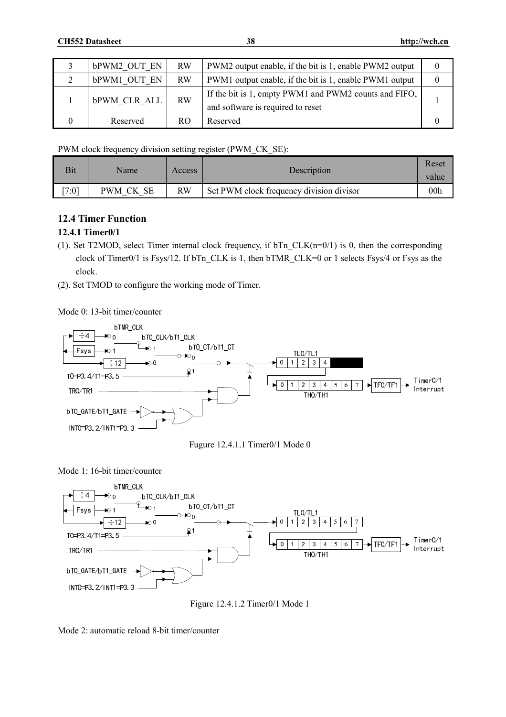| <b>bPWM2 OUT EN</b> | <b>RW</b> | PWM2 output enable, if the bit is 1, enable PWM2 output                                    | $\theta$ |
|---------------------|-----------|--------------------------------------------------------------------------------------------|----------|
| bPWM1 OUT EN        | <b>RW</b> | PWM1 output enable, if the bit is 1, enable PWM1 output                                    | $\theta$ |
| <b>bPWM CLR ALL</b> | <b>RW</b> | If the bit is 1, empty PWM1 and PWM2 counts and FIFO,<br>and software is required to reset |          |
| Reserved            | RO.       | Reserved                                                                                   |          |

PWM clock frequency division setting register (PWM\_CK\_SE):

| Bit   | Name      | Access | Description                              | Reset<br>value  |
|-------|-----------|--------|------------------------------------------|-----------------|
| [7:0] | PWM CK SE | RW     | Set PWM clock frequency division divisor | 00 <sub>h</sub> |

# **12.4 Timer Function**

# **12.4.1 Timer0/1**

- (1). Set T2MOD, select Timer internal clock frequency, if bTn\_CLK(n=0/1) is 0, then the corresponding clock of Timer0/1 is Fsys/12. If bTn\_CLK is 1, then bTMR\_CLK=0 or 1 selects Fsys/4 or Fsys as the clock.
- (2). Set TMOD to configure the working mode of Timer.

Mode 0: 13-bit timer/counter





Mode 1: 16-bit timer/counter



Figure 12.4.1.2 Timer0/1 Mode 1

Mode 2: automatic reload 8-bit timer/counter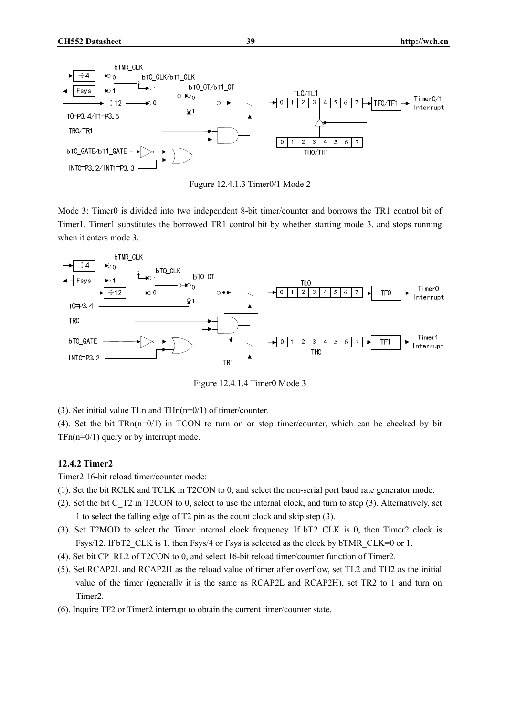

Fugure 12.4.1.3 Timer0/1 Mode 2

Mode 3: Timer0 is divided into two independent 8-bit timer/counter and borrows the TR1 control bit of Timer1. Timer1 substitutes the borrowed TR1 control bit by whether starting mode 3, and stops running when it enters mode 3.



Figure 12.4.1.4 Timer0 Mode 3

(3). Set initial value TLn and  $THn(n=0/1)$  of timer/counter.

(4). Set the bit TRn(n=0/1) in TCON to turn on or stop timer/counter, which can be checked by bit  $TFn(n=0/1)$  query or by interrupt mode.

# **12.4.2 Timer2**

Timer2 16-bit reload timer/counter mode:

- (1). Set the bit RCLK and TCLK in T2CON to 0, and select the non-serial port baud rate generator mode.
- (2). Set the bit C\_T2 in T2CON to 0, select to use the internal clock, and turn to step (3). Alternatively, set 1 to select the falling edge of T2 pin as the count clock and skip step (3).
- (3). Set T2MOD to select the Timer internal clock frequency. If bT2\_CLK is 0, then Timer2 clock is Fsys/12. If bT2\_CLK is 1, then Fsys/4 or Fsys is selected as the clock by bTMR\_CLK=0 or 1.
- (4). Set bit CP\_RL2 of T2CON to 0, and select 16-bit reload timer/counter function of Timer2.
- (5). Set RCAP2L and RCAP2H as the reload value of timer after overflow, set TL2 and TH2 as the initial value of the timer (generally it is the same as RCAP2L and RCAP2H), set TR2 to 1 and turn on Timer2.
- (6). Inquire TF2 or Timer2 interrupt to obtain the current timer/counter state.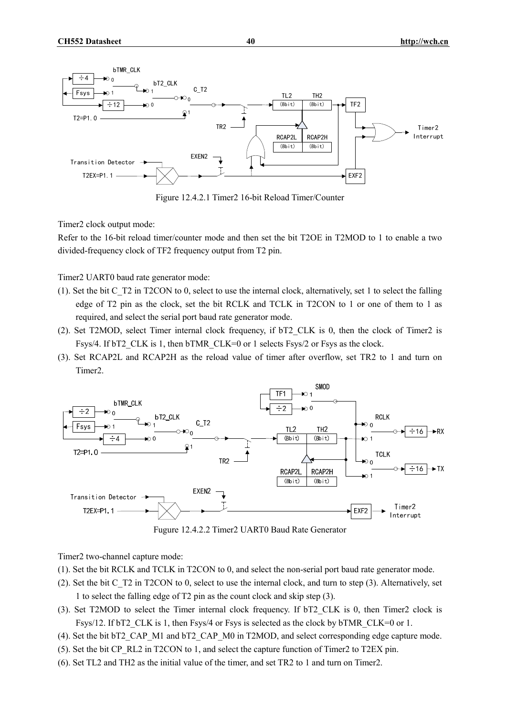

Figure 12.4.2.1 Timer2 16-bit Reload Timer/Counter

Timer2 clock output mode:

Refer to the 16-bit reload timer/counter mode and then set the bit T2OE in T2MOD to 1 to enable a two divided-frequency clock of TF2 frequency output from T2 pin.

Timer2 UART0 baud rate generator mode:

- (1). Set the bit C\_T2 in T2CON to 0, select to use the internal clock, alternatively, set 1 to select the falling edge of T2 pin as the clock, set the bit RCLK and TCLK in T2CON to 1 or one of them to 1 as required, and select the serial port baud rate generator mode.
- (2). Set T2MOD, select Timer internal clock frequency, if bT2\_CLK is 0, then the clock of Timer2 is Fsys/4. If bT2 CLK is 1, then bTMR CLK=0 or 1 selects Fsys/2 or Fsys as the clock.
- (3). Set RCAP2L and RCAP2H as the reload value of timer after overflow, set TR2 to 1 and turn on Timer2.



Fugure 12.4.2.2 Timer2 UART0 Baud Rate Generator

Timer2 two-channel capture mode:

- (1). Set the bit RCLK and TCLK in T2CON to 0, and select the non-serial port baud rate generator mode.
- (2). Set the bit C\_T2 in T2CON to 0, select to use the internal clock, and turn to step (3). Alternatively, set 1 to select the falling edge of T2 pin as the count clock and skip step (3).
- (3). Set T2MOD to select the Timer internal clock frequency. If bT2\_CLK is 0, then Timer2 clock is Fsys/12. If bT2 CLK is 1, then Fsys/4 or Fsys is selected as the clock by bTMR CLK=0 or 1.
- (4). Set the bit bT2\_CAP\_M1 and bT2\_CAP\_M0 in T2MOD, and select corresponding edge capture mode.
- (5). Set the bit CP\_RL2 in T2CON to 1, and select the capture function of Timer2 to T2EX pin.
- (6). Set TL2 and TH2 as the initial value of the timer, and set TR2 to 1 and turn on Timer2.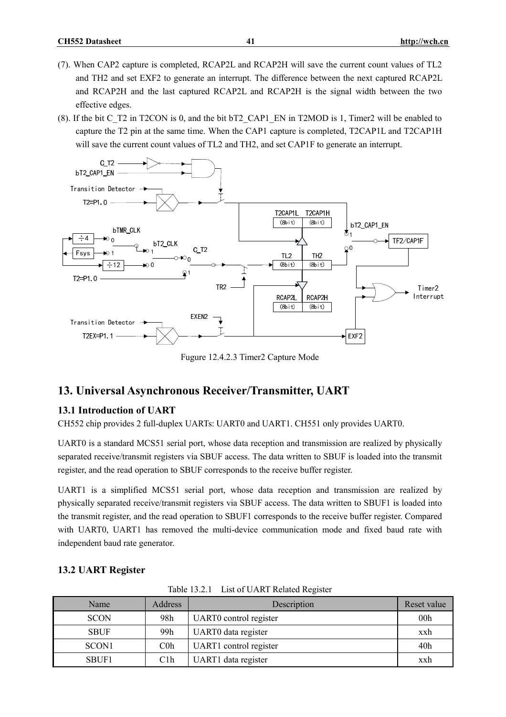- (7). When CAP2 capture is completed, RCAP2L and RCAP2H will save the current count values of TL2 and TH2 and set EXF2 to generate an interrupt. The difference between the next captured RCAP2L and RCAP2H and the last captured RCAP2L and RCAP2H is the signal width between the two effective edges.
- (8). If the bit C\_T2 in T2CON is 0, and the bit bT2\_CAP1\_EN in T2MOD is 1, Timer2 will be enabled to capture the T2 pin at the same time. When the CAP1 capture is completed, T2CAP1L and T2CAP1H will save the current count values of TL2 and TH2, and set CAP1F to generate an interrupt.

![](_page_40_Figure_4.jpeg)

Fugure 12.4.2.3 Timer2 Capture Mode

# **13. Universal Asynchronous Receiver/Transmitter, UART**

#### **13.1 Introduction of UART**

CH552 chip provides 2 full-duplex UARTs: UART0 and UART1. CH551 only provides UART0.

UART0 is a standard MCS51 serial port, whose data reception and transmission are realized by physically separated receive/transmit registers via SBUF access. The data written to SBUF is loaded into the transmit register, and the read operation to SBUF corresponds to the receive buffer register.

UART1 is a simplified MCS51 serial port, whose data reception and transmission are realized by physically separated receive/transmit registers via SBUF access. The data written to SBUF1 is loaded into the transmit register, and the read operation to SBUF1 corresponds to the receive buffer register. Compared with UART0, UART1 has removed the multi-device communication mode and fixed baud rate with independent baud rate generator.

| Table 13.2.1 List of UART Related Register |         |                        |                 |  |
|--------------------------------------------|---------|------------------------|-----------------|--|
| Name                                       | Address | Description            | Reset value     |  |
| <b>SCON</b>                                | 98h     | UART0 control register | 00 <sub>h</sub> |  |
| <b>SBUF</b>                                | 99h     | UART0 data register    | xxh             |  |
| SCON <sub>1</sub>                          | $C0$ h  | UART1 control register | 40h             |  |
| SBUF1                                      | C1h     | UART1 data register    | xxh             |  |

#### **13.2 UART Register**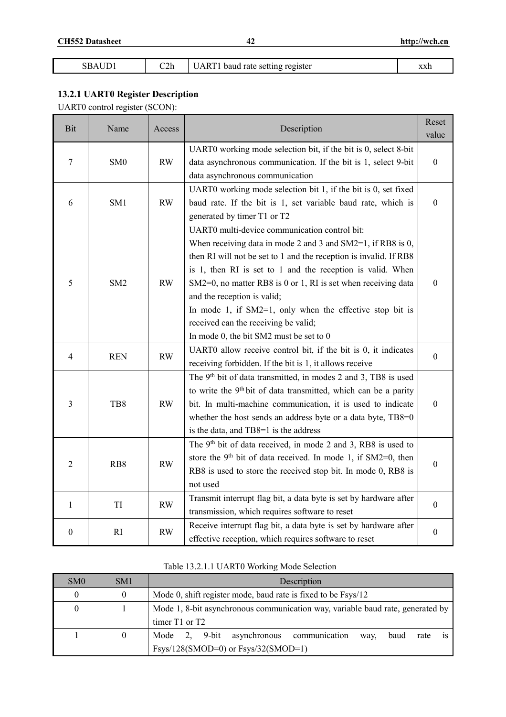| ٦L | C2h | .RT'<br>Δ<br>register<br>baud rate setting | vvrh<br>ллп |
|----|-----|--------------------------------------------|-------------|
|----|-----|--------------------------------------------|-------------|

# **13.2.1 UART0 Register Description**

UART0 control register (SCON):

| Bit              | Name            | Access |                                                                            | Reset            |
|------------------|-----------------|--------|----------------------------------------------------------------------------|------------------|
|                  |                 |        | Description                                                                | value            |
|                  |                 |        | UART0 working mode selection bit, if the bit is 0, select 8-bit            |                  |
| $\tau$           | SM <sub>0</sub> | RW     | data asynchronous communication. If the bit is 1, select 9-bit             | $\boldsymbol{0}$ |
|                  |                 |        | data asynchronous communication                                            |                  |
|                  |                 |        | UART0 working mode selection bit 1, if the bit is 0, set fixed             |                  |
| 6                | SM1             | RW     | baud rate. If the bit is 1, set variable baud rate, which is               | $\boldsymbol{0}$ |
|                  |                 |        | generated by timer T1 or T2                                                |                  |
|                  |                 |        | UART0 multi-device communication control bit:                              |                  |
|                  |                 |        | When receiving data in mode 2 and 3 and $SM2=1$ , if RB8 is 0,             |                  |
|                  |                 |        | then RI will not be set to 1 and the reception is invalid. If RB8          |                  |
|                  |                 |        | is 1, then RI is set to 1 and the reception is valid. When                 |                  |
| 5                | SM <sub>2</sub> | RW     | SM2=0, no matter RB8 is 0 or 1, RI is set when receiving data              | $\boldsymbol{0}$ |
|                  |                 |        | and the reception is valid;                                                |                  |
|                  |                 |        | In mode 1, if $SM2=1$ , only when the effective stop bit is                |                  |
|                  |                 |        | received can the receiving be valid;                                       |                  |
|                  |                 |        | In mode 0, the bit SM2 must be set to 0                                    |                  |
| 4                | <b>REN</b>      | RW     | UART0 allow receive control bit, if the bit is 0, it indicates             | $\mathbf{0}$     |
|                  |                 |        | receiving forbidden. If the bit is 1, it allows receive                    |                  |
|                  |                 |        | The 9 <sup>th</sup> bit of data transmitted, in modes 2 and 3, TB8 is used |                  |
|                  |                 |        | to write the 9th bit of data transmitted, which can be a parity            |                  |
| 3                | TB8             | RW     | bit. In multi-machine communication, it is used to indicate                | $\boldsymbol{0}$ |
|                  |                 |        | whether the host sends an address byte or a data byte, TB8=0               |                  |
|                  |                 |        | is the data, and TB8=1 is the address                                      |                  |
|                  |                 |        | The 9 <sup>th</sup> bit of data received, in mode 2 and 3, RB8 is used to  |                  |
| $\overline{2}$   | RB8             | RW     | store the 9 <sup>th</sup> bit of data received. In mode 1, if SM2=0, then  | $\boldsymbol{0}$ |
|                  |                 |        | RB8 is used to store the received stop bit. In mode 0, RB8 is              |                  |
|                  |                 |        | not used                                                                   |                  |
| $\mathbf{1}$     | TI              | RW     | Transmit interrupt flag bit, a data byte is set by hardware after          | $\boldsymbol{0}$ |
|                  |                 |        | transmission, which requires software to reset                             |                  |
| $\boldsymbol{0}$ | RI              | RW     | Receive interrupt flag bit, a data byte is set by hardware after           | $\boldsymbol{0}$ |
|                  |                 |        | effective reception, which requires software to reset                      |                  |

| SM <sub>0</sub> | SM <sub>1</sub> | Description                                                                    |  |  |  |
|-----------------|-----------------|--------------------------------------------------------------------------------|--|--|--|
| $\theta$        | 0               | Mode 0, shift register mode, baud rate is fixed to be Fsys/12                  |  |  |  |
| $\theta$        |                 | Mode 1, 8-bit asynchronous communication way, variable baud rate, generated by |  |  |  |
|                 |                 | timer $T1$ or $T2$                                                             |  |  |  |
|                 |                 | Mode 2, 9-bit asynchronous communication<br>baud<br>rate<br>way.               |  |  |  |
|                 |                 | $Fsys/128(SMOD=0)$ or $Fsys/32(SMOD=1)$                                        |  |  |  |

# Table 13.2.1.1 UART0 Working Mode Selection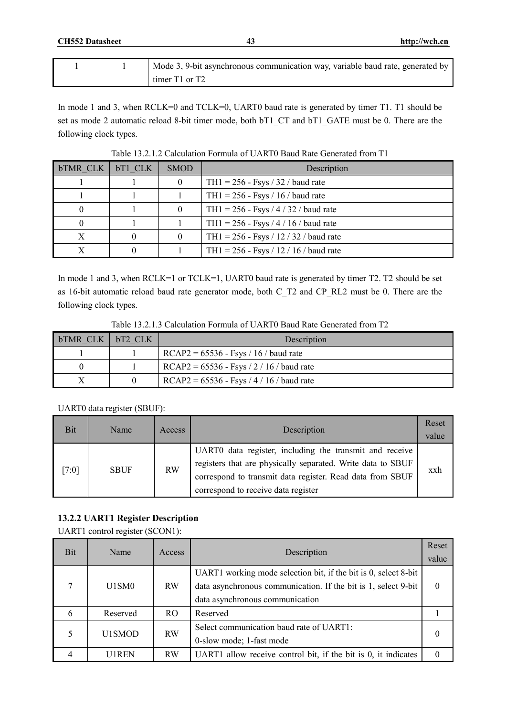| http://wch.cn |  |
|---------------|--|
|               |  |

|  | Mode 3, 9-bit asynchronous communication way, variable baud rate, generated by |
|--|--------------------------------------------------------------------------------|
|  | timer $T1$ or $T2$                                                             |

In mode 1 and 3, when RCLK=0 and TCLK=0, UART0 baud rate is generated by timer T1. T1 should be set as mode 2 automatic reload 8-bit timer mode, both bT1\_CT and bT1\_GATE must be 0. There are the following clock types.

| bTMR CLK   bT1 CLK | <b>SMOD</b> | Description                              |
|--------------------|-------------|------------------------------------------|
|                    |             | TH $1 = 256$ - Fsys / 32 / baud rate     |
|                    |             | TH $1 = 256$ - Fsys / 16 / baud rate     |
| $\theta$           |             | TH1 = $256$ - Fsys / 4 / 32 / baud rate  |
|                    |             | TH1 = $256 - Fsys / 4 / 16 / baud rate$  |
| X                  |             | TH1 = $256 - Fsys / 12 / 32 / band rate$ |
|                    |             | TH1 = $256 - Fsys / 12 / 16 / baud rate$ |

Table 13.2.1.2 Calculation Formula of UART0 Baud Rate Generated from T1

In mode 1 and 3, when RCLK=1 or TCLK=1, UART0 baud rate is generated by timer T2. T2 should be set as 16-bit automatic reload baud rate generator mode, both C\_T2 and CP\_RL2 must be 0. There are the following clock types.

| Table 13.2.1.3 Calculation Formula of UART0 Baud Rate Generated from T2 |  |
|-------------------------------------------------------------------------|--|
|-------------------------------------------------------------------------|--|

| <b>bTMR CLK I</b> | bT <sub>2</sub> CLK | Description                                 |
|-------------------|---------------------|---------------------------------------------|
|                   |                     | $RCAP2 = 65536 - Fsys / 16 / baud rate$     |
|                   |                     | $RCAP2 = 65536 - Fsys / 2 / 16 /$ baud rate |
|                   |                     | $RCAP2 = 65536 - Fsys / 4 / 16 / band rate$ |

### UART0 data register (SBUF):

| Bit     | Name        | Access    | Description                                                                                                                                                                                                                | Reset<br>value |
|---------|-------------|-----------|----------------------------------------------------------------------------------------------------------------------------------------------------------------------------------------------------------------------------|----------------|
| $[7:0]$ | <b>SBUF</b> | <b>RW</b> | UART0 data register, including the transmit and receive<br>registers that are physically separated. Write data to SBUF<br>correspond to transmit data register. Read data from SBUF<br>correspond to receive data register | xxh            |

# **13.2.2 UART1 Register Description**

UART1 control register (SCON1):

| <b>Bit</b> | Name     | Access    | Description                                                                                                                       | Reset<br>value |
|------------|----------|-----------|-----------------------------------------------------------------------------------------------------------------------------------|----------------|
| 7          | U1SM0    | <b>RW</b> | UART1 working mode selection bit, if the bit is 0, select 8-bit<br>data asynchronous communication. If the bit is 1, select 9-bit | 0              |
|            |          |           | data asynchronous communication                                                                                                   |                |
| 6          | Reserved | RO.       | Reserved                                                                                                                          |                |
|            | U1SMOD   | <b>RW</b> | Select communication baud rate of UART1:<br>0-slow mode; 1-fast mode                                                              |                |
|            | U1REN    | <b>RW</b> | UART1 allow receive control bit, if the bit is 0, it indicates                                                                    |                |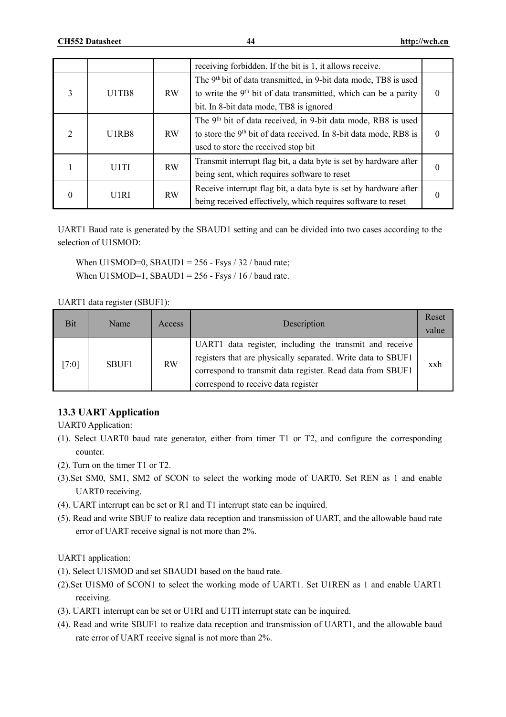|                             |                   |           | receiving forbidden. If the bit is 1, it allows receive.                      |  |
|-----------------------------|-------------------|-----------|-------------------------------------------------------------------------------|--|
|                             |                   |           | The 9 <sup>th</sup> bit of data transmitted, in 9-bit data mode, TB8 is used  |  |
| 3                           | U1TB8             | <b>RW</b> | to write the 9 <sup>th</sup> bit of data transmitted, which can be a parity   |  |
|                             |                   |           | bit. In 8-bit data mode, TB8 is ignored                                       |  |
|                             |                   |           | The 9 <sup>th</sup> bit of data received, in 9-bit data mode, RB8 is used     |  |
| $\mathcal{D}_{\mathcal{L}}$ | U1RB8             | <b>RW</b> | to store the 9 <sup>th</sup> bit of data received. In 8-bit data mode, RB8 is |  |
|                             |                   |           | used to store the received stop bit                                           |  |
|                             | U <sub>1</sub> TI | <b>RW</b> | Transmit interrupt flag bit, a data byte is set by hardware after             |  |
|                             |                   |           | being sent, which requires software to reset                                  |  |
|                             | U1RI              | <b>RW</b> | Receive interrupt flag bit, a data byte is set by hardware after              |  |
| $\theta$                    |                   |           | being received effectively, which requires software to reset                  |  |

UART1 Baud rate is generated by the SBAUD1 setting and can be divided into two cases according to the selection of U1SMOD:

When U1SMOD=0, SBAUD1 =  $256$  - Fsys / 32 / baud rate; When U1SMOD=1, SBAUD1 =  $256$  - Fsys / 16 / baud rate.

UART1 data register (SBUF1):

| <b>Bit</b> | Name  | <b>Access</b> | Description                                                                                                                                                                                                                  | Reset<br>value |
|------------|-------|---------------|------------------------------------------------------------------------------------------------------------------------------------------------------------------------------------------------------------------------------|----------------|
| [7:0]      | SBUF1 | <b>RW</b>     | UART1 data register, including the transmit and receive<br>registers that are physically separated. Write data to SBUF1<br>correspond to transmit data register. Read data from SBUF1<br>correspond to receive data register | xxh            |

# **13.3 UART Application**

UART0 Application:

- (1). Select UART0 baud rate generator, either from timer T1 or T2, and configure the corresponding counter.
- (2). Turn on the timer T1 or T2.
- (3).Set SM0, SM1, SM2 of SCON to select the working mode of UART0. Set REN as 1 and enable UART0 receiving.
- (4). UART interrupt can be set or R1 and T1 interrupt state can be inquired.
- (5). Read and write SBUF to realize data reception and transmission of UART, and the allowable baud rate error of UART receive signal is not more than 2%.

UART1 application:

- (1). Select U1SMOD and set SBAUD1 based on the baud rate.
- (2).Set U1SM0 of SCON1 to select the working mode of UART1. Set U1REN as 1 and enable UART1 receiving.
- (3). UART1 interrupt can be set or U1RI and U1TI interrupt state can be inquired.
- (4). Read and write SBUF1 to realize data reception and transmission of UART1, and the allowable baud rate error of UART receive signal is not more than 2%.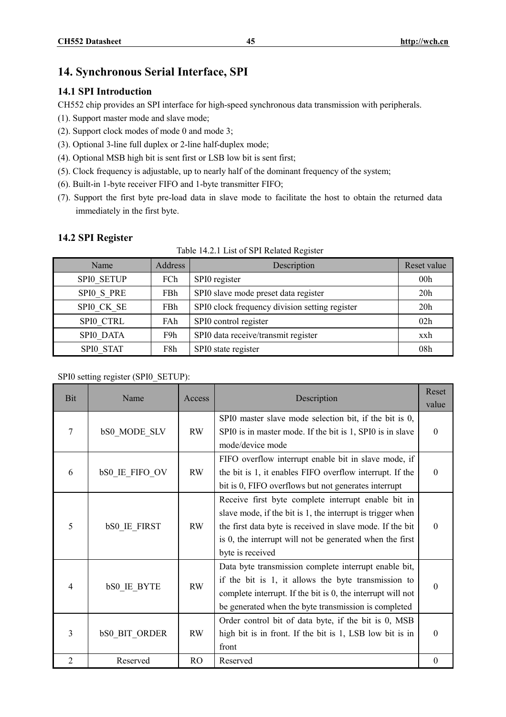# **14. Synchronous Serial Interface, SPI**

# **14.1 SPI Introduction**

CH552 chip provides an SPI interface for high-speed synchronous data transmission with peripherals.

- (1). Support master mode and slave mode;
- (2). Support clock modes of mode 0 and mode 3;
- (3). Optional 3-line full duplex or 2-line half-duplex mode;
- (4). Optional MSB high bit is sent first or LSB low bit is sent first;
- (5). Clock frequency is adjustable, up to nearly half of the dominant frequency of the system;
- (6). Built-in 1-byte receiver FIFO and 1-byte transmitter FIFO;
- (7). Support the first byte pre-load data in slave mode to facilitate the host to obtain the returned data immediately in the first byte.

# **14.2 SPI Register**

| Table 14.2.1 List of SPI Related Register |
|-------------------------------------------|
|-------------------------------------------|

| Name       | <b>Address</b> | Description                                    | Reset value     |
|------------|----------------|------------------------------------------------|-----------------|
| SPIO SETUP | FCh            | SPI0 register                                  | 00 <sub>h</sub> |
| SPIO S PRE | FBh            | SPI0 slave mode preset data register           | 20h             |
| SPIO CK SE | FBh            | SPI0 clock frequency division setting register | 20 <sub>h</sub> |
| SPIO CTRL  | FAh            | SPI0 control register                          | 02h             |
| SPI0 DATA  | F9h            | SPI0 data receive/transmit register            | xxh             |
| SPIO STAT  | F8h            | SPI0 state register                            | 08 <sub>h</sub> |

#### SPI0 setting register (SPI0\_SETUP):

| <b>Bit</b>     | Name                  | Access        | Description                                                                                                                                                                                                                                                    | Reset<br>value   |
|----------------|-----------------------|---------------|----------------------------------------------------------------------------------------------------------------------------------------------------------------------------------------------------------------------------------------------------------------|------------------|
| $\overline{7}$ | <b>bS0 MODE SLV</b>   | <b>RW</b>     | SPI0 master slave mode selection bit, if the bit is 0,<br>SPI0 is in master mode. If the bit is 1, SPI0 is in slave<br>mode/device mode                                                                                                                        | $\theta$         |
| 6              | <b>bSO IE FIFO OV</b> | <b>RW</b>     | FIFO overflow interrupt enable bit in slave mode, if<br>the bit is 1, it enables FIFO overflow interrupt. If the<br>bit is 0, FIFO overflows but not generates interrupt                                                                                       | $\Omega$         |
| 5              | bS0_IE_FIRST          | <b>RW</b>     | Receive first byte complete interrupt enable bit in<br>slave mode, if the bit is 1, the interrupt is trigger when<br>the first data byte is received in slave mode. If the bit<br>is 0, the interrupt will not be generated when the first<br>byte is received | $\theta$         |
| 4              | <b>bSO IE BYTE</b>    | RW            | Data byte transmission complete interrupt enable bit,<br>if the bit is 1, it allows the byte transmission to<br>complete interrupt. If the bit is 0, the interrupt will not<br>be generated when the byte transmission is completed                            | $\Omega$         |
| 3              | <b>bSO BIT ORDER</b>  | <b>RW</b>     | Order control bit of data byte, if the bit is 0, MSB<br>high bit is in front. If the bit is 1, LSB low bit is in<br>front                                                                                                                                      | $\theta$         |
| $\overline{2}$ | Reserved              | <sub>RO</sub> | Reserved                                                                                                                                                                                                                                                       | $\boldsymbol{0}$ |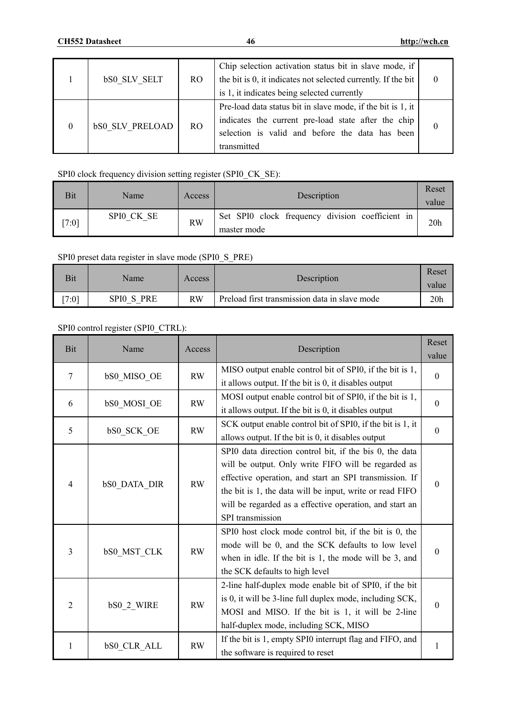|   | <b>bSO SLV SELT</b>    | <sub>RO</sub> | Chip selection activation status bit in slave mode, if<br>the bit is 0, it indicates not selected currently. If the bit                                                              |  |
|---|------------------------|---------------|--------------------------------------------------------------------------------------------------------------------------------------------------------------------------------------|--|
|   |                        |               | is 1, it indicates being selected currently                                                                                                                                          |  |
| 0 | <b>bS0 SLV PRELOAD</b> | <b>RO</b>     | Pre-load data status bit in slave mode, if the bit is 1, it<br>indicates the current pre-load state after the chip<br>selection is valid and before the data has been<br>transmitted |  |

# SPI0 clock frequency division setting register (SPI0\_CK\_SE):

| Bit  | Name       | Access    | Description                                                     | Reset<br>value  |
|------|------------|-----------|-----------------------------------------------------------------|-----------------|
| 7:01 | SPIO CK SE | <b>RW</b> | Set SPI0 clock frequency division coefficient in<br>master mode | 20 <sub>h</sub> |

# SPI0 preset data register in slave mode (SPI0\_S\_PRE)

| <b>Bit</b> | Name       | Access    | Description                                   | Reset<br>value |
|------------|------------|-----------|-----------------------------------------------|----------------|
| [7:0]      | SPIO S PRE | <b>RW</b> | Preload first transmission data in slave mode | 20h            |

# SPI0 control register (SPI0\_CTRL):

| <b>Bit</b>     | Name                                  | Access    | Description                                                | Reset            |
|----------------|---------------------------------------|-----------|------------------------------------------------------------|------------------|
|                |                                       |           |                                                            | value            |
| 7              |                                       | <b>RW</b> | MISO output enable control bit of SPI0, if the bit is 1,   |                  |
|                | bS0_MISO_OE                           |           | it allows output. If the bit is 0, it disables output      | $\mathbf{0}$     |
|                |                                       |           | MOSI output enable control bit of SPI0, if the bit is 1,   |                  |
| 6              | <b>bS0 MOSI OE</b>                    | RW        | it allows output. If the bit is 0, it disables output      | $\boldsymbol{0}$ |
| 5              |                                       | RW        | SCK output enable control bit of SPI0, if the bit is 1, it | $\mathbf{0}$     |
|                | bS0_SCK_OE                            |           | allows output. If the bit is 0, it disables output         |                  |
|                |                                       |           | SPI0 data direction control bit, if the bis 0, the data    |                  |
|                |                                       |           | will be output. Only write FIFO will be regarded as        | $\theta$         |
|                | $\overline{4}$<br><b>bS0 DATA DIR</b> |           | effective operation, and start an SPI transmission. If     |                  |
|                |                                       | RW        | the bit is 1, the data will be input, write or read FIFO   |                  |
|                |                                       |           | will be regarded as a effective operation, and start an    |                  |
|                |                                       |           | SPI transmission                                           |                  |
|                |                                       |           | SPI0 host clock mode control bit, if the bit is 0, the     |                  |
|                | <b>bSO MST CLK</b>                    | RW        | mode will be 0, and the SCK defaults to low level          | $\theta$         |
| 3              |                                       |           | when in idle. If the bit is 1, the mode will be 3, and     |                  |
|                |                                       |           | the SCK defaults to high level                             |                  |
|                |                                       |           | 2-line half-duplex mode enable bit of SPI0, if the bit     |                  |
| $\overline{2}$ |                                       |           | is 0, it will be 3-line full duplex mode, including SCK,   | $\boldsymbol{0}$ |
|                | bS0_2_WIRE                            | <b>RW</b> | MOSI and MISO. If the bit is 1, it will be 2-line          |                  |
|                |                                       |           | half-duplex mode, including SCK, MISO                      |                  |
|                |                                       |           | If the bit is 1, empty SPI0 interrupt flag and FIFO, and   |                  |
| 1              | <b>bSO CLR ALL</b>                    | <b>RW</b> | the software is required to reset                          | $\mathbf{1}$     |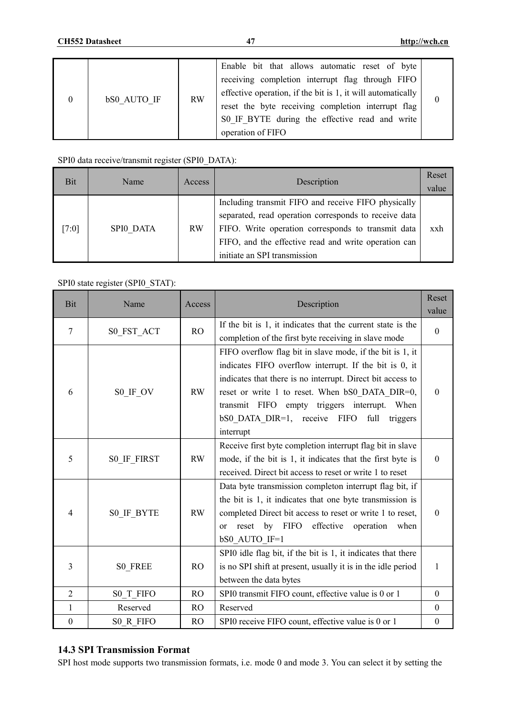| $\overline{0}$ | bS0 AUTO IF | <b>RW</b> | Enable bit that allows automatic reset of byte<br>receiving completion interrupt flag through FIFO<br>effective operation, if the bit is 1, it will automatically<br>reset the byte receiving completion interrupt flag<br>S0 IF BYTE during the effective read and write<br>operation of FIFO |  |
|----------------|-------------|-----------|------------------------------------------------------------------------------------------------------------------------------------------------------------------------------------------------------------------------------------------------------------------------------------------------|--|
|----------------|-------------|-----------|------------------------------------------------------------------------------------------------------------------------------------------------------------------------------------------------------------------------------------------------------------------------------------------------|--|

### SPI0 data receive/transmit register (SPI0\_DATA):

| Bit   | Name      | Access    | Description                                                                                                                                                                                                                                                | Reset<br>value |
|-------|-----------|-----------|------------------------------------------------------------------------------------------------------------------------------------------------------------------------------------------------------------------------------------------------------------|----------------|
| [7:0] | SPI0 DATA | <b>RW</b> | Including transmit FIFO and receive FIFO physically<br>separated, read operation corresponds to receive data<br>FIFO. Write operation corresponds to transmit data<br>FIFO, and the effective read and write operation can<br>initiate an SPI transmission | xxh            |

# SPI0 state register (SPI0\_STAT):

| Bit              | Name                  | Access         | Description                                                  |                  |
|------------------|-----------------------|----------------|--------------------------------------------------------------|------------------|
|                  |                       |                |                                                              | value            |
| $\overline{7}$   | S0 FST ACT            | <b>RO</b>      | If the bit is 1, it indicates that the current state is the  | $\theta$         |
|                  |                       |                | completion of the first byte receiving in slave mode         |                  |
|                  |                       |                | FIFO overflow flag bit in slave mode, if the bit is 1, it    |                  |
|                  |                       |                | indicates FIFO overflow interrupt. If the bit is 0, it       |                  |
|                  |                       |                | indicates that there is no interrupt. Direct bit access to   |                  |
| 6                | $SO$ <sub>IF</sub> OV | <b>RW</b>      | reset or write 1 to reset. When bS0 DATA DIR=0,              | $\boldsymbol{0}$ |
|                  |                       |                | transmit FIFO empty triggers interrupt. When                 |                  |
|                  |                       |                | bS0 DATA DIR=1, receive<br>full<br><b>FIFO</b><br>triggers   |                  |
|                  |                       |                | interrupt                                                    |                  |
|                  |                       |                | Receive first byte completion interrupt flag bit in slave    |                  |
| 5                | S0 IF FIRST           | <b>RW</b>      | mode, if the bit is 1, it indicates that the first byte is   | $\theta$         |
|                  |                       |                | received. Direct bit access to reset or write 1 to reset     |                  |
|                  |                       |                | Data byte transmission completon interrupt flag bit, if      |                  |
|                  |                       |                | the bit is 1, it indicates that one byte transmission is     |                  |
| 4                |                       | <b>RW</b>      | completed Direct bit access to reset or write 1 to reset,    | $\theta$         |
|                  | S0 IF BYTE            |                | by FIFO                                                      |                  |
|                  |                       |                | effective<br>reset<br>operation<br>when<br><sub>or</sub>     |                  |
|                  |                       |                | bS0_AUTO_IF=1                                                |                  |
|                  |                       |                | SPI0 idle flag bit, if the bit is 1, it indicates that there |                  |
| 3                | S0 FREE               | RO             | is no SPI shift at present, usually it is in the idle period | $\mathbf{1}$     |
|                  |                       |                | between the data bytes                                       |                  |
| $\overline{2}$   | S0 T FIFO             | R <sub>O</sub> | SPI0 transmit FIFO count, effective value is 0 or 1          | $\mathbf{0}$     |
| $\mathbf{1}$     | Reserved              | R <sub>O</sub> | Reserved                                                     | $\boldsymbol{0}$ |
| $\boldsymbol{0}$ | S0 R FIFO             | <b>RO</b>      | SPI0 receive FIFO count, effective value is 0 or 1           | $\boldsymbol{0}$ |

# **14.3 SPI Transmission Format**

SPI host mode supports two transmission formats, i.e. mode 0 and mode 3. You can select it by setting the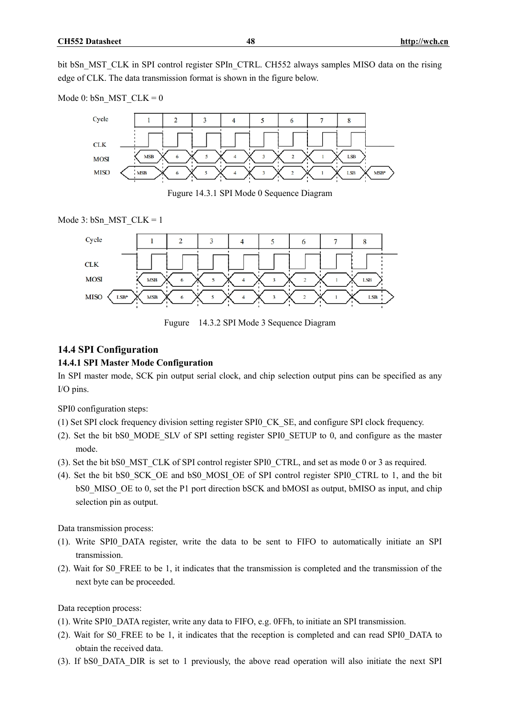bit bSn\_MST\_CLK in SPI control register SPIn\_CTRL. CH552 always samples MISO data on the rising edge of CLK. The data transmission format is shown in the figure below.

Mode 0: bSn MST  $CLK = 0$ 

![](_page_47_Figure_3.jpeg)

Fugure 14.3.1 SPI Mode 0 Sequence Diagram

![](_page_47_Figure_5.jpeg)

![](_page_47_Figure_6.jpeg)

Fugure 14.3.2 SPI Mode 3 Sequence Diagram

# **14.4 SPI Configuration**

# **14.4.1 SPI Master Mode Configuration**

In SPI master mode, SCK pin output serial clock, and chip selection output pins can be specified as any I/O pins.

SPI0 configuration steps:

- (1) Set SPI clock frequency division setting register SPI0\_CK\_SE, and configure SPI clock frequency.
- (2). Set the bit bS0\_MODE\_SLV of SPI setting register SPI0\_SETUP to 0, and configure as the master mode.
- (3). Set the bit bS0\_MST\_CLK of SPI control register SPI0\_CTRL, and set as mode 0 or 3 as required.
- (4). Set the bit bS0\_SCK\_OE and bS0\_MOSI\_OE of SPI control register SPI0\_CTRL to 1, and the bit bS0 MISO OE to 0, set the P1 port direction bSCK and bMOSI as output, bMISO as input, and chip selection pin as output.

Data transmission process:

- (1). Write SPI0\_DATA register, write the data to be sent to FIFO to automatically initiate an SPI transmission.
- (2). Wait for S0\_FREE to be 1, it indicates that the transmission is completed and the transmission of the next byte can be proceeded.

Data reception process:

- (1). Write SPI0\_DATA register, write any data to FIFO, e.g. 0FFh, to initiate an SPI transmission.
- (2). Wait for S0\_FREE to be 1, it indicates that the reception is completed and can read SPI0\_DATA to obtain the received data.
- (3). If bS0\_DATA\_DIR is set to 1 previously, the above read operation will also initiate the next SPI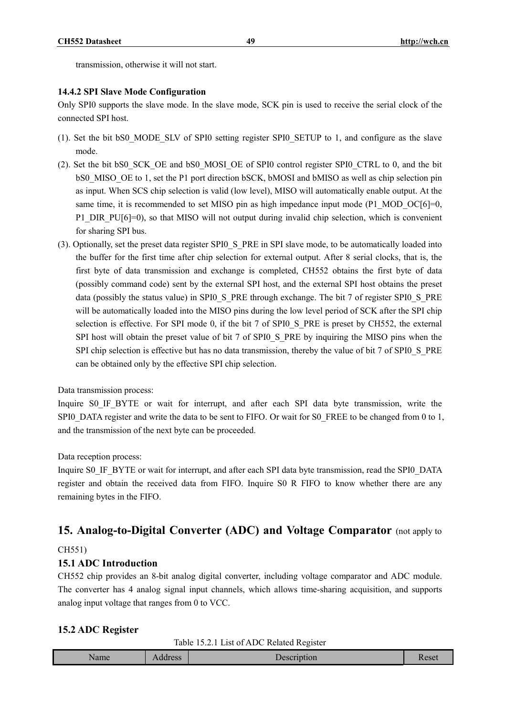transmission, otherwise it will not start.

#### **14.4.2 SPI Slave Mode Configuration**

Only SPI0 supports the slave mode. In the slave mode, SCK pin is used to receive the serial clock of the connected SPI host.

- (1). Set the bit bS0\_MODE\_SLV of SPI0 setting register SPI0\_SETUP to 1, and configure as the slave mode.
- (2). Set the bit bS0\_SCK\_OE and bS0\_MOSI\_OE of SPI0 control register SPI0\_CTRL to 0, and the bit bS0 MISO OE to 1, set the P1 port direction bSCK, bMOSI and bMISO as well as chip selection pin as input. When SCS chip selection is valid (low level), MISO will automatically enable output. At the same time, it is recommended to set MISO pin as high impedance input mode  $(P1 \text{ MOD }OC[6]=0$ , P1\_DIR\_PU[6]=0), so that MISO will not output during invalid chip selection, which is convenient for sharing SPI bus.
- (3). Optionally, set the preset data register SPI0\_S\_PRE in SPI slave mode, to be automatically loaded into the buffer for the first time after chip selection for external output. After 8 serial clocks, that is, the first byte of data transmission and exchange is completed, CH552 obtains the first byte of data (possibly command code) sent by the external SPI host, and the external SPI host obtains the preset data (possibly the status value) in SPI0\_S\_PRE through exchange. The bit 7 of register SPI0\_S\_PRE will be automatically loaded into the MISO pins during the low level period of SCK after the SPI chip selection is effective. For SPI mode 0, if the bit 7 of SPI0 S PRE is preset by CH552, the external SPI host will obtain the preset value of bit 7 of SPI0\_S\_PRE by inquiring the MISO pins when the SPI chip selection is effective but has no data transmission, thereby the value of bit 7 of SPI0 S PRE can be obtained only by the effective SPI chip selection.

Data transmission process:

Inquire S0 IF BYTE or wait for interrupt, and after each SPI data byte transmission, write the SPI0\_DATA register and write the data to be sent to FIFO. Or wait for S0\_FREE to be changed from 0 to 1, and the transmission of the next byte can be proceeded.

Data reception process:

Inquire S0\_IF\_BYTE or wait for interrupt, and after each SPI data byte transmission, read the SPI0\_DATA register and obtain the received data from FIFO. Inquire S0 R FIFO to know whether there are any remaining bytes in the FIFO.

# **15. Analog-to-Digital Converter (ADC) and Voltage Comparator** (not apply to

#### CH551)

#### **15.1 ADC Introduction**

CH552 chip provides an 8-bit analog digital converter, including voltage comparator and ADC module. The converter has 4 analog signal input channels, which allows time-sharing acquisition, and supports analog input voltage that ranges from 0 to VCC.

#### **15.2 ADC Register**

Table 15.2.1 List of ADC Related Register

|--|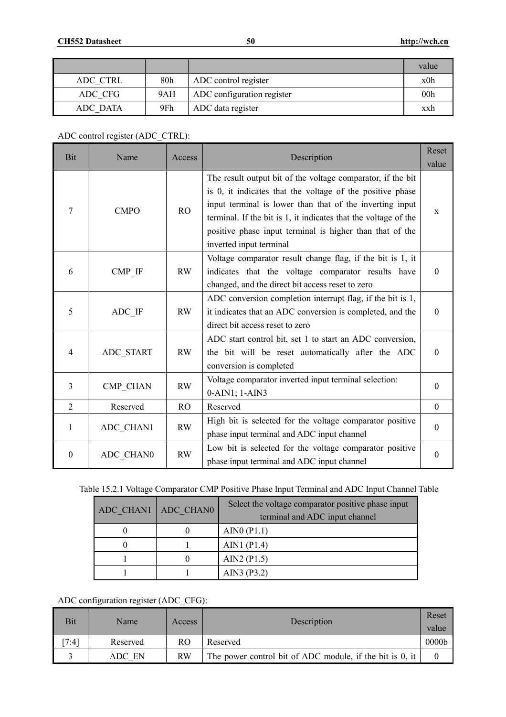|          |     |                            | value           |
|----------|-----|----------------------------|-----------------|
| ADC CTRL | 80h | ADC control register       | x0h             |
| ADC CFG  | 9AH | ADC configuration register | 00 <sub>h</sub> |
| ADC DATA | 9Fh | ADC data register          | xxh             |

ADC control register (ADC\_CTRL):

| Bit              | Name                  | Access        | Description                                                                                                                                                                                                                                                                                                                                    | Reset<br>value   |
|------------------|-----------------------|---------------|------------------------------------------------------------------------------------------------------------------------------------------------------------------------------------------------------------------------------------------------------------------------------------------------------------------------------------------------|------------------|
| 7                | <b>CMPO</b>           | <b>RO</b>     | The result output bit of the voltage comparator, if the bit<br>is 0, it indicates that the voltage of the positive phase<br>input terminal is lower than that of the inverting input<br>terminal. If the bit is 1, it indicates that the voltage of the<br>positive phase input terminal is higher than that of the<br>inverted input terminal | X                |
| 6                | $CMP$ <sub>_</sub> IF | <b>RW</b>     | Voltage comparator result change flag, if the bit is 1, it<br>indicates that the voltage comparator results have<br>changed, and the direct bit access reset to zero                                                                                                                                                                           | $\theta$         |
| 5                | ADC IF                | <b>RW</b>     | ADC conversion completion interrupt flag, if the bit is 1,<br>it indicates that an ADC conversion is completed, and the<br>direct bit access reset to zero                                                                                                                                                                                     | $\theta$         |
| 4                | ADC START             | <b>RW</b>     | ADC start control bit, set 1 to start an ADC conversion,<br>the bit will be reset automatically after the ADC<br>conversion is completed                                                                                                                                                                                                       | $\theta$         |
| 3                | CMP CHAN              | <b>RW</b>     | Voltage comparator inverted input terminal selection:<br>$0-AIN1$ ; $1-AIN3$                                                                                                                                                                                                                                                                   | $\theta$         |
| $\overline{2}$   | Reserved              | <sub>RO</sub> | Reserved                                                                                                                                                                                                                                                                                                                                       | $\Omega$         |
| 1                | ADC CHAN1             | <b>RW</b>     | High bit is selected for the voltage comparator positive<br>phase input terminal and ADC input channel                                                                                                                                                                                                                                         | $\theta$         |
| $\boldsymbol{0}$ | ADC CHAN0             | <b>RW</b>     | Low bit is selected for the voltage comparator positive<br>phase input terminal and ADC input channel                                                                                                                                                                                                                                          | $\boldsymbol{0}$ |

|  |  |  |  |  | Table 15.2.1 Voltage Comparator CMP Positive Phase Input Terminal and ADC Input Channel Table |
|--|--|--|--|--|-----------------------------------------------------------------------------------------------|
|--|--|--|--|--|-----------------------------------------------------------------------------------------------|

| ADC CHAN1   ADC CHAN0 | Select the voltage comparator positive phase input<br>terminal and ADC input channel |
|-----------------------|--------------------------------------------------------------------------------------|
|                       | AINO $(P1.1)$                                                                        |
|                       | AIN1 $(P1.4)$                                                                        |
|                       | AIN2 $(P1.5)$                                                                        |
|                       | AIN3 (P3.2)                                                                          |

ADC configuration register (ADC\_CFG):

| Bit   | Name     | Access    | Description                                              | Reset<br>value    |
|-------|----------|-----------|----------------------------------------------------------|-------------------|
| [7:4] | Reserved | RO        | Reserved                                                 | 0000 <sub>b</sub> |
|       | ADC EN   | <b>RW</b> | The power control bit of ADC module, if the bit is 0, it |                   |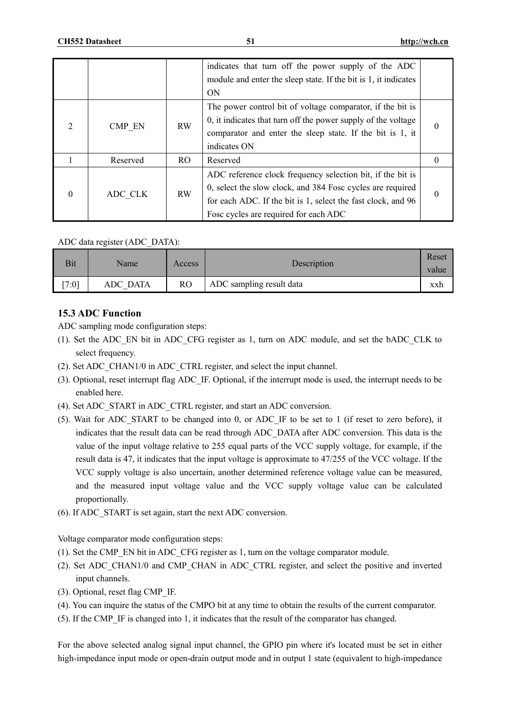|                |          |                | indicates that turn off the power supply of the ADC<br>module and enter the sleep state. If the bit is 1, it indicates<br><b>ON</b>                                                                                               |          |
|----------------|----------|----------------|-----------------------------------------------------------------------------------------------------------------------------------------------------------------------------------------------------------------------------------|----------|
| $\overline{2}$ | CMP EN   | <b>RW</b>      | The power control bit of voltage comparator, if the bit is<br>0, it indicates that turn off the power supply of the voltage<br>comparator and enter the sleep state. If the bit is 1, it<br>indicates ON                          | $\theta$ |
|                | Reserved | R <sub>O</sub> | Reserved                                                                                                                                                                                                                          | $\theta$ |
| $\Omega$       | ADC CLK  | <b>RW</b>      | ADC reference clock frequency selection bit, if the bit is<br>0, select the slow clock, and 384 Fosc cycles are required<br>for each ADC. If the bit is 1, select the fast clock, and 96<br>Fosc cycles are required for each ADC | $\Omega$ |

#### ADC data register (ADC\_DATA):

| Bit  | Name     | Access | Description              | Reset<br>value |
|------|----------|--------|--------------------------|----------------|
| 7:01 | ADC DATA | RO     | ADC sampling result data | xxh            |

### **15.3 ADC Function**

ADC sampling mode configuration steps:

- (1). Set the ADC\_EN bit in ADC\_CFG register as 1, turn on ADC module, and set the bADC\_CLK to select frequency.
- (2). Set ADC\_CHAN1/0 in ADC\_CTRL register, and select the input channel.
- (3). Optional, reset interrupt flag ADC\_IF. Optional, if the interrupt mode is used, the interrupt needs to be enabled here.
- (4). Set ADC\_START in ADC\_CTRL register, and start an ADC conversion.
- (5). Wait for ADC\_START to be changed into 0, or ADC\_IF to be set to 1 (if reset to zero before), it indicates that the result data can be read through ADC\_DATA after ADC conversion. This data is the value of the input voltage relative to 255 equal parts of the VCC supply voltage, for example, if the result data is 47, it indicates that the input voltage is approximate to 47/255 of the VCC voltage. If the VCC supply voltage is also uncertain, another determined reference voltage value can be measured, and the measured input voltage value and the VCC supply voltage value can be calculated proportionally.
- (6). If ADC\_START is set again, start the next ADC conversion.

Voltage comparator mode configuration steps:

- (1). Set the CMP\_EN bit in ADC\_CFG register as 1, turn on the voltage comparator module.
- (2). Set ADC\_CHAN1/0 and CMP\_CHAN in ADC\_CTRL register, and select the positive and inverted input channels.
- (3). Optional, reset flag CMP\_IF.
- (4). You can inquire the status of the CMPO bit at any time to obtain the results of the current comparator.
- (5). If the CMP\_IF is changed into 1, it indicates that the result of the comparator has changed.

For the above selected analog signal input channel, the GPIO pin where it's located must be set in either high-impedance input mode or open-drain output mode and in output 1 state (equivalent to high-impedance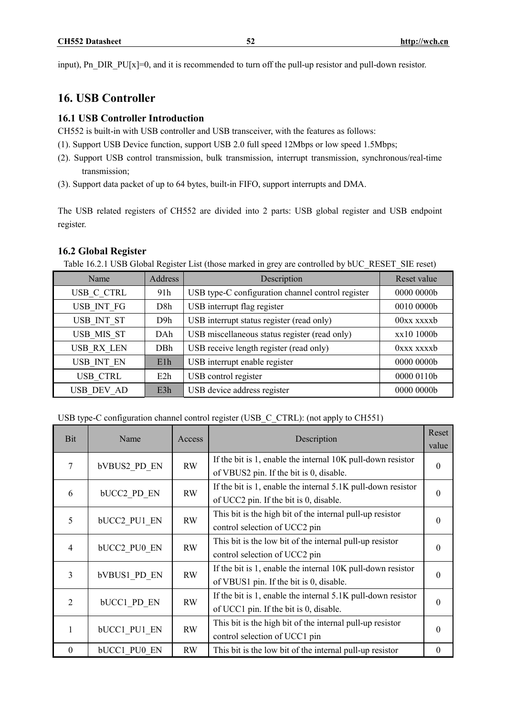input), Pn\_DIR\_PU[x]=0, and it is recommended to turn off the pull-up resistor and pull-down resistor.

# **16. USB Controller**

# **16.1 USB Controller Introduction**

CH552 is built-in with USB controller and USB transceiver, with the features as follows:

- (1). Support USB Device function, support USB 2.0 full speed 12Mbps or low speed 1.5Mbps;
- (2). Support USB control transmission, bulk transmission, interrupt transmission, synchronous/real-time transmission;
- (3). Support data packet of up to 64 bytes, built-in FIFO, support interrupts and DMA.

The USB related registers of CH552 are divided into 2 parts: USB global register and USB endpoint register.

### **16.2 Global Register**

Table 16.2.1 USB Global Register List (those marked in grey are controlled by bUC\_RESET\_SIE reset)

| Name              | Address          | Description                                       | Reset value  |
|-------------------|------------------|---------------------------------------------------|--------------|
| USB C CTRL        | 91 <sub>h</sub>  | USB type-C configuration channel control register | 0000 0000b   |
| USB INT FG        | D <sub>8</sub> h | USB interrupt flag register                       | 0010 0000b   |
| USB INT ST        | D <sub>9</sub> h | USB interrupt status register (read only)         | $00xx$ xxxxb |
| USB MIS ST        | DAh              | USB miscellaneous status register (read only)     | xx10 1000b   |
| <b>USB RX LEN</b> | DBh              | USB receive length register (read only)           | 0xxx xxxxb   |
| USB INT EN        | E1h              | USB interrupt enable register                     | 0000 0000b   |
| <b>USB CTRL</b>   | E2h              | USB control register                              | 0000 0110b   |
| USB DEV AD        | E3h              | USB device address register                       | 0000 0000b   |

USB type-C configuration channel control register (USB\_C\_CTRL): (not apply to CH551)

| Bit            | Name                | Access    | Description                                                    |          |
|----------------|---------------------|-----------|----------------------------------------------------------------|----------|
|                |                     |           |                                                                | value    |
| 7              | <b>bVBUS2 PD EN</b> | <b>RW</b> | If the bit is 1, enable the internal 10K pull-down resistor    | $\theta$ |
|                |                     |           | of VBUS2 pin. If the bit is 0, disable.                        |          |
| 6              | <b>bUCC2 PD EN</b>  | <b>RW</b> | If the bit is 1, enable the internal $5.1K$ pull-down resistor | $\theta$ |
|                |                     |           | of UCC2 pin. If the bit is 0, disable.                         |          |
| 5              | <b>bUCC2 PU1 EN</b> | <b>RW</b> | This bit is the high bit of the internal pull-up resistor      | $\Omega$ |
|                |                     |           | control selection of UCC2 pin                                  |          |
| $\overline{4}$ |                     | <b>RW</b> | This bit is the low bit of the internal pull-up resistor       | $\Omega$ |
|                | <b>bUCC2 PU0 EN</b> |           | control selection of UCC2 pin                                  |          |
|                |                     |           | If the bit is 1, enable the internal 10K pull-down resistor    |          |
| 3              | <b>bVBUS1 PD EN</b> | <b>RW</b> | of VBUS1 pin. If the bit is 0, disable.                        | $\Omega$ |
|                |                     |           | If the bit is 1, enable the internal 5.1K pull-down resistor   |          |
| $\overline{2}$ | <b>bUCC1 PD EN</b>  | <b>RW</b> | of UCC1 pin. If the bit is 0, disable.                         | $\theta$ |
|                |                     |           | This bit is the high bit of the internal pull-up resistor      |          |
|                | <b>bUCC1 PU1 EN</b> | <b>RW</b> | control selection of UCC1 pin                                  | $\Omega$ |
| $\theta$       | <b>bUCC1 PU0 EN</b> | <b>RW</b> | This bit is the low bit of the internal pull-up resistor       | $\theta$ |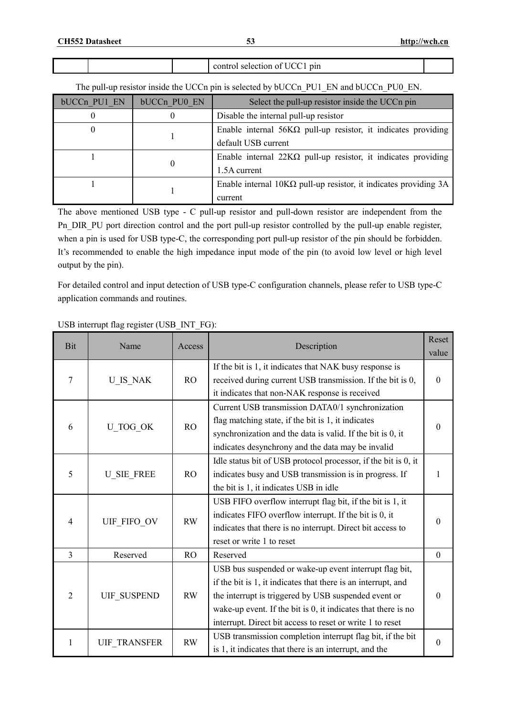|  | ***<br>μш<br>_________ |  |
|--|------------------------|--|
|  |                        |  |

The pull-up resistor inside the UCCn pin is selected by bUCCn\_PU1\_EN and bUCCn\_PU0\_EN.

| bUCCn PU1 EN | bUCCn PU0 EN | Select the pull-up resistor inside the UCCn pin                         |
|--------------|--------------|-------------------------------------------------------------------------|
|              |              | Disable the internal pull-up resistor                                   |
|              |              | Enable internal $56K\Omega$ pull-up resistor, it indicates providing    |
|              |              | default USB current                                                     |
|              | O            | Enable internal $22K\Omega$ pull-up resistor, it indicates providing    |
|              |              | 1.5A current                                                            |
|              |              | Enable internal $10K\Omega$ pull-up resistor, it indicates providing 3A |
|              |              | current                                                                 |

The above mentioned USB type - C pull-up resistor and pull-down resistor are independent from the Pn\_DIR\_PU port direction control and the port pull-up resistor controlled by the pull-up enable register, when a pin is used for USB type-C, the corresponding port pull-up resistor of the pin should be forbidden. It's recommended to enable the high impedance input mode of the pin (to avoid low level or high level output by the pin).

For detailed control and input detection of USB type-C configuration channels, please refer to USB type-C application commands and routines.

| Bit            | Name                | Access    | Description                                                                                                                                                                                                                                                                                                   | Reset            |
|----------------|---------------------|-----------|---------------------------------------------------------------------------------------------------------------------------------------------------------------------------------------------------------------------------------------------------------------------------------------------------------------|------------------|
|                |                     |           |                                                                                                                                                                                                                                                                                                               | value            |
| 7              | U IS NAK            | RO        | If the bit is 1, it indicates that NAK busy response is<br>received during current USB transmission. If the bit is 0,<br>it indicates that non-NAK response is received                                                                                                                                       | $\Omega$         |
| 6              | U TOG OK            | RO        | Current USB transmission DATA0/1 synchronization<br>flag matching state, if the bit is 1, it indicates<br>synchronization and the data is valid. If the bit is 0, it<br>indicates desynchrony and the data may be invalid                                                                                     | $\Omega$         |
| 5              | <b>U_SIE_FREE</b>   | <b>RO</b> | Idle status bit of USB protocol processor, if the bit is 0, it<br>indicates busy and USB transmission is in progress. If<br>the bit is 1, it indicates USB in idle                                                                                                                                            | $\mathbf{1}$     |
| $\overline{4}$ | UIF FIFO OV         | RW        | USB FIFO overflow interrupt flag bit, if the bit is 1, it<br>indicates FIFO overflow interrupt. If the bit is 0, it<br>indicates that there is no interrupt. Direct bit access to<br>reset or write 1 to reset                                                                                                | $\Omega$         |
| $\overline{3}$ | Reserved            | <b>RO</b> | Reserved                                                                                                                                                                                                                                                                                                      | $\boldsymbol{0}$ |
| $\overline{2}$ | <b>UIF SUSPEND</b>  | <b>RW</b> | USB bus suspended or wake-up event interrupt flag bit,<br>if the bit is 1, it indicates that there is an interrupt, and<br>the interrupt is triggered by USB suspended event or<br>wake-up event. If the bit is 0, it indicates that there is no<br>interrupt. Direct bit access to reset or write 1 to reset | $\Omega$         |
| 1              | <b>UIF TRANSFER</b> | <b>RW</b> | USB transmission completion interrupt flag bit, if the bit<br>is 1, it indicates that there is an interrupt, and the                                                                                                                                                                                          | $\theta$         |

USB interrupt flag register (USB\_INT\_FG):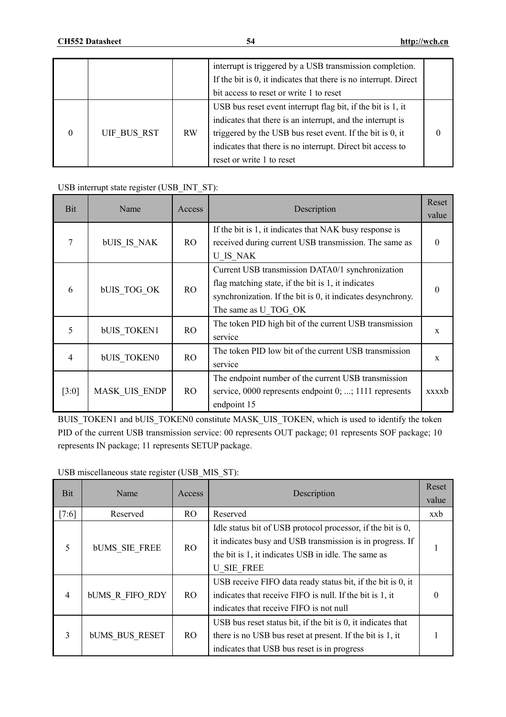|                  |             |    | interrupt is triggered by a USB transmission completion.<br>If the bit is 0, it indicates that there is no interrupt. Direct |  |
|------------------|-------------|----|------------------------------------------------------------------------------------------------------------------------------|--|
|                  |             |    | bit access to reset or write 1 to reset                                                                                      |  |
|                  |             |    | USB bus reset event interrupt flag bit, if the bit is 1, it                                                                  |  |
|                  |             |    | indicates that there is an interrupt, and the interrupt is                                                                   |  |
| $\boldsymbol{0}$ | UIF BUS RST | RW | triggered by the USB bus reset event. If the bit is 0, it                                                                    |  |
|                  |             |    | indicates that there is no interrupt. Direct bit access to                                                                   |  |
|                  |             |    | reset or write 1 to reset                                                                                                    |  |

### USB interrupt state register (USB\_INT\_ST):

| Bit   | Name               | Access | Description                                                                                                                                                                                   | Reset<br>value |
|-------|--------------------|--------|-----------------------------------------------------------------------------------------------------------------------------------------------------------------------------------------------|----------------|
|       | bUIS IS NAK        | RO.    | If the bit is 1, it indicates that NAK busy response is<br>received during current USB transmission. The same as<br>U IS NAK                                                                  | 0              |
| 6     | <b>bUIS TOG OK</b> | RO     | Current USB transmission DATA0/1 synchronization<br>flag matching state, if the bit is 1, it indicates<br>synchronization. If the bit is 0, it indicates desynchrony.<br>The same as U TOG OK | 0              |
| 5     | <b>bUIS TOKEN1</b> | RO     | The token PID high bit of the current USB transmission<br>service                                                                                                                             | X              |
| 4     | <b>bUIS TOKEN0</b> | RO.    | The token PID low bit of the current USB transmission<br>service                                                                                                                              | X              |
| [3:0] | MASK UIS ENDP      | RO.    | The endpoint number of the current USB transmission<br>service, 0000 represents endpoint 0; ; 1111 represents<br>endpoint 15                                                                  | xxxxb          |

BUIS\_TOKEN1 and bUIS\_TOKEN0 constitute MASK\_UIS\_TOKEN, which is used to identify the token PID of the current USB transmission service: 00 represents OUT package; 01 represents SOF package; 10 represents IN package; 11 represents SETUP package.

USB miscellaneous state register (USB\_MIS\_ST):

| Bit   | Name                   | Access         | Description                                                                                                                                                                                          | Reset<br>value |
|-------|------------------------|----------------|------------------------------------------------------------------------------------------------------------------------------------------------------------------------------------------------------|----------------|
| [7:6] | Reserved               | RO.            | Reserved                                                                                                                                                                                             | xxb            |
| 5     | <b>bUMS SIE FREE</b>   | R <sub>O</sub> | Idle status bit of USB protocol processor, if the bit is 0,<br>it indicates busy and USB transmission is in progress. If<br>the bit is 1, it indicates USB in idle. The same as<br><b>U SIE FREE</b> |                |
| 4     | <b>bUMS R FIFO RDY</b> | RO.            | USB receive FIFO data ready status bit, if the bit is 0, it<br>indicates that receive FIFO is null. If the bit is 1, it<br>indicates that receive FIFO is not null                                   |                |
| 3     | <b>bUMS BUS RESET</b>  | RO.            | USB bus reset status bit, if the bit is 0, it indicates that<br>there is no USB bus reset at present. If the bit is 1, it<br>indicates that USB bus reset is in progress                             |                |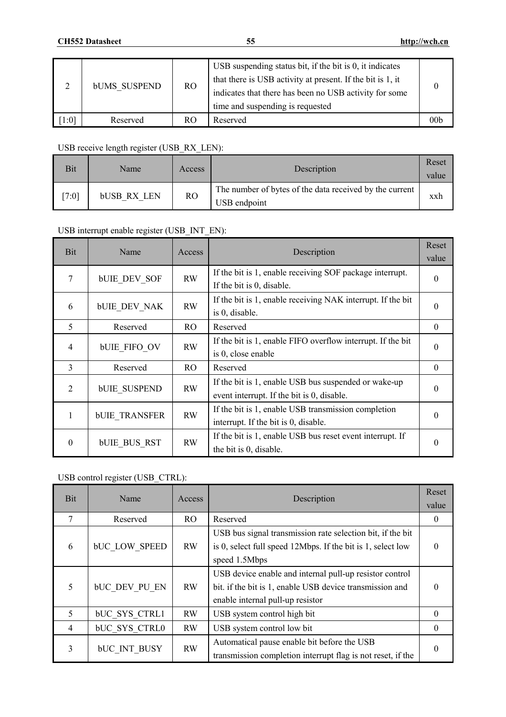|       | <b>bUMS SUSPEND</b> | RO. | USB suspending status bit, if the bit is 0, it indicates<br>that there is USB activity at present. If the bit is 1, it<br>indicates that there has been no USB activity for some<br>time and suspending is requested |                |
|-------|---------------------|-----|----------------------------------------------------------------------------------------------------------------------------------------------------------------------------------------------------------------------|----------------|
| [1:0] | Reserved            | RO. | Reserved                                                                                                                                                                                                             | $00\mathrm{b}$ |

# USB receive length register (USB\_RX\_LEN):

| Bit   | Name               | Access | Description                                                             | Reset<br>value |
|-------|--------------------|--------|-------------------------------------------------------------------------|----------------|
| 17:01 | <b>bUSB RX LEN</b> | RO     | The number of bytes of the data received by the current<br>USB endpoint | xxh            |

# USB interrupt enable register (USB\_INT\_EN):

| Bit            | Name                 | Access    | Description                                                                                        | Reset<br>value   |
|----------------|----------------------|-----------|----------------------------------------------------------------------------------------------------|------------------|
| 7              | <b>bUIE DEV SOF</b>  | RW        | If the bit is 1, enable receiving SOF package interrupt.<br>If the bit is 0, disable.              | $\theta$         |
| 6              | <b>bUIE DEV NAK</b>  | <b>RW</b> | If the bit is 1, enable receiving NAK interrupt. If the bit<br>is 0, disable.                      | $\theta$         |
| 5              | Reserved             | RO.       | Reserved                                                                                           | $\bf{0}$         |
| 4              | <b>bUIE FIFO OV</b>  | <b>RW</b> | If the bit is 1, enable FIFO overflow interrupt. If the bit<br>is 0, close enable                  | $\theta$         |
| 3              | Reserved             | RO        | Reserved                                                                                           | $\boldsymbol{0}$ |
| $\overline{2}$ | <b>bUIE SUSPEND</b>  | <b>RW</b> | If the bit is 1, enable USB bus suspended or wake-up<br>event interrupt. If the bit is 0, disable. | $\Omega$         |
|                | <b>bUIE TRANSFER</b> | <b>RW</b> | If the bit is 1, enable USB transmission completion<br>interrupt. If the bit is 0, disable.        | $\theta$         |
| $\theta$       | <b>bUIE BUS RST</b>  | RW        | If the bit is 1, enable USB bus reset event interrupt. If<br>the bit is 0, disable.                | 0                |

# USB control register (USB\_CTRL):

| Bit            | Name                 | Access    | Description                                                 | Reset            |
|----------------|----------------------|-----------|-------------------------------------------------------------|------------------|
|                |                      |           |                                                             | value            |
| 7              | Reserved             | RO.       | Reserved                                                    | $\boldsymbol{0}$ |
|                |                      |           | USB bus signal transmission rate selection bit, if the bit  |                  |
| 6              | <b>bUC LOW SPEED</b> | <b>RW</b> | is 0, select full speed 12Mbps. If the bit is 1, select low | $\theta$         |
|                |                      |           | speed 1.5Mbps                                               |                  |
|                |                      |           | USB device enable and internal pull-up resistor control     |                  |
| 5              | <b>bUC DEV PU EN</b> | <b>RW</b> | bit. if the bit is 1, enable USB device transmission and    |                  |
|                |                      |           | enable internal pull-up resistor                            |                  |
| 5              | <b>bUC SYS CTRL1</b> | RW        | USB system control high bit                                 | $\Omega$         |
| $\overline{4}$ | <b>bUC SYS CTRL0</b> | <b>RW</b> | USB system control low bit                                  | $\Omega$         |
| 3              |                      | <b>RW</b> | Automatical pause enable bit before the USB                 |                  |
|                | <b>bUC INT BUSY</b>  |           | transmission completion interrupt flag is not reset, if the | $\Omega$         |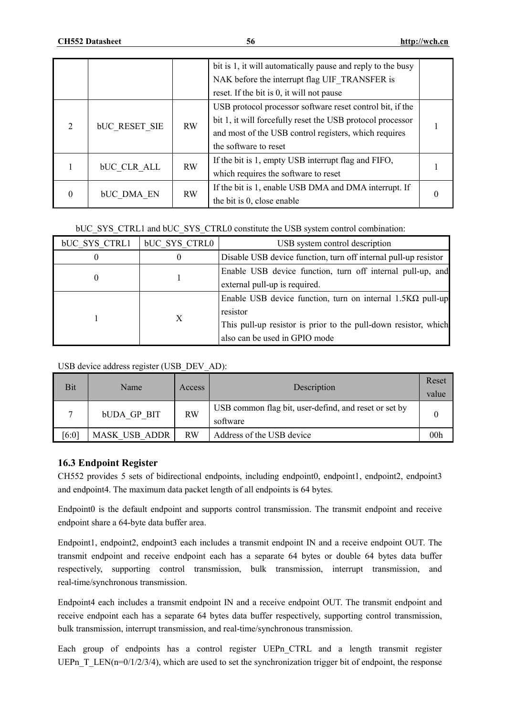|                    |                      |           | bit is 1, it will automatically pause and reply to the busy<br>NAK before the interrupt flag UIF TRANSFER is |  |
|--------------------|----------------------|-----------|--------------------------------------------------------------------------------------------------------------|--|
|                    |                      |           | reset. If the bit is 0, it will not pause                                                                    |  |
|                    |                      |           | USB protocol processor software reset control bit, if the                                                    |  |
|                    | <b>bUC RESET SIE</b> | RW        | bit 1, it will forcefully reset the USB protocol processor                                                   |  |
| $\overline{2}$     |                      |           | and most of the USB control registers, which requires                                                        |  |
|                    |                      |           | the software to reset                                                                                        |  |
| <b>bUC CLR ALL</b> |                      | <b>RW</b> | If the bit is 1, empty USB interrupt flag and FIFO,                                                          |  |
|                    |                      |           | which requires the software to reset                                                                         |  |
| 0                  |                      | RW        | If the bit is 1, enable USB DMA and DMA interrupt. If                                                        |  |
|                    | <b>bUC DMA EN</b>    |           | the bit is 0, close enable                                                                                   |  |

#### bUC\_SYS\_CTRL1 and bUC\_SYS\_CTRL0 constitute the USB system control combination:

| <b>bUC SYS CTRL1</b> | bUC SYS CTRL0 | USB system control description                                    |
|----------------------|---------------|-------------------------------------------------------------------|
|                      |               | Disable USB device function, turn off internal pull-up resistor   |
|                      |               | Enable USB device function, turn off internal pull-up, and        |
| 0                    |               | external pull-up is required.                                     |
|                      |               | Enable USB device function, turn on internal $1.5K\Omega$ pull-up |
|                      |               | resistor                                                          |
|                      |               | This pull-up resistor is prior to the pull-down resistor, which   |
|                      |               | also can be used in GPIO mode                                     |

USB device address register (USB\_DEV\_AD):

| Bit   | Name                 | Access    | Description                                                       | Reset<br>value |
|-------|----------------------|-----------|-------------------------------------------------------------------|----------------|
|       | <b>bUDA GP BIT</b>   | <b>RW</b> | USB common flag bit, user-defind, and reset or set by<br>software |                |
| [6:0] | <b>MASK USB ADDR</b> | <b>RW</b> | Address of the USB device                                         | $00\mathrm{h}$ |

#### **16.3 Endpoint Register**

CH552 provides 5 sets of bidirectional endpoints, including endpoint0, endpoint1, endpoint2, endpoint3 and endpoint4. The maximum data packet length of all endpoints is 64 bytes.

Endpoint0 is the default endpoint and supports control transmission. The transmit endpoint and receive endpoint share a 64-byte data buffer area.

Endpoint1, endpoint2, endpoint3 each includes a transmit endpoint IN and a receive endpoint OUT. The transmit endpoint and receive endpoint each has a separate 64 bytes or double 64 bytes data buffer respectively, supporting control transmission, bulk transmission, interrupt transmission, and real-time/synchronous transmission.

Endpoint4 each includes a transmit endpoint IN and a receive endpoint OUT. The transmit endpoint and receive endpoint each has a separate 64 bytes data buffer respectively, supporting control transmission, bulk transmission, interrupt transmission, and real-time/synchronous transmission.

Each group of endpoints has a control register UEPn\_CTRL and a length transmit register UEPn T LEN(n=0/1/2/3/4), which are used to set the synchronization trigger bit of endpoint, the response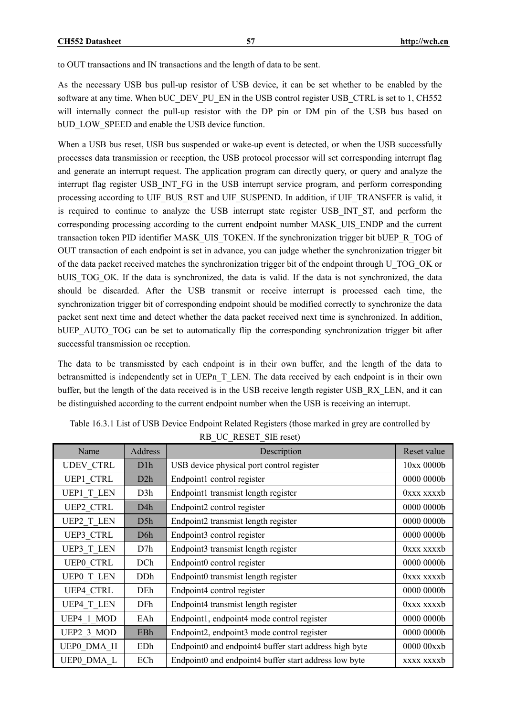to OUT transactions and IN transactions and the length of data to be sent.

As the necessary USB bus pull-up resistor of USB device, it can be set whether to be enabled by the software at any time. When bUC\_DEV\_PU\_EN in the USB control register USB\_CTRL is set to 1, CH552 will internally connect the pull-up resistor with the DP pin or DM pin of the USB bus based on bUD LOW SPEED and enable the USB device function.

When a USB bus reset, USB bus suspended or wake-up event is detected, or when the USB successfully processes data transmission or reception, the USB protocol processor will set corresponding interrupt flag and generate an interrupt request. The application program can directly query, or query and analyze the interrupt flag register USB\_INT\_FG in the USB interrupt service program, and perform corresponding processing according to UIF\_BUS\_RST and UIF\_SUSPEND. In addition, if UIF\_TRANSFER is valid, it is required to continue to analyze the USB interrupt state register USB\_INT\_ST, and perform the corresponding processing according to the current endpoint number MASK\_UIS\_ENDP and the current transaction token PID identifier MASK\_UIS\_TOKEN. If the synchronization trigger bit bUEP\_R\_TOG of OUT transaction of each endpoint is set in advance, you can judge whether the synchronization trigger bit of the data packet received matches the synchronization trigger bit of the endpoint through U\_TOG\_OK or bUIS TOG OK. If the data is synchronized, the data is valid. If the data is not synchronized, the data should be discarded. After the USB transmit or receive interrupt is processed each time, the synchronization trigger bit of corresponding endpoint should be modified correctly to synchronize the data packet sent next time and detect whether the data packet received next time is synchronized. In addition, bUEP\_AUTO\_TOG can be set to automatically flip the corresponding synchronization trigger bit after successful transmission oe reception.

The data to be transmissted by each endpoint is in their own buffer, and the length of the data to betransmitted is independently set in UEPn T\_LEN. The data received by each endpoint is in their own buffer, but the length of the data received is in the USB receive length register USB\_RX\_LEN, and it can be distinguished according to the current endpoint number when the USB is receiving an interrupt.

| Name              | Address    | Description                                            | Reset value |
|-------------------|------------|--------------------------------------------------------|-------------|
| <b>UDEV CTRL</b>  | D1h        | USB device physical port control register              | 10xx0000b   |
| UEP1 CTRL         | D2h        | Endpoint1 control register                             | 0000 0000b  |
| <b>UEP1 T LEN</b> | D3h        | Endpoint1 transmist length register                    | 0xxx xxxxb  |
| <b>UEP2 CTRL</b>  | D4h        | Endpoint2 control register                             | 0000 0000b  |
| UEP2 T LEN        | D5h        | Endpoint2 transmist length register                    | 0000 0000b  |
| UEP3 CTRL         | D6h        | Endpoint3 control register                             | 0000 0000b  |
| <b>UEP3 T LEN</b> | D7h        | Endpoint3 transmist length register                    | 0xxx xxxxb  |
| <b>UEPO CTRL</b>  | DCh        | Endpoint0 control register                             | 0000 0000b  |
| <b>UEPO T LEN</b> | <b>DDh</b> | Endpoint0 transmist length register                    | 0xxx xxxxb  |
| <b>UEP4 CTRL</b>  | DEh        | Endpoint4 control register                             | 0000 0000b  |
| <b>UEP4 T LEN</b> | DFh        | Endpoint4 transmist length register                    | 0xxx xxxxb  |
| UEP4 1 MOD        | EAh        | Endpoint1, endpoint4 mode control register             | 0000 0000b  |
| UEP2 3 MOD        | EBh        | Endpoint2, endpoint3 mode control register             | 0000 0000b  |
| UEP0 DMA H        | EDh        | Endpoint0 and endpoint4 buffer start address high byte | 0000 00xxb  |
| UEP0 DMA L        | ECh        | Endpoint0 and endpoint4 buffer start address low byte  | xxxx xxxxb  |

| Table 16.3.1 List of USB Device Endpoint Related Registers (those marked in grey are controlled by |
|----------------------------------------------------------------------------------------------------|
| RB UC RESET SIE reset)                                                                             |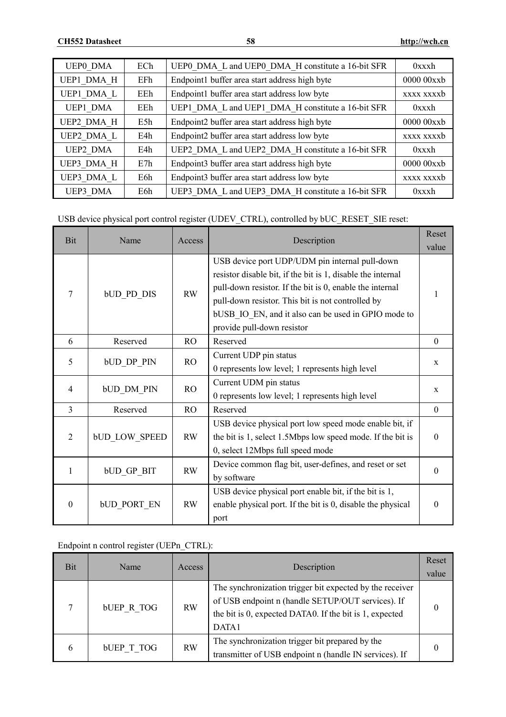| <b>UEPO DMA</b> | ECh | UEP0 DMA L and UEP0 DMA H constitute a 16-bit SFR | 0xxxh       |
|-----------------|-----|---------------------------------------------------|-------------|
| UEP1 DMA H      | EFh | Endpoint1 buffer area start address high byte     | 0000 00xxb  |
| UEP1 DMA L      | EEh | Endpoint1 buffer area start address low byte      | xxxx xxxxb  |
| UEP1 DMA        | EEh | UEP1 DMA L and UEP1 DMA H constitute a 16-bit SFR | $0$ xxx $h$ |
| UEP2 DMA H      | E5h | Endpoint2 buffer area start address high byte     | 0000 00xxb  |
| UEP2 DMA L      | E4h | Endpoint2 buffer area start address low byte      | xxxx xxxxb  |
| UEP2 DMA        | E4h | UEP2 DMA L and UEP2 DMA H constitute a 16-bit SFR | $0$ xxx $h$ |
| UEP3 DMA H      | E7h | Endpoint3 buffer area start address high byte     | 0000 00xxb  |
| UEP3 DMA L      | E6h | Endpoint3 buffer area start address low byte      | xxxx xxxxb  |
| UEP3 DMA        | E6h | UEP3 DMA L and UEP3 DMA H constitute a 16-bit SFR | $0$ xxx $h$ |

USB device physical port control register (UDEV\_CTRL), controlled by bUC\_RESET\_SIE reset:

| <b>Bit</b>       | Name                 | Access         | Description                                                                                                                                                                                                                                                                                                         | Reset<br>value |
|------------------|----------------------|----------------|---------------------------------------------------------------------------------------------------------------------------------------------------------------------------------------------------------------------------------------------------------------------------------------------------------------------|----------------|
| 7                | <b>bUD PD DIS</b>    | <b>RW</b>      | USB device port UDP/UDM pin internal pull-down<br>resistor disable bit, if the bit is 1, disable the internal<br>pull-down resistor. If the bit is 0, enable the internal<br>pull-down resistor. This bit is not controlled by<br>bUSB IO EN, and it also can be used in GPIO mode to<br>provide pull-down resistor | 1              |
| 6                | Reserved             | R <sub>O</sub> | Reserved                                                                                                                                                                                                                                                                                                            | $\theta$       |
| 5                | <b>bUD DP PIN</b>    | RO             | Current UDP pin status<br>0 represents low level; 1 represents high level                                                                                                                                                                                                                                           | $\mathbf{X}$   |
| 4                | <b>bUD DM PIN</b>    | RO.            | Current UDM pin status<br>0 represents low level; 1 represents high level                                                                                                                                                                                                                                           | $\mathbf{X}$   |
| 3                | Reserved             | RO             | Reserved                                                                                                                                                                                                                                                                                                            | $\mathbf{0}$   |
| 2                | <b>bUD LOW SPEED</b> | RW             | USB device physical port low speed mode enable bit, if<br>the bit is 1, select 1.5Mbps low speed mode. If the bit is<br>0, select 12Mbps full speed mode                                                                                                                                                            | $\theta$       |
| 1                | <b>bUD GP BIT</b>    | RW             | Device common flag bit, user-defines, and reset or set<br>by software                                                                                                                                                                                                                                               | $\theta$       |
| $\boldsymbol{0}$ | <b>bUD PORT EN</b>   | RW             | USB device physical port enable bit, if the bit is 1,<br>enable physical port. If the bit is 0, disable the physical<br>port                                                                                                                                                                                        | $\theta$       |

Endpoint n control register (UEPn\_CTRL):

| <b>Bit</b> | Name              | Access    | Description                                                                                                                                                                       | Reset<br>value |
|------------|-------------------|-----------|-----------------------------------------------------------------------------------------------------------------------------------------------------------------------------------|----------------|
| ⇁          | <b>bUEP R TOG</b> | <b>RW</b> | The synchronization trigger bit expected by the receiver<br>of USB endpoint n (handle SETUP/OUT services). If<br>the bit is 0, expected DATA0. If the bit is 1, expected<br>DATA1 |                |
| 6          | <b>bUEP T TOG</b> | <b>RW</b> | The synchronization trigger bit prepared by the<br>transmitter of USB endpoint n (handle IN services). If                                                                         |                |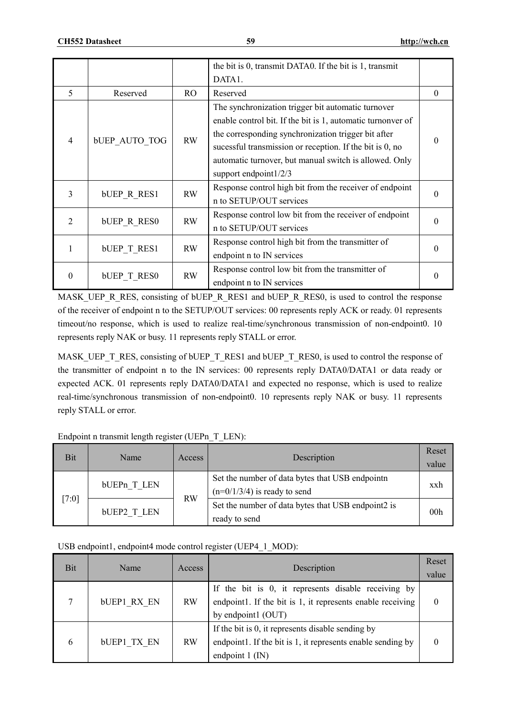|                |                      |                                 | the bit is 0, transmit DATA0. If the bit is 1, transmit     |          |
|----------------|----------------------|---------------------------------|-------------------------------------------------------------|----------|
|                |                      |                                 | DATA1.                                                      |          |
| 5              | Reserved             | RO.                             | Reserved                                                    | $\theta$ |
|                |                      |                                 | The synchronization trigger bit automatic turnover          |          |
|                |                      |                                 | enable control bit. If the bit is 1, automatic turnonver of |          |
| $\overline{4}$ |                      |                                 | the corresponding synchronization trigger bit after         | 0        |
|                | <b>bUEP AUTO TOG</b> | <b>RW</b>                       | sucessful transmission or reception. If the bit is 0, no    |          |
|                |                      |                                 | automatic turnover, but manual switch is allowed. Only      |          |
|                |                      |                                 | support endpoint1/2/3                                       |          |
| 3              |                      | <b>RW</b><br><b>bUEP R RES1</b> | Response control high bit from the receiver of endpoint     | 0        |
|                |                      |                                 | n to SETUP/OUT services                                     |          |
| $\mathcal{L}$  | <b>bUEP R RESO</b>   | <b>RW</b>                       | Response control low bit from the receiver of endpoint      | $\Omega$ |
|                |                      |                                 | n to SETUP/OUT services                                     |          |
|                |                      | <b>RW</b>                       | Response control high bit from the transmitter of           |          |
|                | <b>bUEP T RES1</b>   |                                 | endpoint n to IN services                                   | $\Omega$ |
|                |                      | RW                              | Response control low bit from the transmitter of            | $\theta$ |
| $\theta$       | <b>bUEP T RESO</b>   |                                 | endpoint n to IN services                                   |          |

MASK\_UEP\_R\_RES, consisting of bUEP\_R\_RES1 and bUEP\_R\_RES0, is used to control the response of the receiver of endpoint n to the SETUP/OUT services: 00 represents reply ACK or ready. 01 represents timeout/no response, which is used to realize real-time/synchronous transmission of non-endpoint0. 10 represents reply NAK or busy. 11 represents reply STALL or error.

MASK\_UEP\_T\_RES, consisting of bUEP\_T\_RES1 and bUEP\_T\_RES0, is used to control the response of the transmitter of endpoint n to the IN services: 00 represents reply DATA0/DATA1 or data ready or expected ACK. 01 represents reply DATA0/DATA1 and expected no response, which is used to realize real-time/synchronous transmission of non-endpoint0. 10 represents reply NAK or busy. 11 represents reply STALL or error.

| Bit   | Name               | Access    | Description                                                                       | Reset<br>value  |
|-------|--------------------|-----------|-----------------------------------------------------------------------------------|-----------------|
| [7:0] | bUEPn T LEN        | <b>RW</b> | Set the number of data bytes that USB endpointn<br>$(n=0/1/3/4)$ is ready to send | xxh             |
|       | <b>bUEP2 T LEN</b> |           | Set the number of data bytes that USB endpoint2 is<br>ready to send               | 00 <sub>h</sub> |

# Endpoint n transmit length register (UEPn\_T\_LEN):

#### USB endpoint1, endpoint4 mode control register (UEP4\_1\_MOD):

| Bit | Name               | Access    | Description                                                                                                                            | Reset<br>value |
|-----|--------------------|-----------|----------------------------------------------------------------------------------------------------------------------------------------|----------------|
|     | <b>bUEP1 RX EN</b> | <b>RW</b> | If the bit is 0, it represents disable receiving by<br>endpoint. If the bit is 1, it represents enable receiving<br>by endpoint1 (OUT) | 0              |
| 6   | <b>bUEP1 TX EN</b> | <b>RW</b> | If the bit is 0, it represents disable sending by<br>endpoint1. If the bit is 1, it represents enable sending by<br>endpoint $1$ (IN)  | 0              |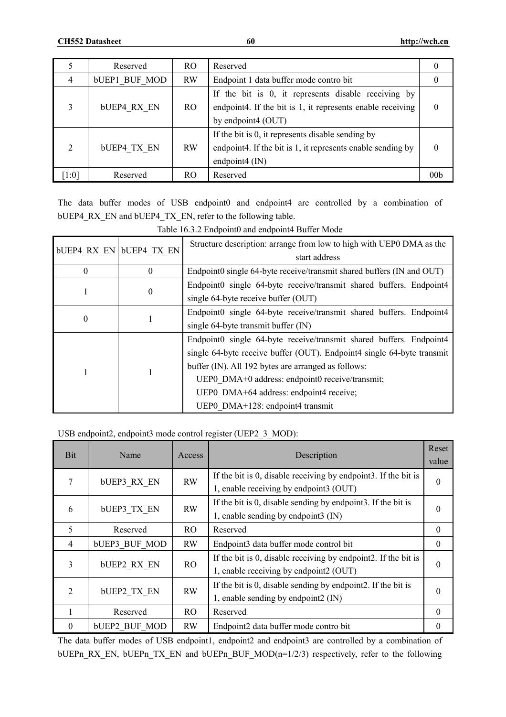|                | Reserved             | R <sub>O</sub> | Reserved                                                    |     |
|----------------|----------------------|----------------|-------------------------------------------------------------|-----|
| 4              | <b>bUEP1 BUF MOD</b> | RW             | Endpoint 1 data buffer mode contro bit                      |     |
|                |                      |                | If the bit is 0, it represents disable receiving by         |     |
| 3              | <b>bUEP4 RX EN</b>   | RO.            | endpoint4. If the bit is 1, it represents enable receiving  |     |
|                |                      |                | by endpoint4 (OUT)                                          |     |
|                |                      |                | If the bit is 0, it represents disable sending by           |     |
| $\overline{2}$ | <b>bUEP4 TX EN</b>   | <b>RW</b>      | endpoint4. If the bit is 1, it represents enable sending by |     |
|                |                      |                | endpoint $4$ (IN)                                           |     |
| [1:0]          | Reserved             | RO.            | Reserved                                                    | 00b |

The data buffer modes of USB endpoint0 and endpoint4 are controlled by a combination of bUEP4\_RX\_EN and bUEP4\_TX\_EN, refer to the following table.

| <b>bUEP4 RX EN bUEP4 TX EN</b> |   | Structure description: arrange from low to high with UEP0 DMA as the<br>start address |
|--------------------------------|---|---------------------------------------------------------------------------------------|
| 0                              | 0 | Endpoint0 single 64-byte receive/transmit shared buffers (IN and OUT)                 |
|                                | 0 | Endpoint0 single 64-byte receive/transmit shared buffers. Endpoint4                   |
|                                |   | single 64-byte receive buffer (OUT)                                                   |
|                                |   | Endpoint0 single 64-byte receive/transmit shared buffers. Endpoint4                   |
| $\bf{0}$                       |   | single 64-byte transmit buffer (IN)                                                   |
|                                |   | Endpoint0 single 64-byte receive/transmit shared buffers. Endpoint4                   |
|                                |   | single 64-byte receive buffer (OUT). Endpoint4 single 64-byte transmit                |
|                                |   | buffer (IN). All 192 bytes are arranged as follows:                                   |
|                                |   | UEP0 DMA+0 address: endpoint0 receive/transmit;                                       |
|                                |   | UEP0 DMA+64 address: endpoint4 receive;                                               |
|                                |   | UEP0 DMA+128: endpoint4 transmit                                                      |

Table 16.3.2 Endpoint0 and endpoint4 Buffer Mode

### USB endpoint2, endpoint3 mode control register (UEP2\_3\_MOD):

| Bit            | Name                 | Access    | Description                                                    | Reset<br>value |
|----------------|----------------------|-----------|----------------------------------------------------------------|----------------|
|                | <b>bUEP3 RX EN</b>   | <b>RW</b> | If the bit is 0, disable receiving by endpoint3. If the bit is | $\theta$       |
|                |                      |           | 1, enable receiving by endpoint3 (OUT)                         |                |
| 6              |                      | <b>RW</b> | If the bit is 0, disable sending by endpoint3. If the bit is   |                |
|                | <b>bUEP3 TX EN</b>   |           | 1, enable sending by endpoint3 (IN)                            |                |
| 5              | Reserved             | RO.       | Reserved                                                       | $\Omega$       |
| $\overline{4}$ | <b>bUEP3 BUF MOD</b> | <b>RW</b> | Endpoint3 data buffer mode control bit                         | $\theta$       |
| 3              |                      | RO        | If the bit is 0, disable receiving by endpoint2. If the bit is |                |
|                | <b>bUEP2 RX EN</b>   |           | 1, enable receiving by endpoint2 (OUT)                         | $\theta$       |
|                |                      |           | If the bit is 0, disable sending by endpoint2. If the bit is   |                |
| $\overline{2}$ | <b>bUEP2 TX EN</b>   | RW        | 1, enable sending by endpoint2 (IN)                            | $\theta$       |
| 1              | Reserved             | RO.       | Reserved                                                       | $\theta$       |
| $\theta$       | <b>bUEP2 BUF MOD</b> | <b>RW</b> | Endpoint2 data buffer mode contro bit                          | $\theta$       |

The data buffer modes of USB endpoint1, endpoint2 and endpoint3 are controlled by a combination of bUEPn\_RX\_EN, bUEPn\_TX\_EN and bUEPn\_BUF\_MOD(n=1/2/3) respectively, refer to the following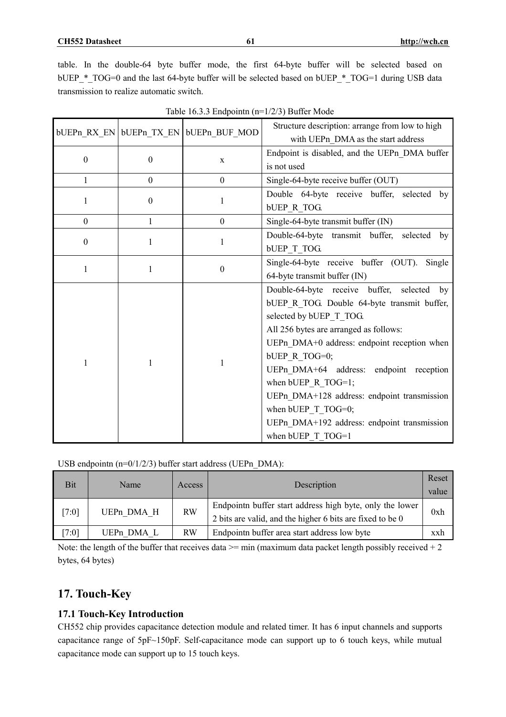|                  |                       | bUEPn RX EN bUEPn TX EN bUEPn BUF MOD | Structure description: arrange from low to high<br>with UEPn DMA as the start address |  |  |  |
|------------------|-----------------------|---------------------------------------|---------------------------------------------------------------------------------------|--|--|--|
|                  | $\boldsymbol{0}$<br>X |                                       | Endpoint is disabled, and the UEPn DMA buffer                                         |  |  |  |
| $\boldsymbol{0}$ |                       |                                       | is not used                                                                           |  |  |  |
| $\mathbf{1}$     | $\boldsymbol{0}$      | $\mathbf{0}$                          | Single-64-byte receive buffer (OUT)                                                   |  |  |  |
| 1                | $\boldsymbol{0}$      | 1                                     | Double 64-byte receive buffer, selected by                                            |  |  |  |
|                  |                       |                                       | <b>bUEP R TOG.</b>                                                                    |  |  |  |
| $\boldsymbol{0}$ | $\mathbf{1}$          | $\mathbf{0}$                          | Single-64-byte transmit buffer (IN)                                                   |  |  |  |
| $\boldsymbol{0}$ | 1                     | 1                                     | Double-64-byte transmit buffer, selected by                                           |  |  |  |
|                  |                       |                                       | <b>bUEP T TOG.</b>                                                                    |  |  |  |
| 1                | 1                     | $\boldsymbol{0}$                      | Single-64-byte receive buffer (OUT). Single                                           |  |  |  |
|                  |                       |                                       | 64-byte transmit buffer (IN)                                                          |  |  |  |
|                  |                       |                                       | Double-64-byte receive buffer, selected by                                            |  |  |  |
|                  |                       |                                       | bUEP R TOG. Double 64-byte transmit buffer,                                           |  |  |  |
|                  |                       |                                       | selected by bUEP T TOG.                                                               |  |  |  |
|                  |                       |                                       | All 256 bytes are arranged as follows:                                                |  |  |  |
|                  |                       |                                       | UEPn DMA+0 address: endpoint reception when                                           |  |  |  |
| 1                | 1                     | 1                                     | bUEP R TOG=0;                                                                         |  |  |  |
|                  |                       |                                       | UEPn DMA+64 address: endpoint reception                                               |  |  |  |
|                  |                       |                                       | when bUEP $\,$ R TOG=1;                                                               |  |  |  |
|                  |                       |                                       | UEPn DMA+128 address: endpoint transmission                                           |  |  |  |
|                  |                       |                                       | when bUEP T TOG=0;                                                                    |  |  |  |
|                  |                       |                                       | UEPn DMA+192 address: endpoint transmission                                           |  |  |  |
|                  |                       |                                       | when bUEP T TOG=1                                                                     |  |  |  |

USB endpointn (n=0/1/2/3) buffer start address (UEPn\_DMA):

| Bit   | Name                   | Access    | Description                                                                                                           |     |
|-------|------------------------|-----------|-----------------------------------------------------------------------------------------------------------------------|-----|
| [7:0] | UEPn DMA H             | <b>RW</b> | Endpointn buffer start address high byte, only the lower<br>2 bits are valid, and the higher 6 bits are fixed to be 0 | 0xh |
| 7:01  | UEP <sub>n</sub> DMA L | <b>RW</b> | Endpointn buffer area start address low byte                                                                          | xxh |

Note: the length of the buffer that receives data  $\ge$ = min (maximum data packet length possibly received + 2 bytes, 64 bytes)

# **17. Touch-Key**

# **17.1 Touch-Key Introduction**

CH552 chip provides capacitance detection module and related timer. It has 6 input channels and supports capacitance range of 5pF~150pF. Self-capacitance mode can support up to 6 touch keys, while mutual capacitance mode can support up to 15 touch keys.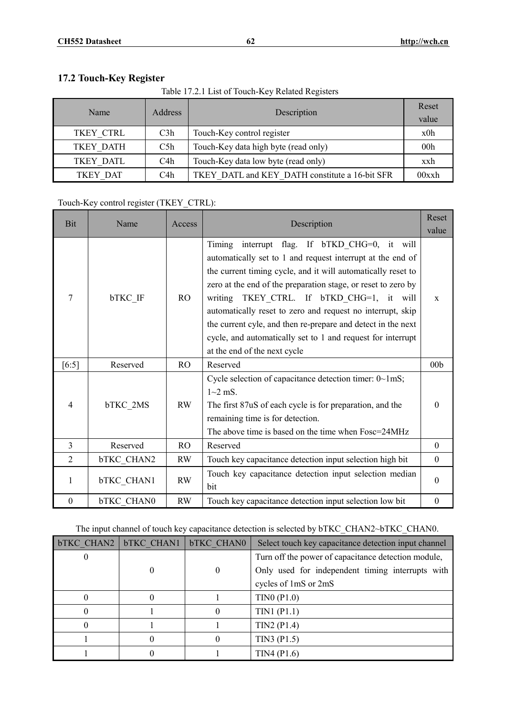# **17.2 Touch-Key Register**

Table 17.2.1 List of Touch-Key Related Registers

| Name      | Address | Description                                    | Reset<br>value  |
|-----------|---------|------------------------------------------------|-----------------|
| TKEY CTRL | C3h     | Touch-Key control register                     | x0h             |
| TKEY DATH | C5h     | Touch-Key data high byte (read only)           | 00 <sub>h</sub> |
| TKEY DATL | C4h     | Touch-Key data low byte (read only)            | xxh             |
| TKEY DAT  | C4h     | TKEY DATL and KEY DATH constitute a 16-bit SFR | 00xxh           |

# Touch-Key control register (TKEY\_CTRL):

| Bit              | Name              | Access         | Description                                                                                                                                                                                                                                                                                                                                                                                                                                                                                                               |                  |
|------------------|-------------------|----------------|---------------------------------------------------------------------------------------------------------------------------------------------------------------------------------------------------------------------------------------------------------------------------------------------------------------------------------------------------------------------------------------------------------------------------------------------------------------------------------------------------------------------------|------------------|
|                  |                   |                |                                                                                                                                                                                                                                                                                                                                                                                                                                                                                                                           | value            |
| 7                | bTKC IF           | R <sub>O</sub> | interrupt flag. If bTKD CHG=0, it will<br>Timing<br>automatically set to 1 and request interrupt at the end of<br>the current timing cycle, and it will automatically reset to<br>zero at the end of the preparation stage, or reset to zero by<br>writing TKEY CTRL. If bTKD CHG=1, it will<br>automatically reset to zero and request no interrupt, skip<br>the current cyle, and then re-prepare and detect in the next<br>cycle, and automatically set to 1 and request for interrupt<br>at the end of the next cycle | $\mathbf{x}$     |
| $[6:5]$          | Reserved          | <sub>RO</sub>  | Reserved                                                                                                                                                                                                                                                                                                                                                                                                                                                                                                                  | 00 <sub>b</sub>  |
| $\overline{4}$   | bTKC 2MS          | RW             | Cycle selection of capacitance detection timer: 0~1mS;<br>$1 - 2$ mS.<br>The first 87uS of each cycle is for preparation, and the<br>remaining time is for detection.<br>The above time is based on the time when Fosc=24MHz                                                                                                                                                                                                                                                                                              | $\theta$         |
| 3                | Reserved          | <b>RO</b>      | Reserved                                                                                                                                                                                                                                                                                                                                                                                                                                                                                                                  | $\theta$         |
| $\overline{2}$   | <b>bTKC CHAN2</b> | <b>RW</b>      | Touch key capacitance detection input selection high bit                                                                                                                                                                                                                                                                                                                                                                                                                                                                  | $\theta$         |
| 1                | bTKC_CHAN1        | RW             | Touch key capacitance detection input selection median<br>bit                                                                                                                                                                                                                                                                                                                                                                                                                                                             | $\theta$         |
| $\boldsymbol{0}$ | <b>bTKC CHAN0</b> | RW             | Touch key capacitance detection input selection low bit                                                                                                                                                                                                                                                                                                                                                                                                                                                                   | $\boldsymbol{0}$ |

# The input channel of touch key capacitance detection is selected by bTKC\_CHAN2~bTKC\_CHAN0.

| <b>bTKC CHAN2</b> | <b>bTKC CHAN1</b> | <b>bTKC CHAN0</b> | Select touch key capacitance detection input channel |  |  |
|-------------------|-------------------|-------------------|------------------------------------------------------|--|--|
|                   |                   |                   | Turn off the power of capacitance detection module,  |  |  |
|                   |                   | $\theta$          | Only used for independent timing interrupts with     |  |  |
|                   |                   |                   | cycles of 1mS or 2mS                                 |  |  |
|                   |                   |                   | TINO (P1.0)                                          |  |  |
|                   |                   |                   | TIN1(P1.1)                                           |  |  |
|                   |                   |                   | $TIN2$ (P1.4)                                        |  |  |
|                   |                   |                   | TIN3 (P1.5)                                          |  |  |
|                   |                   |                   | TIN4(P1.6)                                           |  |  |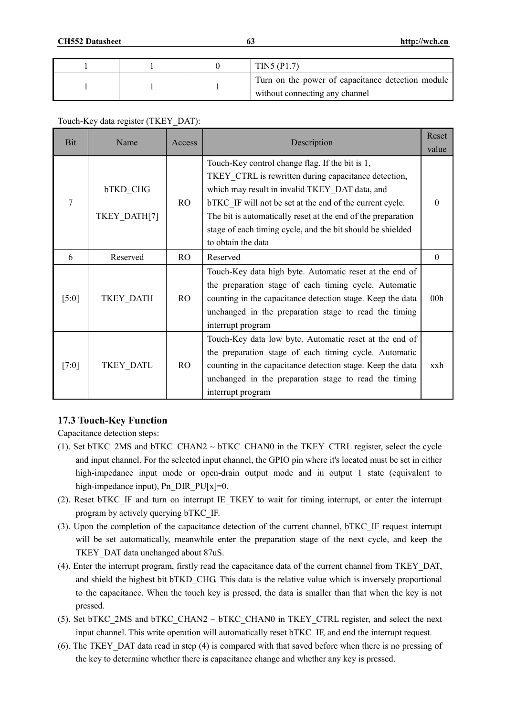|  | TIN5 (P1.7)                                                                         |
|--|-------------------------------------------------------------------------------------|
|  | Turn on the power of capacitance detection module<br>without connecting any channel |

#### Touch-Key data register (TKEY\_DAT):

| <b>Bit</b>          | Name                            | Access         | Description                                                                                                                                                                                                                                                                                                                                                               | Reset<br>value  |
|---------------------|---------------------------------|----------------|---------------------------------------------------------------------------------------------------------------------------------------------------------------------------------------------------------------------------------------------------------------------------------------------------------------------------------------------------------------------------|-----------------|
| 7                   | <b>bTKD CHG</b><br>TKEY DATH[7] | R <sub>O</sub> | Touch-Key control change flag. If the bit is 1,<br>TKEY CTRL is rewritten during capacitance detection,<br>which may result in invalid TKEY DAT data, and<br>bTKC IF will not be set at the end of the current cycle.<br>The bit is automatically reset at the end of the preparation<br>stage of each timing cycle, and the bit should be shielded<br>to obtain the data | 0               |
| 6                   | Reserved                        | R <sub>O</sub> | Reserved                                                                                                                                                                                                                                                                                                                                                                  | $\theta$        |
| $\lceil 5:0 \rceil$ | TKEY DATH                       | R <sub>O</sub> | Touch-Key data high byte. Automatic reset at the end of<br>the preparation stage of each timing cycle. Automatic<br>counting in the capacitance detection stage. Keep the data<br>unchanged in the preparation stage to read the timing<br>interrupt program                                                                                                              | 00 <sub>h</sub> |
| [7:0]               | TKEY DATL                       | R <sub>O</sub> | Touch-Key data low byte. Automatic reset at the end of<br>the preparation stage of each timing cycle. Automatic<br>counting in the capacitance detection stage. Keep the data<br>unchanged in the preparation stage to read the timing<br>interrupt program                                                                                                               | xxh             |

# **17.3 Touch-Key Function**

Capacitance detection steps:

- (1). Set bTKC\_2MS and bTKC\_CHAN2  $\sim$  bTKC\_CHAN0 in the TKEY\_CTRL register, select the cycle and input channel. For the selected input channel, the GPIO pin where it's located must be set in either high-impedance input mode or open-drain output mode and in output 1 state (equivalent to high-impedance input), Pn\_DIR\_PU[x]=0.
- (2). Reset bTKC\_IF and turn on interrupt IE\_TKEY to wait for timing interrupt, or enter the interrupt program by actively querying bTKC\_IF.
- (3). Upon the completion of the capacitance detection of the current channel, bTKC\_IF request interrupt will be set automatically, meanwhile enter the preparation stage of the next cycle, and keep the TKEY\_DAT data unchanged about 87uS.
- (4). Enter the interrupt program, firstly read the capacitance data of the current channel from TKEY\_DAT, and shield the highest bit bTKD CHG. This data is the relative value which is inversely proportional to the capacitance. When the touch key is pressed, the data is smaller than that when the key is not pressed.
- (5). Set bTKC\_2MS and bTKC\_CHAN2 ~ bTKC\_CHAN0 in TKEY\_CTRL register, and select the next input channel. This write operation will automatically reset bTKC\_IF, and end the interrupt request.
- (6). The TKEY\_DAT data read in step (4) is compared with that saved before when there is no pressing of the key to determine whether there is capacitance change and whether any key is pressed.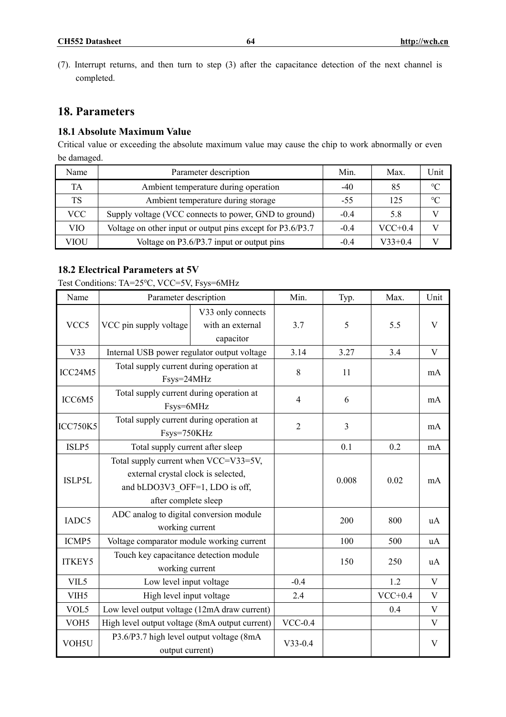- **CH552 Datasheet 64 <http://wch.cn>**
- (7). Interrupt returns, and then turn to step (3) after the capacitance detection of the next channel is completed.

# **18. Parameters**

# **18.1 Absolute Maximum Value**

Critical value or exceeding the absolute maximum value may cause the chip to work abnormally or even be damaged.

| Name | Parameter description                                      | Min.   | Max.      | Unit            |
|------|------------------------------------------------------------|--------|-----------|-----------------|
| TA   | Ambient temperature during operation                       | $-40$  | 85        | $\rm ^{\circ}C$ |
| TS   | Ambient temperature during storage                         | -55    | 125       | $\circ$ C       |
| VCC  | Supply voltage (VCC connects to power, GND to ground)      | $-0.4$ | 5.8       |                 |
| VIO  | Voltage on other input or output pins except for P3.6/P3.7 | $-0.4$ | $VCC+0.4$ |                 |
| VIOU | Voltage on P3.6/P3.7 input or output pins                  | $-0.4$ | $V33+0.4$ |                 |

# **18.2 Electrical Parameters at 5V**

Test Conditions: TA=25℃, VCC=5V, Fsys=6MHz

| Name             | Parameter description                                                                                                                  |                                                    | Min.           | Typ.  | Max.      | Unit        |
|------------------|----------------------------------------------------------------------------------------------------------------------------------------|----------------------------------------------------|----------------|-------|-----------|-------------|
| VCC <sub>5</sub> | VCC pin supply voltage                                                                                                                 | V33 only connects<br>with an external<br>capacitor | 3.7            | 5     | 5.5       | V           |
| V33              | Internal USB power regulator output voltage                                                                                            |                                                    | 3.14           | 3.27  | 3.4       | V           |
| ICC24M5          | Total supply current during operation at<br>Fsys=24MHz                                                                                 |                                                    | 8              | 11    |           | mA          |
| ICC6M5           | Total supply current during operation at<br>Fsys=6MHz                                                                                  |                                                    | $\overline{4}$ | 6     |           | mA          |
| <b>ICC750K5</b>  | Total supply current during operation at<br>Fsys=750KHz                                                                                | $\overline{2}$                                     | 3              |       | mA        |             |
| ISLP5            | Total supply current after sleep                                                                                                       |                                                    | 0.1            | 0.2   | mA        |             |
| ISLP5L           | Total supply current when VCC=V33=5V,<br>external crystal clock is selected,<br>and bLDO3V3 OFF=1, LDO is off,<br>after complete sleep |                                                    |                | 0.008 | 0.02      | mA          |
| IADC5            | ADC analog to digital conversion module<br>working current                                                                             |                                                    |                | 200   | 800       | uA          |
| ICMP5            | Voltage comparator module working current                                                                                              |                                                    |                | 100   | 500       | uA          |
| <b>ITKEY5</b>    | Touch key capacitance detection module<br>working current                                                                              |                                                    |                | 150   | 250       | uA          |
| VIL5             | Low level input voltage                                                                                                                |                                                    | $-0.4$         |       | 1.2       | V           |
| VIH <sub>5</sub> | High level input voltage                                                                                                               |                                                    | 2.4            |       | $VCC+0.4$ | V           |
| VOL5             | Low level output voltage (12mA draw current)                                                                                           |                                                    |                |       | 0.4       | $\mathbf V$ |
| VOH <sub>5</sub> | High level output voltage (8mA output current)                                                                                         |                                                    | $VCC-0.4$      |       |           | V           |
| VOH5U            | P3.6/P3.7 high level output voltage (8mA<br>output current)                                                                            |                                                    | $V33-0.4$      |       |           | V           |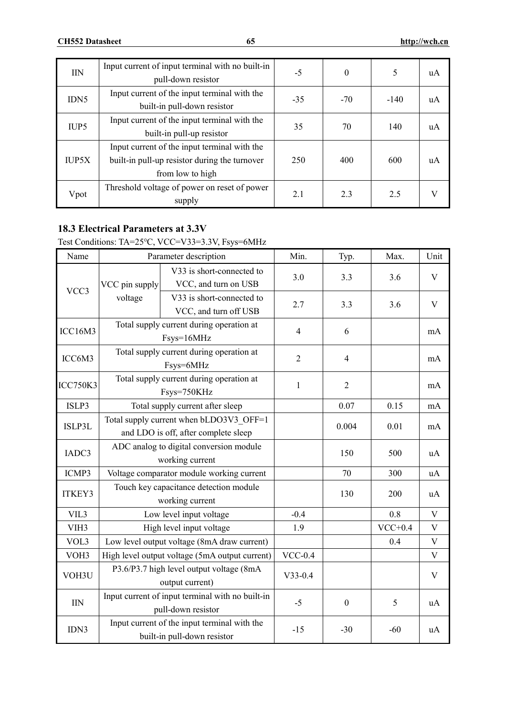| <b>IIN</b>       | Input current of input terminal with no built-in<br>pull-down resistor                                            | $-5$  | $\theta$ | 5      | uA |
|------------------|-------------------------------------------------------------------------------------------------------------------|-------|----------|--------|----|
| IDN <sub>5</sub> | Input current of the input terminal with the<br>built-in pull-down resistor                                       | $-35$ | $-70$    | $-140$ | uA |
| IUP <sub>5</sub> | Input current of the input terminal with the<br>built-in pull-up resistor                                         | 35    | 70       | 140    | uA |
| <b>IUP5X</b>     | Input current of the input terminal with the<br>built-in pull-up resistor during the turnover<br>from low to high | 250   | 400      | 600    | uA |
| Vpot             | Threshold voltage of power on reset of power<br>supply                                                            | 2.1   | 2.3      | 2.5    |    |

# **18.3 Electrical Parameters at 3.3V**

# Test Conditions: TA=25℃, VCC=V33=3.3V, Fsys=6MHz

| Name             |                                                                        | Parameter description                                                           | Min.           | Typ.             | Max.      | Unit        |
|------------------|------------------------------------------------------------------------|---------------------------------------------------------------------------------|----------------|------------------|-----------|-------------|
| VCC3             | VCC pin supply                                                         | V33 is short-connected to<br>VCC, and turn on USB                               | 3.0            | 3.3              | 3.6       | V           |
|                  | voltage                                                                | V33 is short-connected to<br>VCC, and turn off USB                              | 2.7            | 3.3              | 3.6       | V           |
| ICC16M3          |                                                                        | Total supply current during operation at<br>Fsys=16MHz                          | $\overline{4}$ | 6                |           | mA          |
| ICC6M3           |                                                                        | Total supply current during operation at<br>Fsys=6MHz                           | $\overline{2}$ | $\overline{4}$   |           | mA          |
| <b>ICC750K3</b>  |                                                                        | Total supply current during operation at<br>Fsys=750KHz                         | $\mathbf{1}$   | $\overline{2}$   |           | mA          |
| ISLP3            |                                                                        | Total supply current after sleep                                                |                | 0.07             | 0.15      | mA          |
| ISLP3L           |                                                                        | Total supply current when bLDO3V3 OFF=1<br>and LDO is off, after complete sleep |                | 0.004            | 0.01      | mA          |
| IADC3            |                                                                        | ADC analog to digital conversion module<br>working current                      |                | 150              | 500       | uA          |
| ICMP3            |                                                                        | Voltage comparator module working current                                       |                | 70               | 300       | uA          |
| <b>ITKEY3</b>    |                                                                        | Touch key capacitance detection module<br>working current                       |                | 130              | 200       | uA          |
| VIL3             |                                                                        | Low level input voltage                                                         | $-0.4$         |                  | 0.8       | $\mathbf V$ |
| VIH <sub>3</sub> |                                                                        | High level input voltage                                                        | 1.9            |                  | $VCC+0.4$ | V           |
| VOL3             |                                                                        | Low level output voltage (8mA draw current)                                     |                |                  | 0.4       | $\mathbf V$ |
| VOH3             |                                                                        | High level output voltage (5mA output current)                                  | $VCC-0.4$      |                  |           | V           |
| VOH3U            | P3.6/P3.7 high level output voltage (8mA<br>output current)            |                                                                                 | $V33-0.4$      |                  |           | V           |
| <b>IIN</b>       | Input current of input terminal with no built-in<br>pull-down resistor |                                                                                 | $-5$           | $\boldsymbol{0}$ | 5         | uA          |
| IDN3             |                                                                        | Input current of the input terminal with the<br>built-in pull-down resistor     | $-15$          | $-30$            | $-60$     | uA          |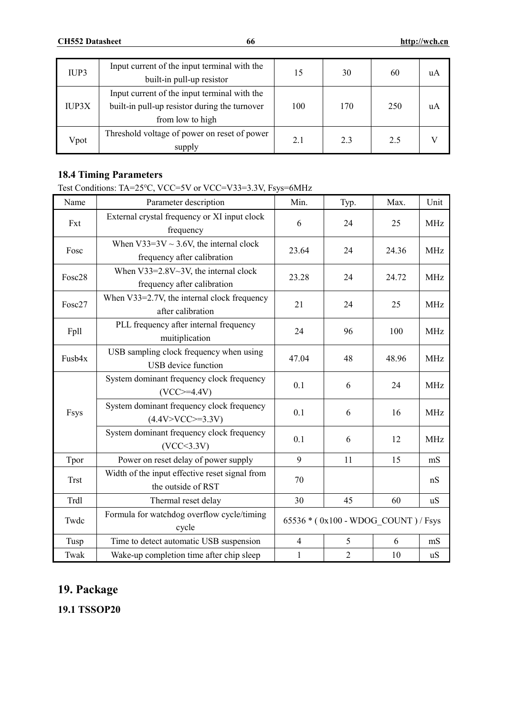| IUP3         | Input current of the input terminal with the<br>built-in pull-up resistor                                         | 15  | 30  | 60  | uA |
|--------------|-------------------------------------------------------------------------------------------------------------------|-----|-----|-----|----|
| <b>IUP3X</b> | Input current of the input terminal with the<br>built-in pull-up resistor during the turnover<br>from low to high | 100 | 170 | 250 | uA |
| Vpot         | Threshold voltage of power on reset of power<br>supply                                                            | 2.1 | 2.3 | 2.5 |    |

# **18.4 Timing Parameters**

Test Conditions: TA=25℃, VCC=5V or VCC=V33=3.3V, Fsys=6MHz

| Name        | Parameter description                                                       | Min.                                | Typ.           | Max.  | Unit       |
|-------------|-----------------------------------------------------------------------------|-------------------------------------|----------------|-------|------------|
| Fxt         | External crystal frequency or XI input clock<br>frequency                   | 6                                   | 24             | 25    | <b>MHz</b> |
| Fosc        | When $V33=3V \sim 3.6V$ , the internal clock<br>frequency after calibration | 23.64                               | 24             | 24.36 | <b>MHz</b> |
| Fosc28      | When $V33=2.8V~3V$ , the internal clock<br>frequency after calibration      | 23.28                               | 24             | 24.72 | <b>MHz</b> |
| Fosc27      | When V33=2.7V, the internal clock frequency<br>after calibration            | 21                                  | 24             | 25    | <b>MHz</b> |
| Fpll        | PLL frequency after internal frequency<br>24<br>muitiplication              |                                     | 96             | 100   | <b>MHz</b> |
| Fusb4x      | USB sampling clock frequency when using<br>USB device function              | 47.04                               | 48             | 48.96 | <b>MHz</b> |
| Fsys        | System dominant frequency clock frequency<br>$(VCC>=4.4V)$                  | 0.1                                 | 6              | 24    | <b>MHz</b> |
|             | System dominant frequency clock frequency<br>$(4.4V>VCC>=3.3V)$             | 0.1                                 | 6              | 16    | <b>MHz</b> |
|             | System dominant frequency clock frequency<br>(VCC<3.3V)                     | 0.1                                 | 6              | 12    | <b>MHz</b> |
| Tpor        | Power on reset delay of power supply                                        | 9                                   | 11             | 15    | mS         |
| <b>Trst</b> | Width of the input effective reset signal from<br>the outside of RST        | 70                                  |                |       | nS         |
| Trdl        | Thermal reset delay                                                         | 30                                  | 45             | 60    | uS         |
| Twdc        | Formula for watchdog overflow cycle/timing<br>cycle                         | 65536 * (0x100 - WDOG COUNT) / Fsys |                |       |            |
| Tusp        | Time to detect automatic USB suspension                                     | $\overline{4}$                      | 5              | 6     | mS         |
| Twak        | Wake-up completion time after chip sleep                                    | $\mathbf{1}$                        | $\overline{2}$ | 10    | uS         |

# **19. Package**

**19.1 TSSOP20**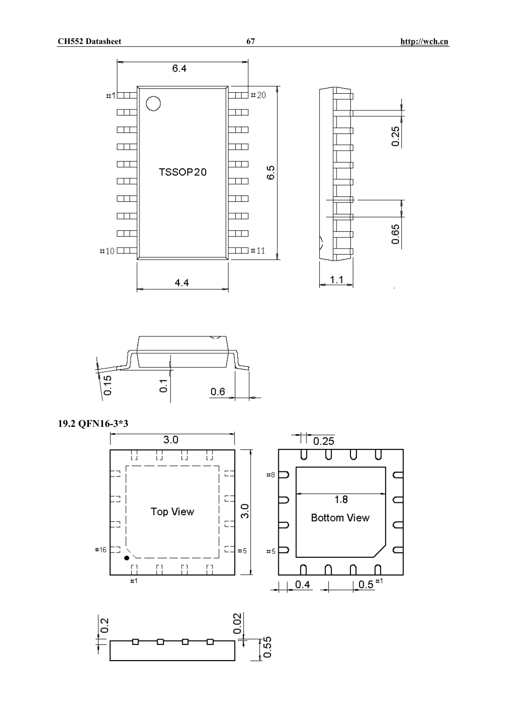![](_page_66_Figure_2.jpeg)

![](_page_66_Figure_3.jpeg)

 $4.4$ 

**19.2 QFN16-3\*3** 

![](_page_66_Figure_5.jpeg)

![](_page_66_Figure_6.jpeg)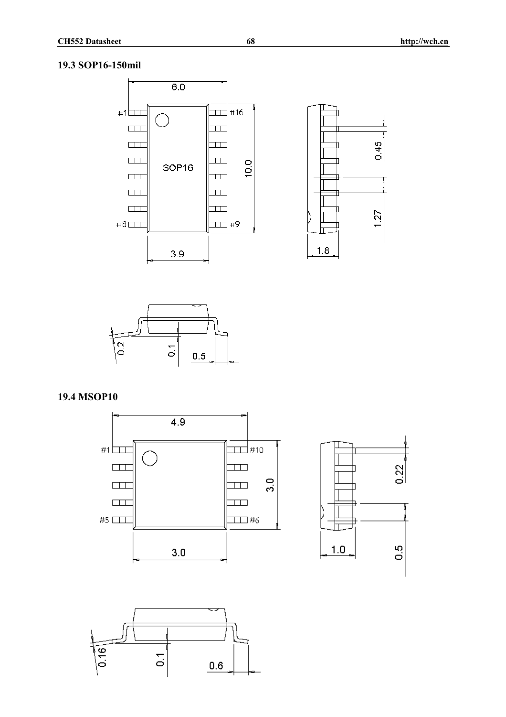### **19.3 SOP16-150mil**

![](_page_67_Figure_3.jpeg)

![](_page_67_Figure_4.jpeg)

![](_page_67_Figure_5.jpeg)

# **19.4 MSOP10**

![](_page_67_Figure_7.jpeg)

![](_page_67_Figure_8.jpeg)

![](_page_67_Figure_9.jpeg)